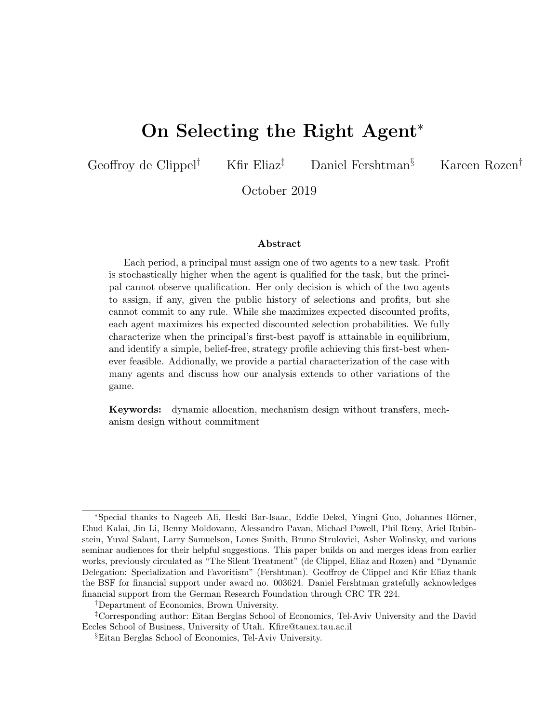# On Selecting the Right Agent<sup>∗</sup>

Geoffroy de Clippel<sup>†</sup> Kfir Eliaz<sup>‡</sup> Daniel Fershtman<sup>§</sup> Kareen Rozen<sup>†</sup>

October 2019

#### Abstract

Each period, a principal must assign one of two agents to a new task. Profit is stochastically higher when the agent is qualified for the task, but the principal cannot observe qualification. Her only decision is which of the two agents to assign, if any, given the public history of selections and profits, but she cannot commit to any rule. While she maximizes expected discounted profits, each agent maximizes his expected discounted selection probabilities. We fully characterize when the principal's first-best payoff is attainable in equilibrium, and identify a simple, belief-free, strategy profile achieving this first-best whenever feasible. Addionally, we provide a partial characterization of the case with many agents and discuss how our analysis extends to other variations of the game.

Keywords: dynamic allocation, mechanism design without transfers, mechanism design without commitment

<sup>\*</sup>Special thanks to Nageeb Ali, Heski Bar-Isaac, Eddie Dekel, Yingni Guo, Johannes Hörner, Ehud Kalai, Jin Li, Benny Moldovanu, Alessandro Pavan, Michael Powell, Phil Reny, Ariel Rubinstein, Yuval Salant, Larry Samuelson, Lones Smith, Bruno Strulovici, Asher Wolinsky, and various seminar audiences for their helpful suggestions. This paper builds on and merges ideas from earlier works, previously circulated as "The Silent Treatment" (de Clippel, Eliaz and Rozen) and "Dynamic Delegation: Specialization and Favoritism" (Fershtman). Geoffroy de Clippel and Kfir Eliaz thank the BSF for financial support under award no. 003624. Daniel Fershtman gratefully acknowledges financial support from the German Research Foundation through CRC TR 224.

<sup>†</sup>Department of Economics, Brown University.

<sup>‡</sup>Corresponding author: Eitan Berglas School of Economics, Tel-Aviv University and the David Eccles School of Business, University of Utah. Kfire@tauex.tau.ac.il

<sup>§</sup>Eitan Berglas School of Economics, Tel-Aviv University.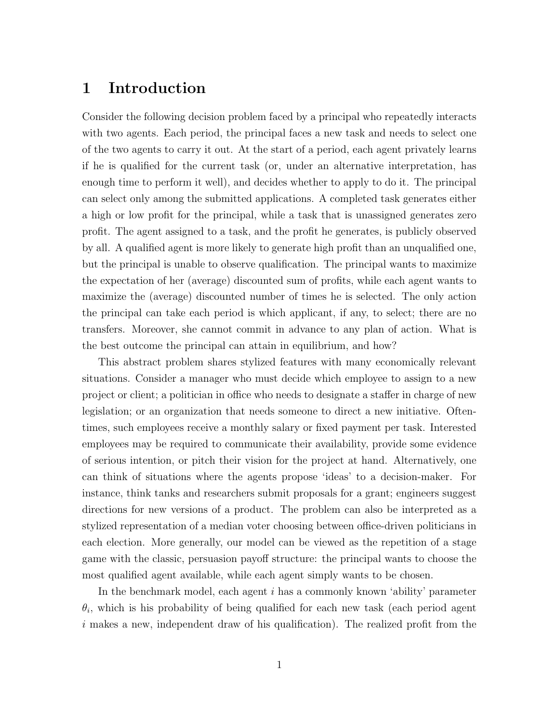## 1 Introduction

Consider the following decision problem faced by a principal who repeatedly interacts with two agents. Each period, the principal faces a new task and needs to select one of the two agents to carry it out. At the start of a period, each agent privately learns if he is qualified for the current task (or, under an alternative interpretation, has enough time to perform it well), and decides whether to apply to do it. The principal can select only among the submitted applications. A completed task generates either a high or low profit for the principal, while a task that is unassigned generates zero profit. The agent assigned to a task, and the profit he generates, is publicly observed by all. A qualified agent is more likely to generate high profit than an unqualified one, but the principal is unable to observe qualification. The principal wants to maximize the expectation of her (average) discounted sum of profits, while each agent wants to maximize the (average) discounted number of times he is selected. The only action the principal can take each period is which applicant, if any, to select; there are no transfers. Moreover, she cannot commit in advance to any plan of action. What is the best outcome the principal can attain in equilibrium, and how?

This abstract problem shares stylized features with many economically relevant situations. Consider a manager who must decide which employee to assign to a new project or client; a politician in office who needs to designate a staffer in charge of new legislation; or an organization that needs someone to direct a new initiative. Oftentimes, such employees receive a monthly salary or fixed payment per task. Interested employees may be required to communicate their availability, provide some evidence of serious intention, or pitch their vision for the project at hand. Alternatively, one can think of situations where the agents propose 'ideas' to a decision-maker. For instance, think tanks and researchers submit proposals for a grant; engineers suggest directions for new versions of a product. The problem can also be interpreted as a stylized representation of a median voter choosing between office-driven politicians in each election. More generally, our model can be viewed as the repetition of a stage game with the classic, persuasion payoff structure: the principal wants to choose the most qualified agent available, while each agent simply wants to be chosen.

In the benchmark model, each agent i has a commonly known 'ability' parameter  $\theta_i$ , which is his probability of being qualified for each new task (each period agent  $i$  makes a new, independent draw of his qualification). The realized profit from the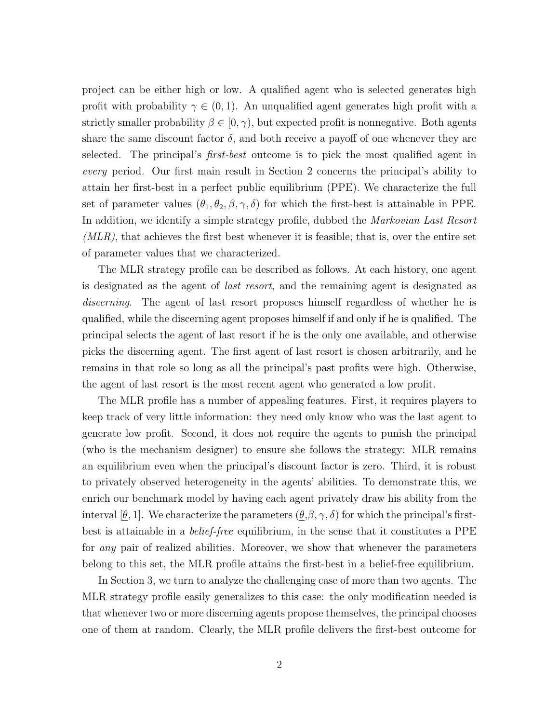project can be either high or low. A qualified agent who is selected generates high profit with probability  $\gamma \in (0, 1)$ . An unqualified agent generates high profit with a strictly smaller probability  $\beta \in [0, \gamma)$ , but expected profit is nonnegative. Both agents share the same discount factor  $\delta$ , and both receive a payoff of one whenever they are selected. The principal's *first-best* outcome is to pick the most qualified agent in every period. Our first main result in Section 2 concerns the principal's ability to attain her first-best in a perfect public equilibrium (PPE). We characterize the full set of parameter values  $(\theta_1, \theta_2, \beta, \gamma, \delta)$  for which the first-best is attainable in PPE. In addition, we identify a simple strategy profile, dubbed the *Markovian Last Resort*  $(MLR)$ , that achieves the first best whenever it is feasible; that is, over the entire set of parameter values that we characterized.

The MLR strategy profile can be described as follows. At each history, one agent is designated as the agent of last resort, and the remaining agent is designated as discerning. The agent of last resort proposes himself regardless of whether he is qualified, while the discerning agent proposes himself if and only if he is qualified. The principal selects the agent of last resort if he is the only one available, and otherwise picks the discerning agent. The first agent of last resort is chosen arbitrarily, and he remains in that role so long as all the principal's past profits were high. Otherwise, the agent of last resort is the most recent agent who generated a low profit.

The MLR profile has a number of appealing features. First, it requires players to keep track of very little information: they need only know who was the last agent to generate low profit. Second, it does not require the agents to punish the principal (who is the mechanism designer) to ensure she follows the strategy: MLR remains an equilibrium even when the principal's discount factor is zero. Third, it is robust to privately observed heterogeneity in the agents' abilities. To demonstrate this, we enrich our benchmark model by having each agent privately draw his ability from the interval  $[\underline{\theta},1]$ . We characterize the parameters  $(\underline{\theta}, \beta, \gamma, \delta)$  for which the principal's firstbest is attainable in a *belief-free* equilibrium, in the sense that it constitutes a PPE for *any* pair of realized abilities. Moreover, we show that whenever the parameters belong to this set, the MLR profile attains the first-best in a belief-free equilibrium.

In Section 3, we turn to analyze the challenging case of more than two agents. The MLR strategy profile easily generalizes to this case: the only modification needed is that whenever two or more discerning agents propose themselves, the principal chooses one of them at random. Clearly, the MLR profile delivers the first-best outcome for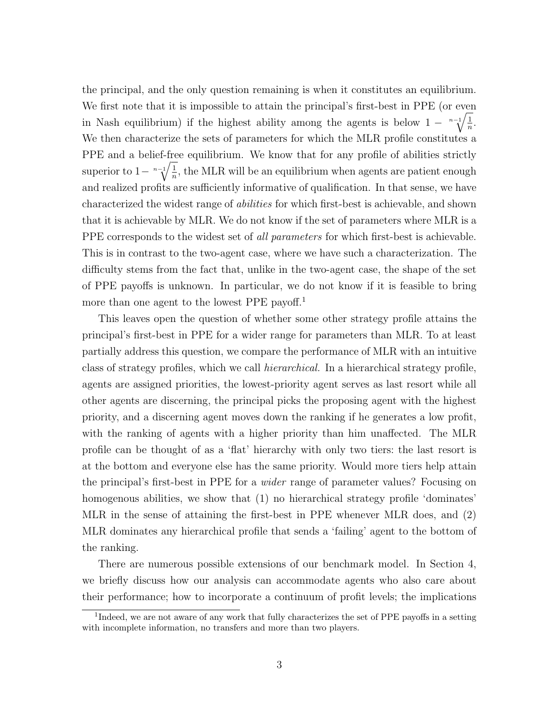the principal, and the only question remaining is when it constitutes an equilibrium. We first note that it is impossible to attain the principal's first-best in PPE (or even in Nash equilibrium) if the highest ability among the agents is below  $1 - \sqrt[n-1]{\frac{1}{n}}$  $\frac{1}{n}$ . We then characterize the sets of parameters for which the MLR profile constitutes a PPE and a belief-free equilibrium. We know that for any profile of abilities strictly superior to  $1-\sqrt[n-1]{\frac{1}{n}}$  $\frac{1}{n}$ , the MLR will be an equilibrium when agents are patient enough and realized profits are sufficiently informative of qualification. In that sense, we have characterized the widest range of abilities for which first-best is achievable, and shown that it is achievable by MLR. We do not know if the set of parameters where MLR is a PPE corresponds to the widest set of *all parameters* for which first-best is achievable. This is in contrast to the two-agent case, where we have such a characterization. The difficulty stems from the fact that, unlike in the two-agent case, the shape of the set of PPE payoffs is unknown. In particular, we do not know if it is feasible to bring more than one agent to the lowest PPE payoff.<sup>1</sup>

This leaves open the question of whether some other strategy profile attains the principal's first-best in PPE for a wider range for parameters than MLR. To at least partially address this question, we compare the performance of MLR with an intuitive class of strategy profiles, which we call hierarchical. In a hierarchical strategy profile, agents are assigned priorities, the lowest-priority agent serves as last resort while all other agents are discerning, the principal picks the proposing agent with the highest priority, and a discerning agent moves down the ranking if he generates a low profit, with the ranking of agents with a higher priority than him unaffected. The MLR profile can be thought of as a 'flat' hierarchy with only two tiers: the last resort is at the bottom and everyone else has the same priority. Would more tiers help attain the principal's first-best in PPE for a wider range of parameter values? Focusing on homogenous abilities, we show that  $(1)$  no hierarchical strategy profile 'dominates' MLR in the sense of attaining the first-best in PPE whenever MLR does, and (2) MLR dominates any hierarchical profile that sends a 'failing' agent to the bottom of the ranking.

There are numerous possible extensions of our benchmark model. In Section 4, we briefly discuss how our analysis can accommodate agents who also care about their performance; how to incorporate a continuum of profit levels; the implications

<sup>&</sup>lt;sup>1</sup>Indeed, we are not aware of any work that fully characterizes the set of PPE payoffs in a setting with incomplete information, no transfers and more than two players.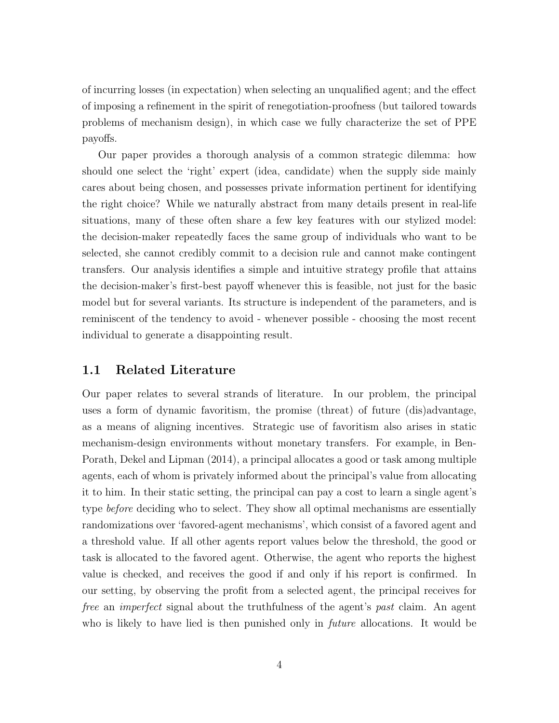of incurring losses (in expectation) when selecting an unqualified agent; and the effect of imposing a refinement in the spirit of renegotiation-proofness (but tailored towards problems of mechanism design), in which case we fully characterize the set of PPE payoffs.

Our paper provides a thorough analysis of a common strategic dilemma: how should one select the 'right' expert (idea, candidate) when the supply side mainly cares about being chosen, and possesses private information pertinent for identifying the right choice? While we naturally abstract from many details present in real-life situations, many of these often share a few key features with our stylized model: the decision-maker repeatedly faces the same group of individuals who want to be selected, she cannot credibly commit to a decision rule and cannot make contingent transfers. Our analysis identifies a simple and intuitive strategy profile that attains the decision-maker's first-best payoff whenever this is feasible, not just for the basic model but for several variants. Its structure is independent of the parameters, and is reminiscent of the tendency to avoid - whenever possible - choosing the most recent individual to generate a disappointing result.

#### 1.1 Related Literature

Our paper relates to several strands of literature. In our problem, the principal uses a form of dynamic favoritism, the promise (threat) of future (dis)advantage, as a means of aligning incentives. Strategic use of favoritism also arises in static mechanism-design environments without monetary transfers. For example, in Ben-Porath, Dekel and Lipman (2014), a principal allocates a good or task among multiple agents, each of whom is privately informed about the principal's value from allocating it to him. In their static setting, the principal can pay a cost to learn a single agent's type *before* deciding who to select. They show all optimal mechanisms are essentially randomizations over 'favored-agent mechanisms', which consist of a favored agent and a threshold value. If all other agents report values below the threshold, the good or task is allocated to the favored agent. Otherwise, the agent who reports the highest value is checked, and receives the good if and only if his report is confirmed. In our setting, by observing the profit from a selected agent, the principal receives for free an *imperfect* signal about the truthfulness of the agent's past claim. An agent who is likely to have lied is then punished only in *future* allocations. It would be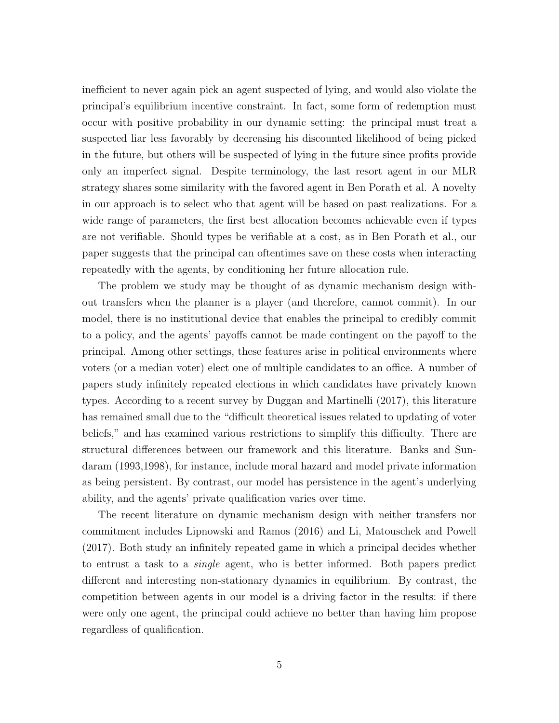inefficient to never again pick an agent suspected of lying, and would also violate the principal's equilibrium incentive constraint. In fact, some form of redemption must occur with positive probability in our dynamic setting: the principal must treat a suspected liar less favorably by decreasing his discounted likelihood of being picked in the future, but others will be suspected of lying in the future since profits provide only an imperfect signal. Despite terminology, the last resort agent in our MLR strategy shares some similarity with the favored agent in Ben Porath et al. A novelty in our approach is to select who that agent will be based on past realizations. For a wide range of parameters, the first best allocation becomes achievable even if types are not verifiable. Should types be verifiable at a cost, as in Ben Porath et al., our paper suggests that the principal can oftentimes save on these costs when interacting repeatedly with the agents, by conditioning her future allocation rule.

The problem we study may be thought of as dynamic mechanism design without transfers when the planner is a player (and therefore, cannot commit). In our model, there is no institutional device that enables the principal to credibly commit to a policy, and the agents' payoffs cannot be made contingent on the payoff to the principal. Among other settings, these features arise in political environments where voters (or a median voter) elect one of multiple candidates to an office. A number of papers study infinitely repeated elections in which candidates have privately known types. According to a recent survey by Duggan and Martinelli (2017), this literature has remained small due to the "difficult theoretical issues related to updating of voter beliefs," and has examined various restrictions to simplify this difficulty. There are structural differences between our framework and this literature. Banks and Sundaram (1993,1998), for instance, include moral hazard and model private information as being persistent. By contrast, our model has persistence in the agent's underlying ability, and the agents' private qualification varies over time.

The recent literature on dynamic mechanism design with neither transfers nor commitment includes Lipnowski and Ramos (2016) and Li, Matouschek and Powell (2017). Both study an infinitely repeated game in which a principal decides whether to entrust a task to a single agent, who is better informed. Both papers predict different and interesting non-stationary dynamics in equilibrium. By contrast, the competition between agents in our model is a driving factor in the results: if there were only one agent, the principal could achieve no better than having him propose regardless of qualification.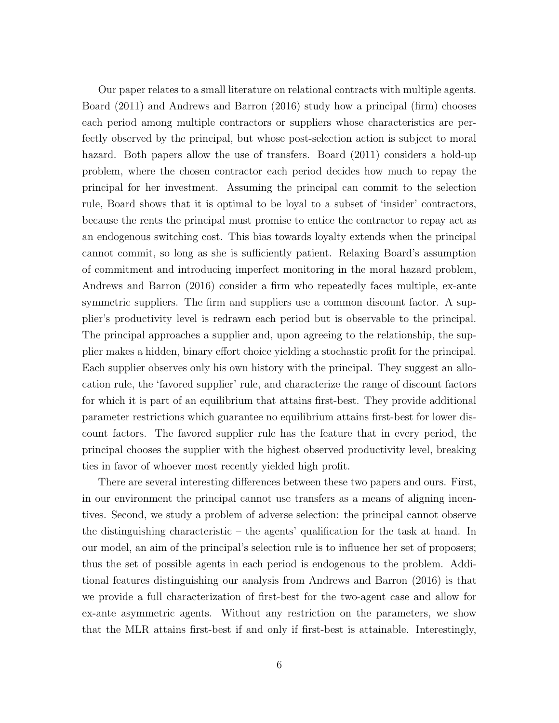Our paper relates to a small literature on relational contracts with multiple agents. Board (2011) and Andrews and Barron (2016) study how a principal (firm) chooses each period among multiple contractors or suppliers whose characteristics are perfectly observed by the principal, but whose post-selection action is subject to moral hazard. Both papers allow the use of transfers. Board (2011) considers a hold-up problem, where the chosen contractor each period decides how much to repay the principal for her investment. Assuming the principal can commit to the selection rule, Board shows that it is optimal to be loyal to a subset of 'insider' contractors, because the rents the principal must promise to entice the contractor to repay act as an endogenous switching cost. This bias towards loyalty extends when the principal cannot commit, so long as she is sufficiently patient. Relaxing Board's assumption of commitment and introducing imperfect monitoring in the moral hazard problem, Andrews and Barron (2016) consider a firm who repeatedly faces multiple, ex-ante symmetric suppliers. The firm and suppliers use a common discount factor. A supplier's productivity level is redrawn each period but is observable to the principal. The principal approaches a supplier and, upon agreeing to the relationship, the supplier makes a hidden, binary effort choice yielding a stochastic profit for the principal. Each supplier observes only his own history with the principal. They suggest an allocation rule, the 'favored supplier' rule, and characterize the range of discount factors for which it is part of an equilibrium that attains first-best. They provide additional parameter restrictions which guarantee no equilibrium attains first-best for lower discount factors. The favored supplier rule has the feature that in every period, the principal chooses the supplier with the highest observed productivity level, breaking ties in favor of whoever most recently yielded high profit.

There are several interesting differences between these two papers and ours. First, in our environment the principal cannot use transfers as a means of aligning incentives. Second, we study a problem of adverse selection: the principal cannot observe the distinguishing characteristic – the agents' qualification for the task at hand. In our model, an aim of the principal's selection rule is to influence her set of proposers; thus the set of possible agents in each period is endogenous to the problem. Additional features distinguishing our analysis from Andrews and Barron (2016) is that we provide a full characterization of first-best for the two-agent case and allow for ex-ante asymmetric agents. Without any restriction on the parameters, we show that the MLR attains first-best if and only if first-best is attainable. Interestingly,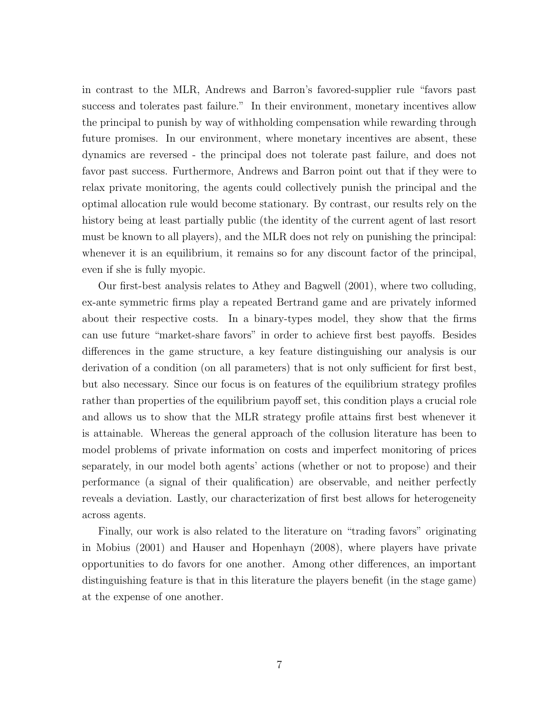in contrast to the MLR, Andrews and Barron's favored-supplier rule "favors past success and tolerates past failure." In their environment, monetary incentives allow the principal to punish by way of withholding compensation while rewarding through future promises. In our environment, where monetary incentives are absent, these dynamics are reversed - the principal does not tolerate past failure, and does not favor past success. Furthermore, Andrews and Barron point out that if they were to relax private monitoring, the agents could collectively punish the principal and the optimal allocation rule would become stationary. By contrast, our results rely on the history being at least partially public (the identity of the current agent of last resort must be known to all players), and the MLR does not rely on punishing the principal: whenever it is an equilibrium, it remains so for any discount factor of the principal, even if she is fully myopic.

Our first-best analysis relates to Athey and Bagwell (2001), where two colluding, ex-ante symmetric firms play a repeated Bertrand game and are privately informed about their respective costs. In a binary-types model, they show that the firms can use future "market-share favors" in order to achieve first best payoffs. Besides differences in the game structure, a key feature distinguishing our analysis is our derivation of a condition (on all parameters) that is not only sufficient for first best, but also necessary. Since our focus is on features of the equilibrium strategy profiles rather than properties of the equilibrium payoff set, this condition plays a crucial role and allows us to show that the MLR strategy profile attains first best whenever it is attainable. Whereas the general approach of the collusion literature has been to model problems of private information on costs and imperfect monitoring of prices separately, in our model both agents' actions (whether or not to propose) and their performance (a signal of their qualification) are observable, and neither perfectly reveals a deviation. Lastly, our characterization of first best allows for heterogeneity across agents.

Finally, our work is also related to the literature on "trading favors" originating in Mobius (2001) and Hauser and Hopenhayn (2008), where players have private opportunities to do favors for one another. Among other differences, an important distinguishing feature is that in this literature the players benefit (in the stage game) at the expense of one another.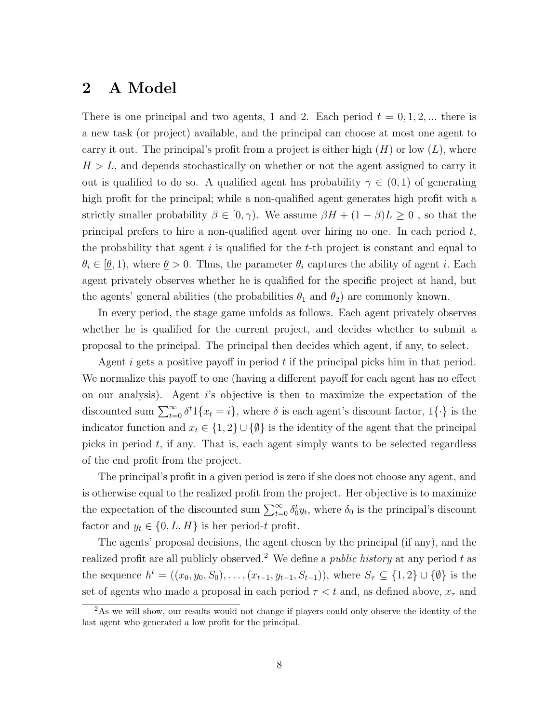## 2 A Model

There is one principal and two agents, 1 and 2. Each period  $t = 0, 1, 2, ...$  there is a new task (or project) available, and the principal can choose at most one agent to carry it out. The principal's profit from a project is either high  $(H)$  or low  $(L)$ , where  $H > L$ , and depends stochastically on whether or not the agent assigned to carry it out is qualified to do so. A qualified agent has probability  $\gamma \in (0,1)$  of generating high profit for the principal; while a non-qualified agent generates high profit with a strictly smaller probability  $\beta \in [0, \gamma)$ . We assume  $\beta H + (1 - \beta)L \ge 0$ , so that the principal prefers to hire a non-qualified agent over hiring no one. In each period  $t$ , the probability that agent  $i$  is qualified for the  $t$ -th project is constant and equal to  $\theta_i \in [\theta, 1]$ , where  $\theta > 0$ . Thus, the parameter  $\theta_i$  captures the ability of agent i. Each agent privately observes whether he is qualified for the specific project at hand, but the agents' general abilities (the probabilities  $\theta_1$  and  $\theta_2$ ) are commonly known.

In every period, the stage game unfolds as follows. Each agent privately observes whether he is qualified for the current project, and decides whether to submit a proposal to the principal. The principal then decides which agent, if any, to select.

Agent  $i$  gets a positive payoff in period  $t$  if the principal picks him in that period. We normalize this payoff to one (having a different payoff for each agent has no effect on our analysis). Agent i's objective is then to maximize the expectation of the discounted sum  $\sum_{t=0}^{\infty} \delta^t \mathbb{1}\{x_t = i\}$ , where  $\delta$  is each agent's discount factor,  $\mathbb{1}\{\cdot\}$  is the indicator function and  $x_t \in \{1,2\} \cup \{\emptyset\}$  is the identity of the agent that the principal picks in period  $t$ , if any. That is, each agent simply wants to be selected regardless of the end profit from the project.

The principal's profit in a given period is zero if she does not choose any agent, and is otherwise equal to the realized profit from the project. Her objective is to maximize the expectation of the discounted sum  $\sum_{t=0}^{\infty} \delta_t^t y_t$ , where  $\delta_0$  is the principal's discount factor and  $y_t \in \{0, L, H\}$  is her period-t profit.

The agents' proposal decisions, the agent chosen by the principal (if any), and the realized profit are all publicly observed.<sup>2</sup> We define a *public history* at any period t as the sequence  $h^t = ((x_0, y_0, S_0), \ldots, (x_{t-1}, y_{t-1}, S_{t-1}))$ , where  $S_{\tau} \subseteq \{1, 2\} \cup \{\emptyset\}$  is the set of agents who made a proposal in each period  $\tau < t$  and, as defined above,  $x_{\tau}$  and

<sup>&</sup>lt;sup>2</sup>As we will show, our results would not change if players could only observe the identity of the last agent who generated a low profit for the principal.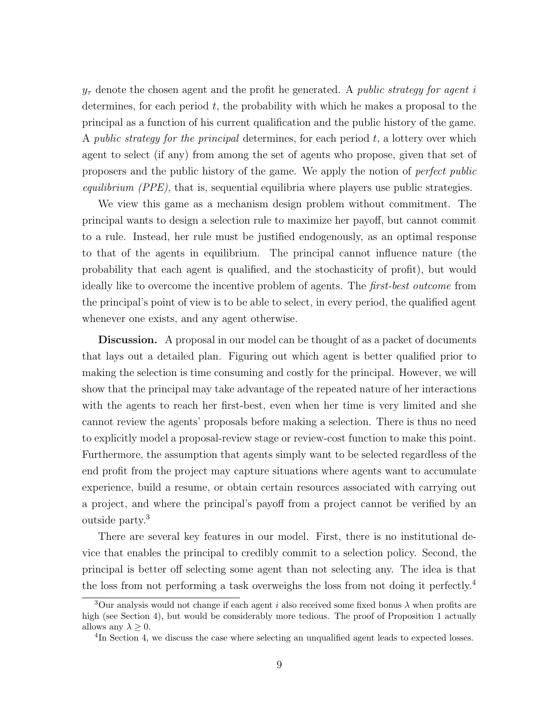$y_{\tau}$  denote the chosen agent and the profit he generated. A public strategy for agent i determines, for each period  $t$ , the probability with which he makes a proposal to the principal as a function of his current qualification and the public history of the game. A public strategy for the principal determines, for each period  $t$ , a lottery over which agent to select (if any) from among the set of agents who propose, given that set of proposers and the public history of the game. We apply the notion of perfect public *equilibrium (PPE)*, that is, sequential equilibria where players use public strategies.

We view this game as a mechanism design problem without commitment. The principal wants to design a selection rule to maximize her payoff, but cannot commit to a rule. Instead, her rule must be justified endogenously, as an optimal response to that of the agents in equilibrium. The principal cannot influence nature (the probability that each agent is qualified, and the stochasticity of profit), but would ideally like to overcome the incentive problem of agents. The first-best outcome from the principal's point of view is to be able to select, in every period, the qualified agent whenever one exists, and any agent otherwise.

Discussion. A proposal in our model can be thought of as a packet of documents that lays out a detailed plan. Figuring out which agent is better qualified prior to making the selection is time consuming and costly for the principal. However, we will show that the principal may take advantage of the repeated nature of her interactions with the agents to reach her first-best, even when her time is very limited and she cannot review the agents' proposals before making a selection. There is thus no need to explicitly model a proposal-review stage or review-cost function to make this point. Furthermore, the assumption that agents simply want to be selected regardless of the end profit from the project may capture situations where agents want to accumulate experience, build a resume, or obtain certain resources associated with carrying out a project, and where the principal's payoff from a project cannot be verified by an outside party.<sup>3</sup>

There are several key features in our model. First, there is no institutional device that enables the principal to credibly commit to a selection policy. Second, the principal is better off selecting some agent than not selecting any. The idea is that the loss from not performing a task overweighs the loss from not doing it perfectly.<sup>4</sup>

<sup>&</sup>lt;sup>3</sup>Our analysis would not change if each agent i also received some fixed bonus  $\lambda$  when profits are high (see Section 4), but would be considerably more tedious. The proof of Proposition 1 actually allows any  $\lambda > 0$ .

<sup>&</sup>lt;sup>4</sup>In Section 4, we discuss the case where selecting an unqualified agent leads to expected losses.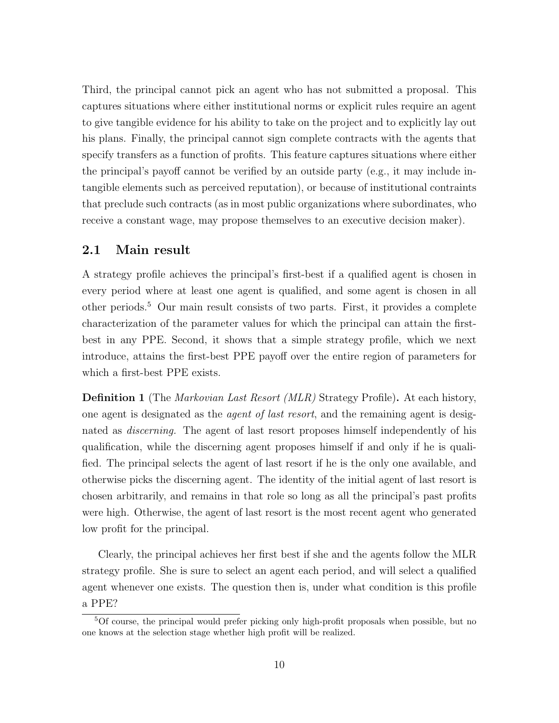Third, the principal cannot pick an agent who has not submitted a proposal. This captures situations where either institutional norms or explicit rules require an agent to give tangible evidence for his ability to take on the project and to explicitly lay out his plans. Finally, the principal cannot sign complete contracts with the agents that specify transfers as a function of profits. This feature captures situations where either the principal's payoff cannot be verified by an outside party (e.g., it may include intangible elements such as perceived reputation), or because of institutional contraints that preclude such contracts (as in most public organizations where subordinates, who receive a constant wage, may propose themselves to an executive decision maker).

#### 2.1 Main result

A strategy profile achieves the principal's first-best if a qualified agent is chosen in every period where at least one agent is qualified, and some agent is chosen in all other periods.<sup>5</sup> Our main result consists of two parts. First, it provides a complete characterization of the parameter values for which the principal can attain the firstbest in any PPE. Second, it shows that a simple strategy profile, which we next introduce, attains the first-best PPE payoff over the entire region of parameters for which a first-best PPE exists.

**Definition 1** (The *Markovian Last Resort (MLR)* Strategy Profile). At each history, one agent is designated as the *agent of last resort*, and the remaining agent is designated as *discerning*. The agent of last resort proposes himself independently of his qualification, while the discerning agent proposes himself if and only if he is qualified. The principal selects the agent of last resort if he is the only one available, and otherwise picks the discerning agent. The identity of the initial agent of last resort is chosen arbitrarily, and remains in that role so long as all the principal's past profits were high. Otherwise, the agent of last resort is the most recent agent who generated low profit for the principal.

Clearly, the principal achieves her first best if she and the agents follow the MLR strategy profile. She is sure to select an agent each period, and will select a qualified agent whenever one exists. The question then is, under what condition is this profile a PPE?

<sup>5</sup>Of course, the principal would prefer picking only high-profit proposals when possible, but no one knows at the selection stage whether high profit will be realized.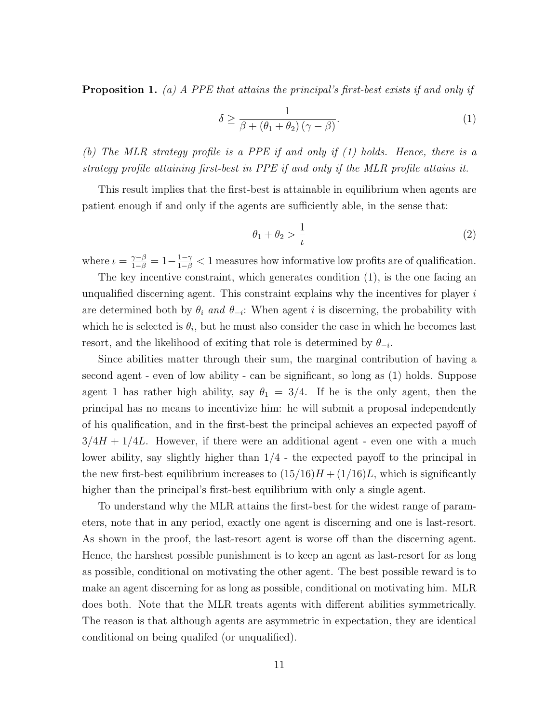**Proposition 1.** (a) A PPE that attains the principal's first-best exists if and only if

$$
\delta \ge \frac{1}{\beta + (\theta_1 + \theta_2)(\gamma - \beta)}.\tag{1}
$$

(b) The MLR strategy profile is a PPE if and only if (1) holds. Hence, there is a strategy profile attaining first-best in PPE if and only if the MLR profile attains it.

This result implies that the first-best is attainable in equilibrium when agents are patient enough if and only if the agents are sufficiently able, in the sense that:

$$
\theta_1 + \theta_2 > \frac{1}{\iota} \tag{2}
$$

where  $\iota = \frac{\gamma - \beta}{1 - \beta} = 1 - \frac{1 - \gamma}{1 - \beta} < 1$  measures how informative low profits are of qualification.

The key incentive constraint, which generates condition (1), is the one facing an unqualified discerning agent. This constraint explains why the incentives for player  $i$ are determined both by  $\theta_i$  and  $\theta_{-i}$ : When agent i is discerning, the probability with which he is selected is  $\theta_i$ , but he must also consider the case in which he becomes last resort, and the likelihood of exiting that role is determined by  $\theta_{-i}$ .

Since abilities matter through their sum, the marginal contribution of having a second agent - even of low ability - can be significant, so long as (1) holds. Suppose agent 1 has rather high ability, say  $\theta_1 = 3/4$ . If he is the only agent, then the principal has no means to incentivize him: he will submit a proposal independently of his qualification, and in the first-best the principal achieves an expected payoff of  $3/4H + 1/4L$ . However, if there were an additional agent - even one with a much lower ability, say slightly higher than  $1/4$  - the expected payoff to the principal in the new first-best equilibrium increases to  $(15/16)H + (1/16)L$ , which is significantly higher than the principal's first-best equilibrium with only a single agent.

To understand why the MLR attains the first-best for the widest range of parameters, note that in any period, exactly one agent is discerning and one is last-resort. As shown in the proof, the last-resort agent is worse off than the discerning agent. Hence, the harshest possible punishment is to keep an agent as last-resort for as long as possible, conditional on motivating the other agent. The best possible reward is to make an agent discerning for as long as possible, conditional on motivating him. MLR does both. Note that the MLR treats agents with different abilities symmetrically. The reason is that although agents are asymmetric in expectation, they are identical conditional on being qualifed (or unqualified).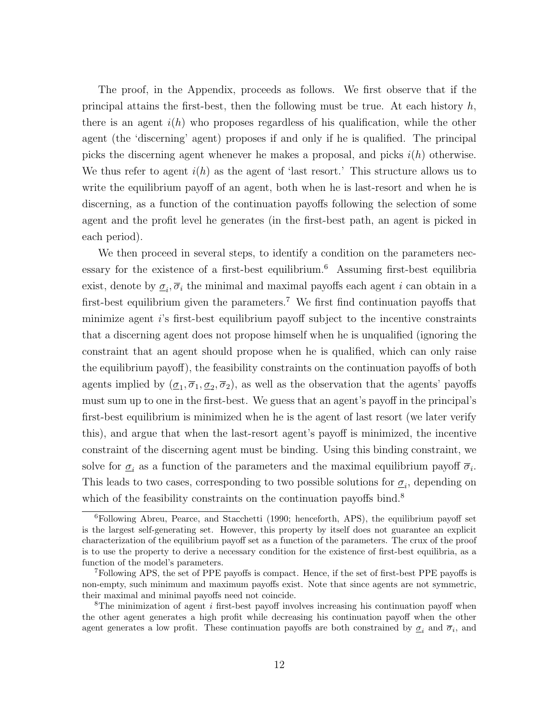The proof, in the Appendix, proceeds as follows. We first observe that if the principal attains the first-best, then the following must be true. At each history  $h$ , there is an agent  $i(h)$  who proposes regardless of his qualification, while the other agent (the 'discerning' agent) proposes if and only if he is qualified. The principal picks the discerning agent whenever he makes a proposal, and picks  $i(h)$  otherwise. We thus refer to agent  $i(h)$  as the agent of 'last resort.' This structure allows us to write the equilibrium payoff of an agent, both when he is last-resort and when he is discerning, as a function of the continuation payoffs following the selection of some agent and the profit level he generates (in the first-best path, an agent is picked in each period).

We then proceed in several steps, to identify a condition on the parameters necessary for the existence of a first-best equilibrium.<sup>6</sup> Assuming first-best equilibria exist, denote by  $\underline{\sigma}_i$ ,  $\overline{\sigma}_i$  the minimal and maximal payoffs each agent i can obtain in a first-best equilibrium given the parameters.<sup>7</sup> We first find continuation payoffs that minimize agent i's first-best equilibrium payoff subject to the incentive constraints that a discerning agent does not propose himself when he is unqualified (ignoring the constraint that an agent should propose when he is qualified, which can only raise the equilibrium payoff), the feasibility constraints on the continuation payoffs of both agents implied by  $(\underline{\sigma}_1, \overline{\sigma}_1, \underline{\sigma}_2, \overline{\sigma}_2)$ , as well as the observation that the agents' payoffs must sum up to one in the first-best. We guess that an agent's payoff in the principal's first-best equilibrium is minimized when he is the agent of last resort (we later verify this), and argue that when the last-resort agent's payoff is minimized, the incentive constraint of the discerning agent must be binding. Using this binding constraint, we solve for  $\underline{\sigma}_i$  as a function of the parameters and the maximal equilibrium payoff  $\overline{\sigma}_i$ . This leads to two cases, corresponding to two possible solutions for  $\underline{\sigma}_i$ , depending on which of the feasibility constraints on the continuation payoffs bind.<sup>8</sup>

 $6$ Following Abreu, Pearce, and Stacchetti (1990; henceforth, APS), the equilibrium payoff set is the largest self-generating set. However, this property by itself does not guarantee an explicit characterization of the equilibrium payoff set as a function of the parameters. The crux of the proof is to use the property to derive a necessary condition for the existence of first-best equilibria, as a function of the model's parameters.

<sup>7</sup>Following APS, the set of PPE payoffs is compact. Hence, if the set of first-best PPE payoffs is non-empty, such minimum and maximum payoffs exist. Note that since agents are not symmetric, their maximal and minimal payoffs need not coincide.

 $8$ The minimization of agent *i* first-best payoff involves increasing his continuation payoff when the other agent generates a high profit while decreasing his continuation payoff when the other agent generates a low profit. These continuation payoffs are both constrained by  $\sigma_i$  and  $\overline{\sigma}_i$ , and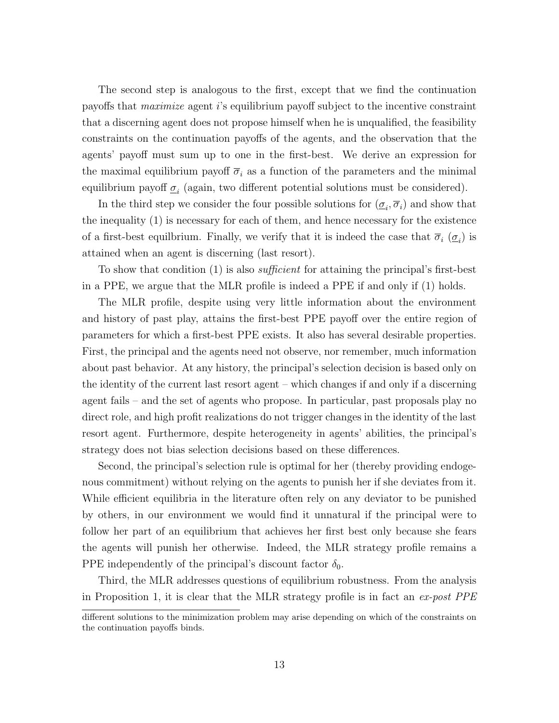The second step is analogous to the first, except that we find the continuation payoffs that maximize agent i's equilibrium payoff subject to the incentive constraint that a discerning agent does not propose himself when he is unqualified, the feasibility constraints on the continuation payoffs of the agents, and the observation that the agents' payoff must sum up to one in the first-best. We derive an expression for the maximal equilibrium payoff  $\overline{\sigma}_i$  as a function of the parameters and the minimal equilibrium payoff  $\mathcal{Q}_i$  (again, two different potential solutions must be considered).

In the third step we consider the four possible solutions for  $(\underline{\sigma}_i, \overline{\sigma}_i)$  and show that the inequality (1) is necessary for each of them, and hence necessary for the existence of a first-best equilibrium. Finally, we verify that it is indeed the case that  $\overline{\sigma}_i$  ( $\underline{\sigma}_i$ ) is attained when an agent is discerning (last resort).

To show that condition (1) is also *sufficient* for attaining the principal's first-best in a PPE, we argue that the MLR profile is indeed a PPE if and only if (1) holds.

The MLR profile, despite using very little information about the environment and history of past play, attains the first-best PPE payoff over the entire region of parameters for which a first-best PPE exists. It also has several desirable properties. First, the principal and the agents need not observe, nor remember, much information about past behavior. At any history, the principal's selection decision is based only on the identity of the current last resort agent – which changes if and only if a discerning agent fails – and the set of agents who propose. In particular, past proposals play no direct role, and high profit realizations do not trigger changes in the identity of the last resort agent. Furthermore, despite heterogeneity in agents' abilities, the principal's strategy does not bias selection decisions based on these differences.

Second, the principal's selection rule is optimal for her (thereby providing endogenous commitment) without relying on the agents to punish her if she deviates from it. While efficient equilibria in the literature often rely on any deviator to be punished by others, in our environment we would find it unnatural if the principal were to follow her part of an equilibrium that achieves her first best only because she fears the agents will punish her otherwise. Indeed, the MLR strategy profile remains a PPE independently of the principal's discount factor  $\delta_0$ .

Third, the MLR addresses questions of equilibrium robustness. From the analysis in Proposition 1, it is clear that the MLR strategy profile is in fact an  $ex\text{-}post$  PPE

different solutions to the minimization problem may arise depending on which of the constraints on the continuation payoffs binds.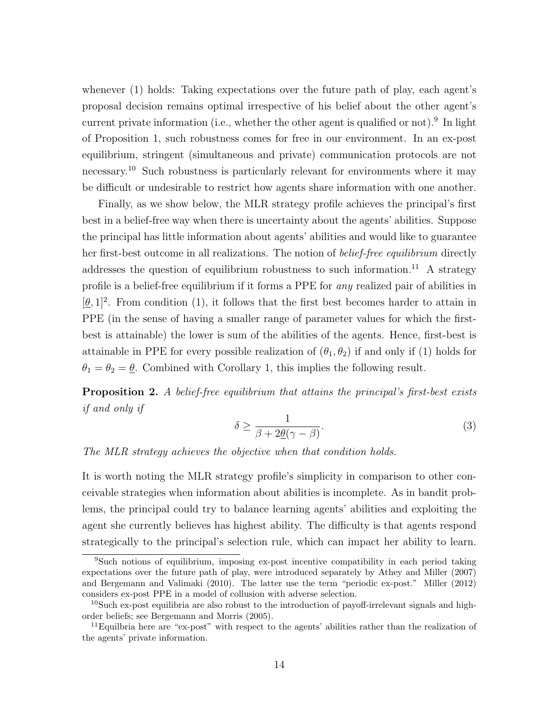whenever (1) holds: Taking expectations over the future path of play, each agent's proposal decision remains optimal irrespective of his belief about the other agent's current private information (i.e., whether the other agent is qualified or not).<sup>9</sup> In light of Proposition 1, such robustness comes for free in our environment. In an ex-post equilibrium, stringent (simultaneous and private) communication protocols are not necessary.<sup>10</sup> Such robustness is particularly relevant for environments where it may be difficult or undesirable to restrict how agents share information with one another.

Finally, as we show below, the MLR strategy profile achieves the principal's first best in a belief-free way when there is uncertainty about the agents' abilities. Suppose the principal has little information about agents' abilities and would like to guarantee her first-best outcome in all realizations. The notion of *belief-free equilibrium* directly addresses the question of equilibrium robustness to such information.<sup>11</sup> A strategy profile is a belief-free equilibrium if it forms a PPE for any realized pair of abilities in  $[\underline{\theta},1]^2$ . From condition (1), it follows that the first best becomes harder to attain in PPE (in the sense of having a smaller range of parameter values for which the firstbest is attainable) the lower is sum of the abilities of the agents. Hence, first-best is attainable in PPE for every possible realization of  $(\theta_1, \theta_2)$  if and only if (1) holds for  $\theta_1 = \theta_2 = \underline{\theta}$ . Combined with Corollary 1, this implies the following result.

**Proposition 2.** A belief-free equilibrium that attains the principal's first-best exists if and only if

$$
\delta \ge \frac{1}{\beta + 2\underline{\theta}(\gamma - \beta)}.\tag{3}
$$

The MLR strategy achieves the objective when that condition holds.

It is worth noting the MLR strategy profile's simplicity in comparison to other conceivable strategies when information about abilities is incomplete. As in bandit problems, the principal could try to balance learning agents' abilities and exploiting the agent she currently believes has highest ability. The difficulty is that agents respond strategically to the principal's selection rule, which can impact her ability to learn.

<sup>9</sup>Such notions of equilibrium, imposing ex-post incentive compatibility in each period taking expectations over the future path of play, were introduced separately by Athey and Miller (2007) and Bergemann and Valimaki (2010). The latter use the term "periodic ex-post." Miller (2012) considers ex-post PPE in a model of collusion with adverse selection.

<sup>&</sup>lt;sup>10</sup>Such ex-post equilibria are also robust to the introduction of payoff-irrelevant signals and highorder beliefs; see Bergemann and Morris (2005).

<sup>&</sup>lt;sup>11</sup>Equilbria here are "ex-post" with respect to the agents' abilities rather than the realization of the agents' private information.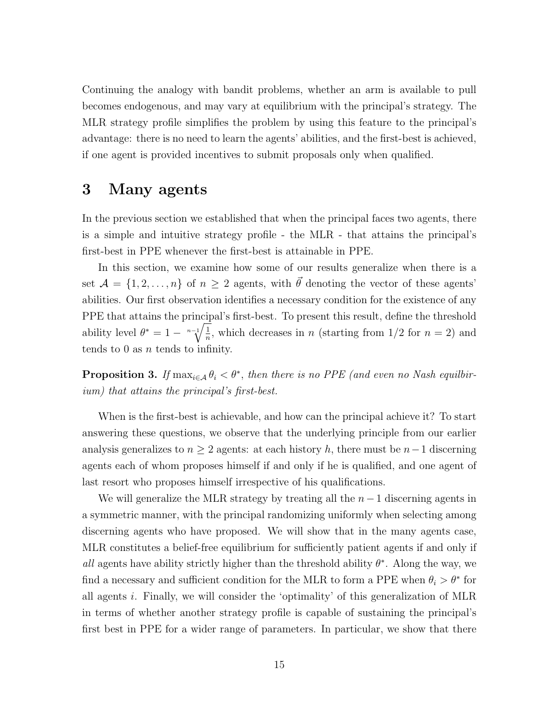Continuing the analogy with bandit problems, whether an arm is available to pull becomes endogenous, and may vary at equilibrium with the principal's strategy. The MLR strategy profile simplifies the problem by using this feature to the principal's advantage: there is no need to learn the agents' abilities, and the first-best is achieved, if one agent is provided incentives to submit proposals only when qualified.

### 3 Many agents

In the previous section we established that when the principal faces two agents, there is a simple and intuitive strategy profile - the MLR - that attains the principal's first-best in PPE whenever the first-best is attainable in PPE.

In this section, we examine how some of our results generalize when there is a set  $A = \{1, 2, ..., n\}$  of  $n \geq 2$  agents, with  $\vec{\theta}$  denoting the vector of these agents' abilities. Our first observation identifies a necessary condition for the existence of any PPE that attains the principal's first-best. To present this result, define the threshold ability level  $\theta^* = 1 - \sqrt[n-1]{\frac{1}{n}}$  $\frac{1}{n}$ , which decreases in *n* (starting from 1/2 for *n* = 2) and tends to 0 as  $n$  tends to infinity.

**Proposition 3.** If  $\max_{i \in A} \theta_i < \theta^*$ , then there is no PPE (and even no Nash equilibrium) that attains the principal's first-best.

When is the first-best is achievable, and how can the principal achieve it? To start answering these questions, we observe that the underlying principle from our earlier analysis generalizes to  $n \geq 2$  agents: at each history h, there must be  $n-1$  discerning agents each of whom proposes himself if and only if he is qualified, and one agent of last resort who proposes himself irrespective of his qualifications.

We will generalize the MLR strategy by treating all the  $n-1$  discerning agents in a symmetric manner, with the principal randomizing uniformly when selecting among discerning agents who have proposed. We will show that in the many agents case, MLR constitutes a belief-free equilibrium for sufficiently patient agents if and only if all agents have ability strictly higher than the threshold ability  $\theta^*$ . Along the way, we find a necessary and sufficient condition for the MLR to form a PPE when  $\theta_i > \theta^*$  for all agents i. Finally, we will consider the 'optimality' of this generalization of MLR in terms of whether another strategy profile is capable of sustaining the principal's first best in PPE for a wider range of parameters. In particular, we show that there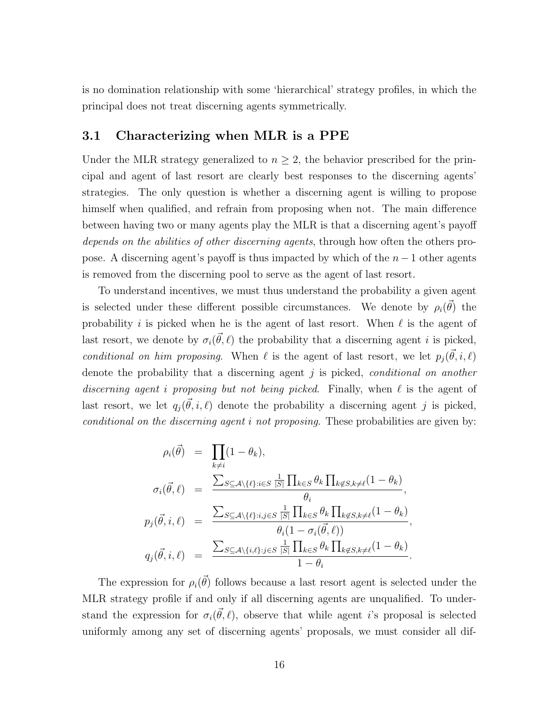is no domination relationship with some 'hierarchical' strategy profiles, in which the principal does not treat discerning agents symmetrically.

#### 3.1 Characterizing when MLR is a PPE

Under the MLR strategy generalized to  $n \geq 2$ , the behavior prescribed for the principal and agent of last resort are clearly best responses to the discerning agents' strategies. The only question is whether a discerning agent is willing to propose himself when qualified, and refrain from proposing when not. The main difference between having two or many agents play the MLR is that a discerning agent's payoff depends on the abilities of other discerning agents, through how often the others propose. A discerning agent's payoff is thus impacted by which of the  $n-1$  other agents is removed from the discerning pool to serve as the agent of last resort.

To understand incentives, we must thus understand the probability a given agent is selected under these different possible circumstances. We denote by  $\rho_i(\vec{\theta})$  the probability i is picked when he is the agent of last resort. When  $\ell$  is the agent of last resort, we denote by  $\sigma_i(\vec{\theta}, \ell)$  the probability that a discerning agent i is picked, conditional on him proposing. When  $\ell$  is the agent of last resort, we let  $p_j(\vec{\theta}, i, \ell)$ denote the probability that a discerning agent  $j$  is picked, conditional on another discerning agent i proposing but not being picked. Finally, when  $\ell$  is the agent of last resort, we let  $q_j(\vec{\theta}, i, \ell)$  denote the probability a discerning agent j is picked, conditional on the discerning agent i not proposing. These probabilities are given by:

$$
\rho_i(\vec{\theta}) = \prod_{k \neq i} (1 - \theta_k),
$$
\n
$$
\sigma_i(\vec{\theta}, \ell) = \frac{\sum_{S \subseteq A \setminus \{\ell\} : i \in S} \frac{1}{|S|} \prod_{k \in S} \theta_k \prod_{k \notin S, k \neq \ell} (1 - \theta_k)}{\theta_i},
$$
\n
$$
p_j(\vec{\theta}, i, \ell) = \frac{\sum_{S \subseteq A \setminus \{\ell\} : i, j \in S} \frac{1}{|S|} \prod_{k \in S} \theta_k \prod_{k \notin S, k \neq \ell} (1 - \theta_k)}{\theta_i (1 - \sigma_i(\vec{\theta}, \ell))},
$$
\n
$$
q_j(\vec{\theta}, i, \ell) = \frac{\sum_{S \subseteq A \setminus \{i, \ell\} : j \in S} \frac{1}{|S|} \prod_{k \in S} \theta_k \prod_{k \notin S, k \neq \ell} (1 - \theta_k)}{1 - \theta_i}.
$$

The expression for  $\rho_i(\vec{\theta})$  follows because a last resort agent is selected under the MLR strategy profile if and only if all discerning agents are unqualified. To understand the expression for  $\sigma_i(\vec{\theta}, \ell)$ , observe that while agent is proposal is selected uniformly among any set of discerning agents' proposals, we must consider all dif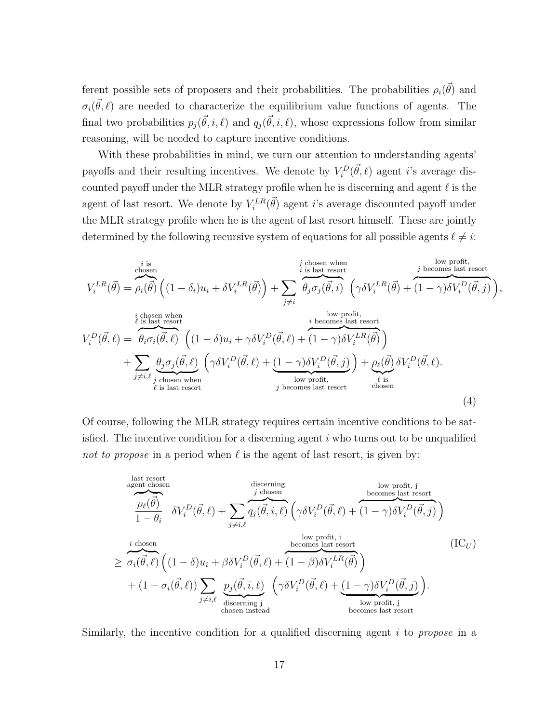ferent possible sets of proposers and their probabilities. The probabilities  $\rho_i(\vec{\theta})$  and  $\sigma_i(\vec{\theta},\ell)$  are needed to characterize the equilibrium value functions of agents. The final two probabilities  $p_j(\vec{\theta}, i, \ell)$  and  $q_j(\vec{\theta}, i, \ell)$ , whose expressions follow from similar reasoning, will be needed to capture incentive conditions.

With these probabilities in mind, we turn our attention to understanding agents' payoffs and their resulting incentives. We denote by  $V_i^D(\vec{\theta}, \ell)$  agent *i*'s average discounted payoff under the MLR strategy profile when he is discerning and agent  $\ell$  is the agent of last resort. We denote by  $V_i^{LR}(\vec{\theta})$  agent *i*'s average discounted payoff under the MLR strategy profile when he is the agent of last resort himself. These are jointly determined by the following recursive system of equations for all possible agents  $\ell \neq i$ :

$$
V_i^{LR}(\vec{\theta}) = \rho_i(\vec{\theta}) \left( (1 - \delta_i) u_i + \delta V_i^{LR}(\vec{\theta}) \right) + \sum_{j \neq i} \oint_{\theta_j \sigma_j(\vec{\theta}, i)}^{j \text{ chosen when}} \left( \gamma \delta V_i^{LR}(\vec{\theta}) + (1 - \gamma) \delta V_i^{D}(\vec{\theta}, j) \right),
$$
\n
$$
V_i^{D}(\vec{\theta}, \ell) = \theta_i \sigma_i(\vec{\theta}, \ell) \left( (1 - \delta_i) u_i + \gamma \delta V_i^{D}(\vec{\theta}, \ell) + (1 - \gamma) \delta V_i^{LR}(\vec{\theta}) \right)
$$
\n
$$
+ \sum_{j \neq i, \ell} \oint_{j \text{ chosen when}}^{j \text{ chosen when}} \left( (\gamma \delta V_i^{D}(\vec{\theta}, \ell) + (1 - \gamma) \delta V_i^{D}(\vec{\theta}, \ell) \right) + \sum_{j \neq i, \ell} \oint_{j \text{ chosen when}}^{j \text{ chosen when}} \left( \gamma \delta V_i^{D}(\vec{\theta}, \ell) + (1 - \gamma) \delta V_i^{D}(\vec{\theta}, \ell) \right)
$$
\n
$$
+ \sum_{j \neq i, \ell} \oint_{j \text{ chosen when}}^{j \text{ chosen when}} \left( \gamma \delta V_i^{D}(\vec{\theta}, \ell) + (1 - \gamma) \delta V_i^{D}(\vec{\theta}, \ell) \right) + \rho_\ell(\vec{\theta}) \delta V_i^{D}(\vec{\theta}, \ell).
$$
\n(4)

Of course, following the MLR strategy requires certain incentive conditions to be satisfied. The incentive condition for a discerning agent  $i$  who turns out to be unqualified not to propose in a period when  $\ell$  is the agent of last resort, is given by:

$$
\overbrace{\text{agent chosen}\atop 1-\theta_i}^{\text{last resort}} \delta V_i^D(\vec{\theta}, \ell) + \sum_{j \neq i, \ell} \overbrace{q_j(\vec{\theta}, i, \ell)}^{\text{discerning}} \left(\gamma \delta V_i^D(\vec{\theta}, \ell) + \overbrace{(1-\gamma)\delta V_i^D(\vec{\theta}, j)}^{\text{bewes last resort}}\right)
$$
\n
$$
\geq \overbrace{\sigma_i(\vec{\theta}, \ell)}^{\text{icobsen}} \left((1-\delta)u_i + \beta \delta V_i^D(\vec{\theta}, \ell) + \overbrace{(1-\beta)\delta V_i^L(\vec{\theta})}^{\text{low profit, i}}\right)
$$
\n
$$
+ (1-\sigma_i(\vec{\theta}, \ell)) \sum_{j \neq i, \ell} \underbrace{p_j(\vec{\theta}, i, \ell)}_{\text{discerning } j} \left(\gamma \delta V_i^D(\vec{\theta}, \ell) + \underbrace{(1-\gamma)\delta V_i^D(\vec{\theta}, j)}_{\text{low profit, j}}\right).
$$
\n(ICU)  
\n
$$
\left(\text{ICU}\right)
$$

Similarly, the incentive condition for a qualified discerning agent  $i$  to propose in a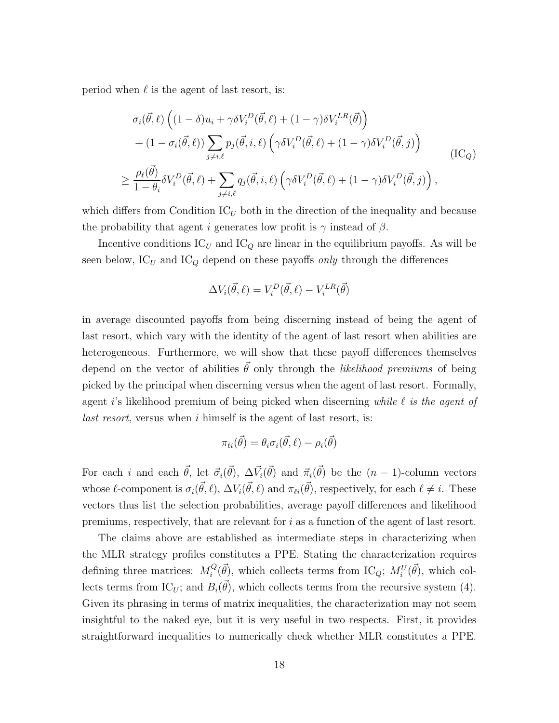period when  $\ell$  is the agent of last resort, is:

$$
\sigma_i(\vec{\theta}, \ell) \left( (1 - \delta) u_i + \gamma \delta V_i^D(\vec{\theta}, \ell) + (1 - \gamma) \delta V_i^{LR}(\vec{\theta}) \right) + (1 - \sigma_i(\vec{\theta}, \ell)) \sum_{j \neq i, \ell} p_j(\vec{\theta}, i, \ell) \left( \gamma \delta V_i^D(\vec{\theta}, \ell) + (1 - \gamma) \delta V_i^D(\vec{\theta}, j) \right) \geq \frac{\rho_\ell(\vec{\theta})}{1 - \theta_i} \delta V_i^D(\vec{\theta}, \ell) + \sum_{j \neq i, \ell} q_j(\vec{\theta}, i, \ell) \left( \gamma \delta V_i^D(\vec{\theta}, \ell) + (1 - \gamma) \delta V_i^D(\vec{\theta}, j) \right),
$$
(IC<sub>Q</sub>)

which differs from Condition  $\mathrm{IC}_U$  both in the direction of the inequality and because the probability that agent i generates low profit is  $\gamma$  instead of  $\beta$ .

Incentive conditions  $\mathrm{IC}_U$  and  $\mathrm{IC}_Q$  are linear in the equilibrium payoffs. As will be seen below,  $IC_U$  and  $IC_Q$  depend on these payoffs only through the differences

$$
\Delta V_i(\vec{\theta}, \ell) = V_i^D(\vec{\theta}, \ell) - V_i^{LR}(\vec{\theta})
$$

in average discounted payoffs from being discerning instead of being the agent of last resort, which vary with the identity of the agent of last resort when abilities are heterogeneous. Furthermore, we will show that these payoff differences themselves depend on the vector of abilities  $\vec{\theta}$  only through the *likelihood premiums* of being picked by the principal when discerning versus when the agent of last resort. Formally, agent i's likelihood premium of being picked when discerning while  $\ell$  is the agent of last resort, versus when i himself is the agent of last resort, is:

$$
\pi_{\ell i}(\vec{\theta}) = \theta_i \sigma_i(\vec{\theta}, \ell) - \rho_i(\vec{\theta})
$$

For each i and each  $\vec{\theta}$ , let  $\vec{\sigma}_i(\vec{\theta})$ ,  $\Delta \vec{V}_i(\vec{\theta})$  and  $\vec{\pi}_i(\vec{\theta})$  be the  $(n-1)$ -column vectors whose  $\ell$ -component is  $\sigma_i(\vec{\theta}, \ell)$ ,  $\Delta V_i(\vec{\theta}, \ell)$  and  $\pi_{\ell i}(\vec{\theta})$ , respectively, for each  $\ell \neq i$ . These vectors thus list the selection probabilities, average payoff differences and likelihood premiums, respectively, that are relevant for  $i$  as a function of the agent of last resort.

The claims above are established as intermediate steps in characterizing when the MLR strategy profiles constitutes a PPE. Stating the characterization requires defining three matrices:  $M_i^Q$  $i^Q(\vec{\theta})$ , which collects terms from IC<sub>Q</sub>;  $M_i^U(\vec{\theta})$ , which collects terms from IC<sub>U</sub>; and  $B_i(\vec{\theta})$ , which collects terms from the recursive system (4). Given its phrasing in terms of matrix inequalities, the characterization may not seem insightful to the naked eye, but it is very useful in two respects. First, it provides straightforward inequalities to numerically check whether MLR constitutes a PPE.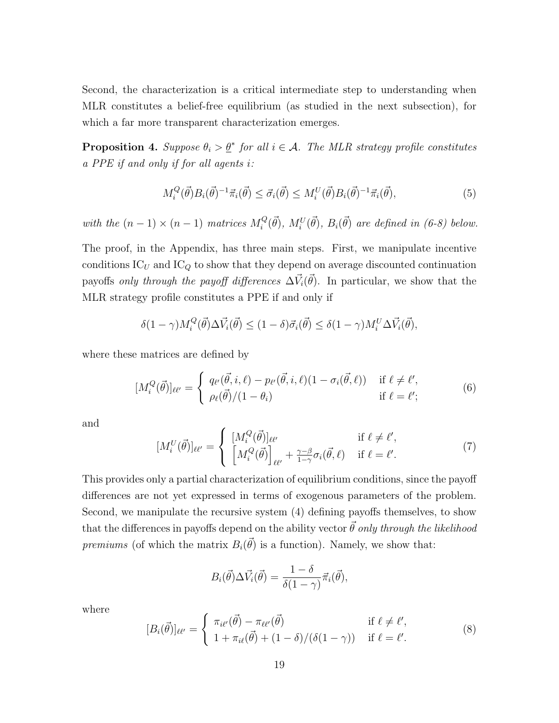Second, the characterization is a critical intermediate step to understanding when MLR constitutes a belief-free equilibrium (as studied in the next subsection), for which a far more transparent characterization emerges.

**Proposition 4.** Suppose  $\theta_i > \underline{\theta}^*$  for all  $i \in \mathcal{A}$ . The MLR strategy profile constitutes a PPE if and only if for all agents i:

$$
M_i^Q(\vec{\theta})B_i(\vec{\theta})^{-1}\vec{\pi}_i(\vec{\theta}) \le \vec{\sigma}_i(\vec{\theta}) \le M_i^U(\vec{\theta})B_i(\vec{\theta})^{-1}\vec{\pi}_i(\vec{\theta}), \tag{5}
$$

with the  $(n-1) \times (n-1)$  matrices  $M_i^Q$  $i^Q(\vec{\theta})$ ,  $M_i^U(\vec{\theta})$ ,  $B_i(\vec{\theta})$  are defined in (6-8) below.

The proof, in the Appendix, has three main steps. First, we manipulate incentive conditions  $IC_U$  and  $IC_Q$  to show that they depend on average discounted continuation payoffs *only through the payoff differences*  $\Delta \vec{V}_i(\vec{\theta})$ . In particular, we show that the MLR strategy profile constitutes a PPE if and only if

$$
\delta(1-\gamma)M_i^Q(\vec{\theta})\Delta \vec{V}_i(\vec{\theta}) \le (1-\delta)\vec{\sigma}_i(\vec{\theta}) \le \delta(1-\gamma)M_i^U\Delta \vec{V}_i(\vec{\theta}),
$$

where these matrices are defined by

$$
[M_i^Q(\vec{\theta})]_{\ell\ell'} = \begin{cases} q_{\ell'}(\vec{\theta}, i, \ell) - p_{\ell'}(\vec{\theta}, i, \ell)(1 - \sigma_i(\vec{\theta}, \ell)) & \text{if } \ell \neq \ell', \\ \rho_{\ell}(\vec{\theta})/(1 - \theta_i) & \text{if } \ell = \ell'; \end{cases}
$$
(6)

and

$$
[M_i^U(\vec{\theta})]_{\ell\ell'} = \begin{cases} [M_i^Q(\vec{\theta})]_{\ell\ell'} & \text{if } \ell \neq \ell',\\ [M_i^Q(\vec{\theta})]_{\ell\ell'} + \frac{\gamma - \beta}{1 - \gamma} \sigma_i(\vec{\theta}, \ell) & \text{if } \ell = \ell'. \end{cases}
$$
(7)

This provides only a partial characterization of equilibrium conditions, since the payoff differences are not yet expressed in terms of exogenous parameters of the problem. Second, we manipulate the recursive system (4) defining payoffs themselves, to show that the differences in payoffs depend on the ability vector  $\vec{\theta}$  only through the likelihood premiums (of which the matrix  $B_i(\vec{\theta})$  is a function). Namely, we show that:

$$
B_i(\vec{\theta})\Delta \vec{V}_i(\vec{\theta}) = \frac{1-\delta}{\delta(1-\gamma)}\vec{\pi}_i(\vec{\theta}),
$$

where

$$
[B_i(\vec{\theta})]_{\ell\ell'} = \begin{cases} \pi_{i\ell'}(\vec{\theta}) - \pi_{\ell\ell'}(\vec{\theta}) & \text{if } \ell \neq \ell',\\ 1 + \pi_{i\ell}(\vec{\theta}) + (1 - \delta) / (\delta(1 - \gamma)) & \text{if } \ell = \ell'. \end{cases}
$$
(8)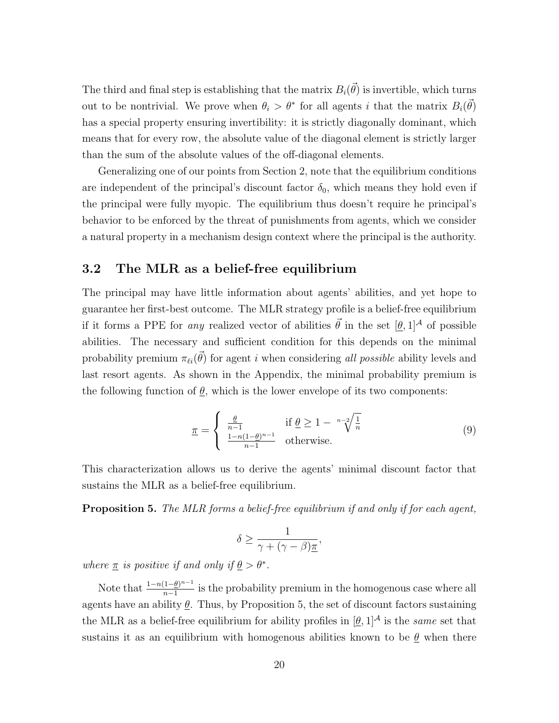The third and final step is establishing that the matrix  $B_i(\vec{\theta})$  is invertible, which turns out to be nontrivial. We prove when  $\theta_i > \theta^*$  for all agents i that the matrix  $B_i(\vec{\theta})$ has a special property ensuring invertibility: it is strictly diagonally dominant, which means that for every row, the absolute value of the diagonal element is strictly larger than the sum of the absolute values of the off-diagonal elements.

Generalizing one of our points from Section 2, note that the equilibrium conditions are independent of the principal's discount factor  $\delta_0$ , which means they hold even if the principal were fully myopic. The equilibrium thus doesn't require he principal's behavior to be enforced by the threat of punishments from agents, which we consider a natural property in a mechanism design context where the principal is the authority.

#### 3.2 The MLR as a belief-free equilibrium

The principal may have little information about agents' abilities, and yet hope to guarantee her first-best outcome. The MLR strategy profile is a belief-free equilibrium if it forms a PPE for *any* realized vector of abilities  $\vec{\theta}$  in the set  $[\theta, 1]^{\mathcal{A}}$  of possible abilities. The necessary and sufficient condition for this depends on the minimal probability premium  $\pi_{\ell i}(\vec{\theta})$  for agent i when considering all possible ability levels and last resort agents. As shown in the Appendix, the minimal probability premium is the following function of  $\underline{\theta}$ , which is the lower envelope of its two components:

$$
\underline{\pi} = \begin{cases} \frac{\underline{\theta}}{n-1} & \text{if } \underline{\theta} \ge 1 - \sqrt[n-2]{\frac{1}{n}}\\ \frac{1 - n(1 - \underline{\theta})^{n-1}}{n-1} & \text{otherwise.} \end{cases} \tag{9}
$$

This characterization allows us to derive the agents' minimal discount factor that sustains the MLR as a belief-free equilibrium.

**Proposition 5.** The MLR forms a belief-free equilibrium if and only if for each agent,

$$
\delta \ge \frac{1}{\gamma + (\gamma - \beta)\underline{\pi}},
$$

where  $\underline{\pi}$  is positive if and only if  $\underline{\theta} > \theta^*$ .

Note that  $\frac{1-n(1-\underline{\theta})^{n-1}}{n-1}$  $\frac{1-\underline{\theta}}{n-1}$  is the probability premium in the homogenous case where all agents have an ability  $\theta$ . Thus, by Proposition 5, the set of discount factors sustaining the MLR as a belief-free equilibrium for ability profiles in  $[\theta, 1]^{\mathcal{A}}$  is the same set that sustains it as an equilibrium with homogenous abilities known to be  $\theta$  when there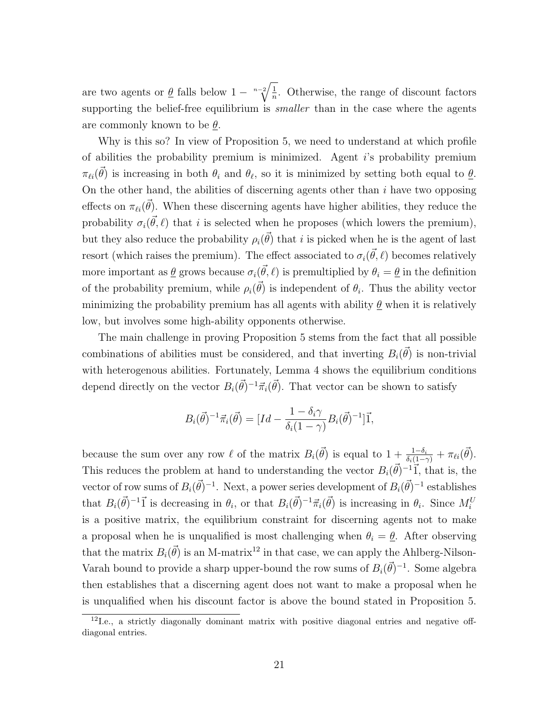are two agents or  $\underline{\theta}$  falls below  $1 - \sqrt[n-2]{\frac{1}{n}}$  $\frac{1}{n}$ . Otherwise, the range of discount factors supporting the belief-free equilibrium is *smaller* than in the case where the agents are commonly known to be  $\theta$ .

Why is this so? In view of Proposition 5, we need to understand at which profile of abilities the probability premium is minimized. Agent i's probability premium  $\pi_{\ell i}(\vec{\theta})$  is increasing in both  $\theta_i$  and  $\theta_\ell$ , so it is minimized by setting both equal to  $\underline{\theta}$ . On the other hand, the abilities of discerning agents other than  $i$  have two opposing effects on  $\pi_{\ell i}(\vec{\theta})$ . When these discerning agents have higher abilities, they reduce the probability  $\sigma_i(\vec{\theta}, \ell)$  that i is selected when he proposes (which lowers the premium), but they also reduce the probability  $\rho_i(\vec{\theta})$  that i is picked when he is the agent of last resort (which raises the premium). The effect associated to  $\sigma_i(\vec{\theta}, \ell)$  becomes relatively more important as  $\underline{\theta}$  grows because  $\sigma_i(\vec{\theta}, \ell)$  is premultiplied by  $\theta_i = \underline{\theta}$  in the definition of the probability premium, while  $\rho_i(\vec{\theta})$  is independent of  $\theta_i$ . Thus the ability vector minimizing the probability premium has all agents with ability  $\theta$  when it is relatively low, but involves some high-ability opponents otherwise.

The main challenge in proving Proposition 5 stems from the fact that all possible combinations of abilities must be considered, and that inverting  $B_i(\vec{\theta})$  is non-trivial with heterogenous abilities. Fortunately, Lemma 4 shows the equilibrium conditions depend directly on the vector  $B_i(\vec{\theta})^{-1} \vec{\pi}_i(\vec{\theta})$ . That vector can be shown to satisfy

$$
B_i(\vec{\theta})^{-1} \vec{\pi}_i(\vec{\theta}) = [Id - \frac{1 - \delta_i \gamma}{\delta_i (1 - \gamma)} B_i(\vec{\theta})^{-1}] \vec{1},
$$

because the sum over any row  $\ell$  of the matrix  $B_i(\vec{\theta})$  is equal to  $1 + \frac{1-\delta_i}{\delta_i(1-\gamma)} + \pi_{\ell i}(\vec{\theta})$ . This reduces the problem at hand to understanding the vector  $B_i(\vec{\theta})^{-1}$ , that is, the vector of row sums of  $B_i(\vec{\theta})^{-1}$ . Next, a power series development of  $B_i(\vec{\theta})^{-1}$  establishes that  $B_i(\vec{\theta})^{-1}$  is decreasing in  $\theta_i$ , or that  $B_i(\vec{\theta})^{-1} \vec{\pi}_i(\vec{\theta})$  is increasing in  $\theta_i$ . Since  $M_i^U$ is a positive matrix, the equilibrium constraint for discerning agents not to make a proposal when he is unqualified is most challenging when  $\theta_i = \underline{\theta}$ . After observing that the matrix  $B_i(\vec{\theta})$  is an M-matrix<sup>12</sup> in that case, we can apply the Ahlberg-Nilson-Varah bound to provide a sharp upper-bound the row sums of  $B_i(\vec{\theta})^{-1}$ . Some algebra then establishes that a discerning agent does not want to make a proposal when he is unqualified when his discount factor is above the bound stated in Proposition 5.

 $12$ I.e., a strictly diagonally dominant matrix with positive diagonal entries and negative offdiagonal entries.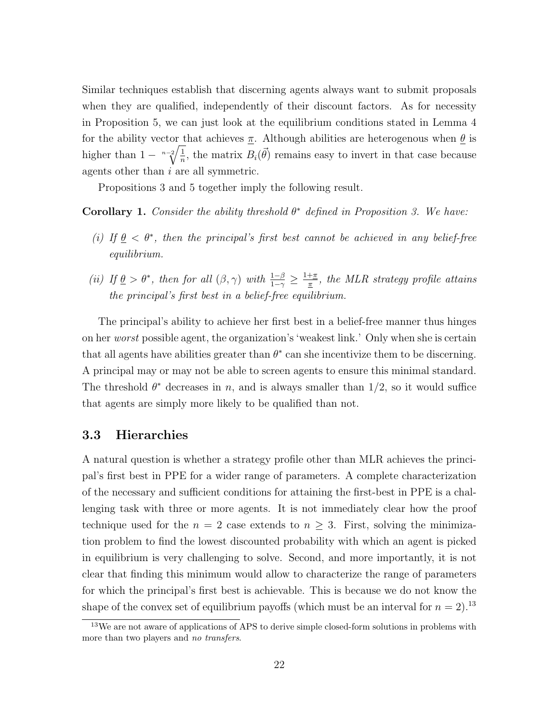Similar techniques establish that discerning agents always want to submit proposals when they are qualified, independently of their discount factors. As for necessity in Proposition 5, we can just look at the equilibrium conditions stated in Lemma 4 for the ability vector that achieves  $\pi$ . Although abilities are heterogenous when  $\theta$  is higher than  $1 - \sqrt[n-2]{\frac{1}{n}}$  $\frac{1}{n}$ , the matrix  $B_i(\vec{\theta})$  remains easy to invert in that case because agents other than i are all symmetric.

Propositions 3 and 5 together imply the following result.

**Corollary 1.** Consider the ability threshold  $\theta^*$  defined in Proposition 3. We have:

- (i) If  $\underline{\theta} < \theta^*$ , then the principal's first best cannot be achieved in any belief-free equilibrium.
- (ii) If  $\underline{\theta} > \theta^*$ , then for all  $(\beta, \gamma)$  with  $\frac{1-\beta}{1-\gamma} \geq \frac{1+\pi}{\pi}$  $\frac{+\pi}{\pi}$ , the MLR strategy profile attains the principal's first best in a belief-free equilibrium.

The principal's ability to achieve her first best in a belief-free manner thus hinges on her worst possible agent, the organization's 'weakest link.' Only when she is certain that all agents have abilities greater than  $\theta^*$  can she incentivize them to be discerning. A principal may or may not be able to screen agents to ensure this minimal standard. The threshold  $\theta^*$  decreases in n, and is always smaller than  $1/2$ , so it would suffice that agents are simply more likely to be qualified than not.

### 3.3 Hierarchies

A natural question is whether a strategy profile other than MLR achieves the principal's first best in PPE for a wider range of parameters. A complete characterization of the necessary and sufficient conditions for attaining the first-best in PPE is a challenging task with three or more agents. It is not immediately clear how the proof technique used for the  $n = 2$  case extends to  $n \geq 3$ . First, solving the minimization problem to find the lowest discounted probability with which an agent is picked in equilibrium is very challenging to solve. Second, and more importantly, it is not clear that finding this minimum would allow to characterize the range of parameters for which the principal's first best is achievable. This is because we do not know the shape of the convex set of equilibrium payoffs (which must be an interval for  $n = 2$ ).<sup>13</sup>

<sup>&</sup>lt;sup>13</sup>We are not aware of applications of APS to derive simple closed-form solutions in problems with more than two players and no transfers.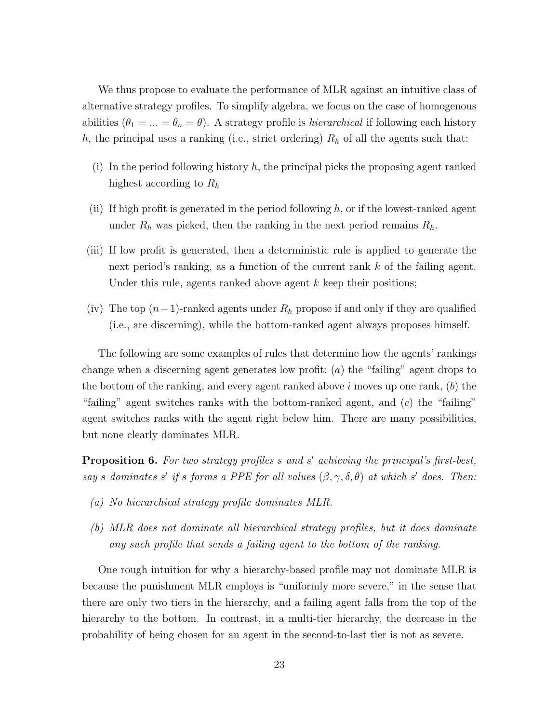We thus propose to evaluate the performance of MLR against an intuitive class of alternative strategy profiles. To simplify algebra, we focus on the case of homogenous abilities ( $\theta_1 = ... = \theta_n = \theta$ ). A strategy profile is *hierarchical* if following each history h, the principal uses a ranking (i.e., strict ordering)  $R_h$  of all the agents such that:

- (i) In the period following history  $h$ , the principal picks the proposing agent ranked highest according to  $R_h$
- (ii) If high profit is generated in the period following  $h$ , or if the lowest-ranked agent under  $R_h$  was picked, then the ranking in the next period remains  $R_h$ .
- (iii) If low profit is generated, then a deterministic rule is applied to generate the next period's ranking, as a function of the current rank  $k$  of the failing agent. Under this rule, agents ranked above agent  $k$  keep their positions;
- (iv) The top  $(n-1)$ -ranked agents under  $R_h$  propose if and only if they are qualified (i.e., are discerning), while the bottom-ranked agent always proposes himself.

The following are some examples of rules that determine how the agents' rankings change when a discerning agent generates low profit:  $(a)$  the "failing" agent drops to the bottom of the ranking, and every agent ranked above  $i$  moves up one rank,  $(b)$  the "failing" agent switches ranks with the bottom-ranked agent, and  $(c)$  the "failing" agent switches ranks with the agent right below him. There are many possibilities, but none clearly dominates MLR.

**Proposition 6.** For two strategy profiles  $s$  and  $s'$  achieving the principal's first-best, say s dominates s' if s forms a PPE for all values  $(\beta, \gamma, \delta, \theta)$  at which s' does. Then:

- (a) No hierarchical strategy profile dominates MLR.
- (b) MLR does not dominate all hierarchical strategy profiles, but it does dominate any such profile that sends a failing agent to the bottom of the ranking.

One rough intuition for why a hierarchy-based profile may not dominate MLR is because the punishment MLR employs is "uniformly more severe," in the sense that there are only two tiers in the hierarchy, and a failing agent falls from the top of the hierarchy to the bottom. In contrast, in a multi-tier hierarchy, the decrease in the probability of being chosen for an agent in the second-to-last tier is not as severe.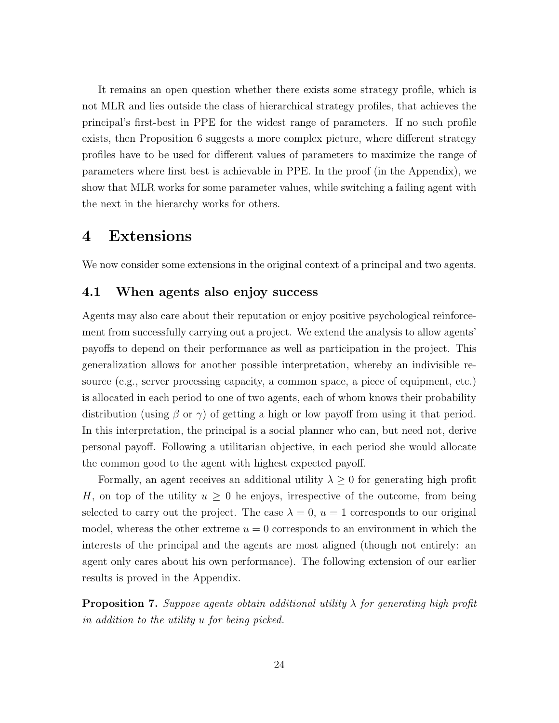It remains an open question whether there exists some strategy profile, which is not MLR and lies outside the class of hierarchical strategy profiles, that achieves the principal's first-best in PPE for the widest range of parameters. If no such profile exists, then Proposition 6 suggests a more complex picture, where different strategy profiles have to be used for different values of parameters to maximize the range of parameters where first best is achievable in PPE. In the proof (in the Appendix), we show that MLR works for some parameter values, while switching a failing agent with the next in the hierarchy works for others.

### 4 Extensions

We now consider some extensions in the original context of a principal and two agents.

#### 4.1 When agents also enjoy success

Agents may also care about their reputation or enjoy positive psychological reinforcement from successfully carrying out a project. We extend the analysis to allow agents' payoffs to depend on their performance as well as participation in the project. This generalization allows for another possible interpretation, whereby an indivisible resource (e.g., server processing capacity, a common space, a piece of equipment, etc.) is allocated in each period to one of two agents, each of whom knows their probability distribution (using  $\beta$  or  $\gamma$ ) of getting a high or low payoff from using it that period. In this interpretation, the principal is a social planner who can, but need not, derive personal payoff. Following a utilitarian objective, in each period she would allocate the common good to the agent with highest expected payoff.

Formally, an agent receives an additional utility  $\lambda \geq 0$  for generating high profit H, on top of the utility  $u \geq 0$  he enjoys, irrespective of the outcome, from being selected to carry out the project. The case  $\lambda = 0$ ,  $u = 1$  corresponds to our original model, whereas the other extreme  $u = 0$  corresponds to an environment in which the interests of the principal and the agents are most aligned (though not entirely: an agent only cares about his own performance). The following extension of our earlier results is proved in the Appendix.

**Proposition 7.** Suppose agents obtain additional utility  $\lambda$  for generating high profit in addition to the utility u for being picked.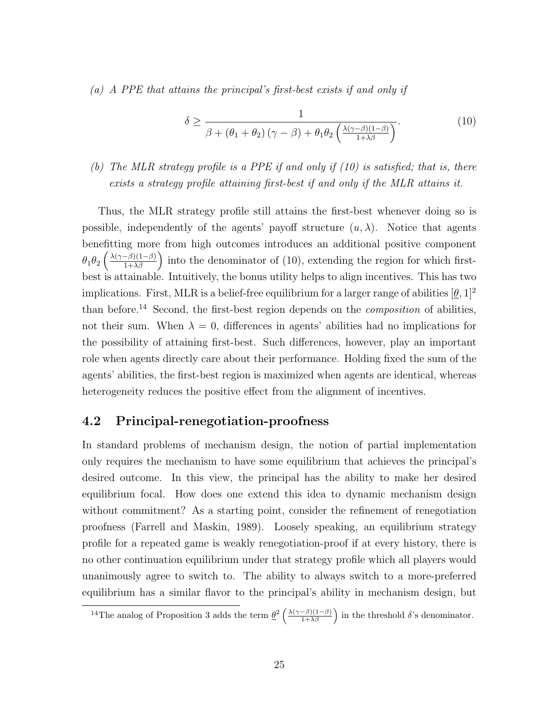(a) A PPE that attains the principal's first-best exists if and only if

$$
\delta \ge \frac{1}{\beta + (\theta_1 + \theta_2)(\gamma - \beta) + \theta_1 \theta_2 \left(\frac{\lambda(\gamma - \beta)(1 - \beta)}{1 + \lambda \beta}\right)}.
$$
\n(10)

### (b) The MLR strategy profile is a PPE if and only if (10) is satisfied; that is, there exists a strategy profile attaining first-best if and only if the MLR attains it.

Thus, the MLR strategy profile still attains the first-best whenever doing so is possible, independently of the agents' payoff structure  $(u, \lambda)$ . Notice that agents benefitting more from high outcomes introduces an additional positive component  $\theta_1\theta_2\left(\frac{\lambda(\gamma-\beta)(1-\beta)}{1+\lambda\beta}\right)$  into the denominator of (10), extending the region for which firstbest is attainable. Intuitively, the bonus utility helps to align incentives. This has two implications. First, MLR is a belief-free equilibrium for a larger range of abilities  $[\underline{\theta}, 1]^2$ than before.<sup>14</sup> Second, the first-best region depends on the *composition* of abilities, not their sum. When  $\lambda = 0$ , differences in agents' abilities had no implications for the possibility of attaining first-best. Such differences, however, play an important role when agents directly care about their performance. Holding fixed the sum of the agents' abilities, the first-best region is maximized when agents are identical, whereas heterogeneity reduces the positive effect from the alignment of incentives.

### 4.2 Principal-renegotiation-proofness

In standard problems of mechanism design, the notion of partial implementation only requires the mechanism to have some equilibrium that achieves the principal's desired outcome. In this view, the principal has the ability to make her desired equilibrium focal. How does one extend this idea to dynamic mechanism design without commitment? As a starting point, consider the refinement of renegotiation proofness (Farrell and Maskin, 1989). Loosely speaking, an equilibrium strategy profile for a repeated game is weakly renegotiation-proof if at every history, there is no other continuation equilibrium under that strategy profile which all players would unanimously agree to switch to. The ability to always switch to a more-preferred equilibrium has a similar flavor to the principal's ability in mechanism design, but

<sup>&</sup>lt;sup>14</sup>The analog of Proposition 3 adds the term  $\underline{\theta}^2 \left( \frac{\lambda(\gamma-\beta)(1-\beta)}{1+\lambda\beta} \right)$  in the threshold  $\delta$ 's denominator.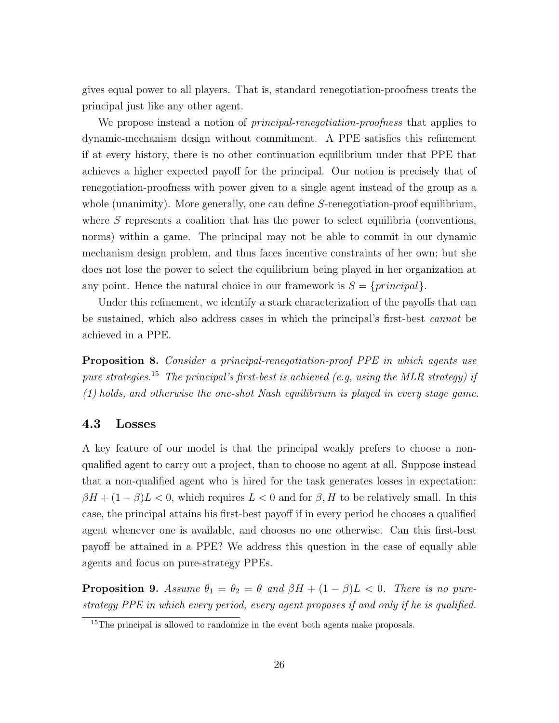gives equal power to all players. That is, standard renegotiation-proofness treats the principal just like any other agent.

We propose instead a notion of *principal-renegotiation-proofness* that applies to dynamic-mechanism design without commitment. A PPE satisfies this refinement if at every history, there is no other continuation equilibrium under that PPE that achieves a higher expected payoff for the principal. Our notion is precisely that of renegotiation-proofness with power given to a single agent instead of the group as a whole (unanimity). More generally, one can define S-renegotiation-proof equilibrium, where  $S$  represents a coalition that has the power to select equilibria (conventions, norms) within a game. The principal may not be able to commit in our dynamic mechanism design problem, and thus faces incentive constraints of her own; but she does not lose the power to select the equilibrium being played in her organization at any point. Hence the natural choice in our framework is  $S = \{principal\}.$ 

Under this refinement, we identify a stark characterization of the payoffs that can be sustained, which also address cases in which the principal's first-best cannot be achieved in a PPE.

Proposition 8. Consider a principal-renegotiation-proof PPE in which agents use pure strategies.<sup>15</sup> The principal's first-best is achieved (e.g. using the MLR strategy) if (1) holds, and otherwise the one-shot Nash equilibrium is played in every stage game.

#### 4.3 Losses

A key feature of our model is that the principal weakly prefers to choose a nonqualified agent to carry out a project, than to choose no agent at all. Suppose instead that a non-qualified agent who is hired for the task generates losses in expectation:  $\beta H + (1 - \beta)L < 0$ , which requires  $L < 0$  and for  $\beta$ , H to be relatively small. In this case, the principal attains his first-best payoff if in every period he chooses a qualified agent whenever one is available, and chooses no one otherwise. Can this first-best payoff be attained in a PPE? We address this question in the case of equally able agents and focus on pure-strategy PPEs.

**Proposition 9.** Assume  $\theta_1 = \theta_2 = \theta$  and  $\beta H + (1 - \beta)L < 0$ . There is no purestrategy PPE in which every period, every agent proposes if and only if he is qualified.

<sup>&</sup>lt;sup>15</sup>The principal is allowed to randomize in the event both agents make proposals.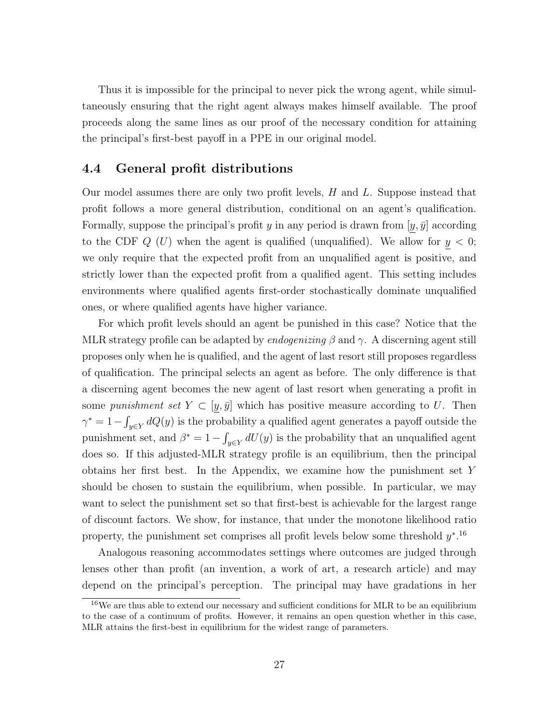Thus it is impossible for the principal to never pick the wrong agent, while simultaneously ensuring that the right agent always makes himself available. The proof proceeds along the same lines as our proof of the necessary condition for attaining the principal's first-best payoff in a PPE in our original model.

#### 4.4 General profit distributions

Our model assumes there are only two profit levels, H and L. Suppose instead that profit follows a more general distribution, conditional on an agent's qualification. Formally, suppose the principal's profit y in any period is drawn from  $[y, \bar{y}]$  according to the CDF  $Q$  (U) when the agent is qualified (unqualified). We allow for  $y < 0$ ; we only require that the expected profit from an unqualified agent is positive, and strictly lower than the expected profit from a qualified agent. This setting includes environments where qualified agents first-order stochastically dominate unqualified ones, or where qualified agents have higher variance.

For which profit levels should an agent be punished in this case? Notice that the MLR strategy profile can be adapted by *endogenizing*  $\beta$  and  $\gamma$ . A discerning agent still proposes only when he is qualified, and the agent of last resort still proposes regardless of qualification. The principal selects an agent as before. The only difference is that a discerning agent becomes the new agent of last resort when generating a profit in some punishment set  $Y \subset [y, \bar{y}]$  which has positive measure according to U. Then  $\gamma^* = 1 - \int_{y \in Y} dQ(y)$  is the probability a qualified agent generates a payoff outside the punishment set, and  $\beta^* = 1 - \int_{y \in Y} dU(y)$  is the probability that an unqualified agent does so. If this adjusted-MLR strategy profile is an equilibrium, then the principal obtains her first best. In the Appendix, we examine how the punishment set Y should be chosen to sustain the equilibrium, when possible. In particular, we may want to select the punishment set so that first-best is achievable for the largest range of discount factors. We show, for instance, that under the monotone likelihood ratio property, the punishment set comprises all profit levels below some threshold  $y^*$ .<sup>16</sup>

Analogous reasoning accommodates settings where outcomes are judged through lenses other than profit (an invention, a work of art, a research article) and may depend on the principal's perception. The principal may have gradations in her

<sup>&</sup>lt;sup>16</sup>We are thus able to extend our necessary and sufficient conditions for MLR to be an equilibrium to the case of a continuum of profits. However, it remains an open question whether in this case, MLR attains the first-best in equilibrium for the widest range of parameters.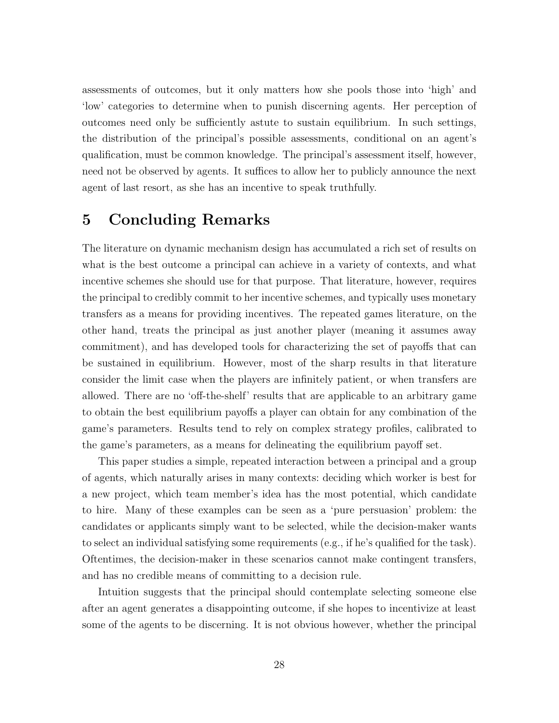assessments of outcomes, but it only matters how she pools those into 'high' and 'low' categories to determine when to punish discerning agents. Her perception of outcomes need only be sufficiently astute to sustain equilibrium. In such settings, the distribution of the principal's possible assessments, conditional on an agent's qualification, must be common knowledge. The principal's assessment itself, however, need not be observed by agents. It suffices to allow her to publicly announce the next agent of last resort, as she has an incentive to speak truthfully.

## 5 Concluding Remarks

The literature on dynamic mechanism design has accumulated a rich set of results on what is the best outcome a principal can achieve in a variety of contexts, and what incentive schemes she should use for that purpose. That literature, however, requires the principal to credibly commit to her incentive schemes, and typically uses monetary transfers as a means for providing incentives. The repeated games literature, on the other hand, treats the principal as just another player (meaning it assumes away commitment), and has developed tools for characterizing the set of payoffs that can be sustained in equilibrium. However, most of the sharp results in that literature consider the limit case when the players are infinitely patient, or when transfers are allowed. There are no 'off-the-shelf' results that are applicable to an arbitrary game to obtain the best equilibrium payoffs a player can obtain for any combination of the game's parameters. Results tend to rely on complex strategy profiles, calibrated to the game's parameters, as a means for delineating the equilibrium payoff set.

This paper studies a simple, repeated interaction between a principal and a group of agents, which naturally arises in many contexts: deciding which worker is best for a new project, which team member's idea has the most potential, which candidate to hire. Many of these examples can be seen as a 'pure persuasion' problem: the candidates or applicants simply want to be selected, while the decision-maker wants to select an individual satisfying some requirements (e.g., if he's qualified for the task). Oftentimes, the decision-maker in these scenarios cannot make contingent transfers, and has no credible means of committing to a decision rule.

Intuition suggests that the principal should contemplate selecting someone else after an agent generates a disappointing outcome, if she hopes to incentivize at least some of the agents to be discerning. It is not obvious however, whether the principal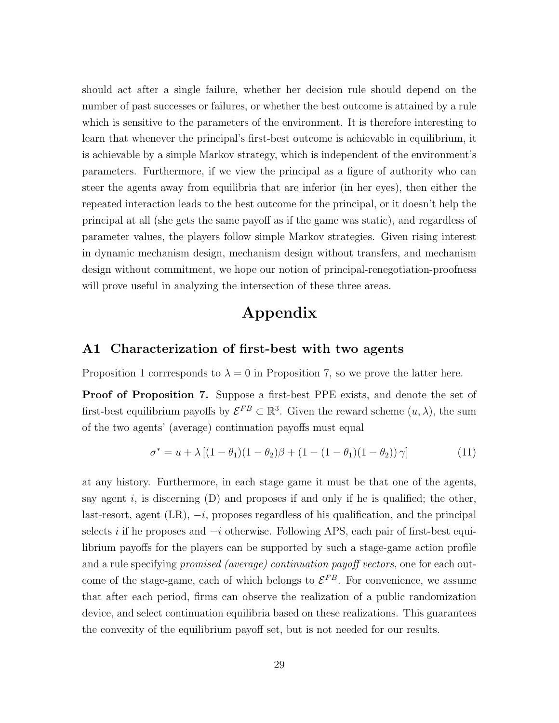should act after a single failure, whether her decision rule should depend on the number of past successes or failures, or whether the best outcome is attained by a rule which is sensitive to the parameters of the environment. It is therefore interesting to learn that whenever the principal's first-best outcome is achievable in equilibrium, it is achievable by a simple Markov strategy, which is independent of the environment's parameters. Furthermore, if we view the principal as a figure of authority who can steer the agents away from equilibria that are inferior (in her eyes), then either the repeated interaction leads to the best outcome for the principal, or it doesn't help the principal at all (she gets the same payoff as if the game was static), and regardless of parameter values, the players follow simple Markov strategies. Given rising interest in dynamic mechanism design, mechanism design without transfers, and mechanism design without commitment, we hope our notion of principal-renegotiation-proofness will prove useful in analyzing the intersection of these three areas.

## Appendix

#### A1 Characterization of first-best with two agents

Proposition 1 corrresponds to  $\lambda = 0$  in Proposition 7, so we prove the latter here.

Proof of Proposition 7. Suppose a first-best PPE exists, and denote the set of first-best equilibrium payoffs by  $\mathcal{E}^{FB} \subset \mathbb{R}^3$ . Given the reward scheme  $(u, \lambda)$ , the sum of the two agents' (average) continuation payoffs must equal

$$
\sigma^* = u + \lambda \left[ (1 - \theta_1)(1 - \theta_2)\beta + (1 - (1 - \theta_1)(1 - \theta_2))\gamma \right]
$$
(11)

at any history. Furthermore, in each stage game it must be that one of the agents, say agent i, is discerning  $(D)$  and proposes if and only if he is qualified; the other, last-resort, agent  $(LR)$ ,  $-i$ , proposes regardless of his qualification, and the principal selects i if he proposes and  $-i$  otherwise. Following APS, each pair of first-best equilibrium payoffs for the players can be supported by such a stage-game action profile and a rule specifying *promised (average) continuation payoff vectors*, one for each outcome of the stage-game, each of which belongs to  $\mathcal{E}^{FB}$ . For convenience, we assume that after each period, firms can observe the realization of a public randomization device, and select continuation equilibria based on these realizations. This guarantees the convexity of the equilibrium payoff set, but is not needed for our results.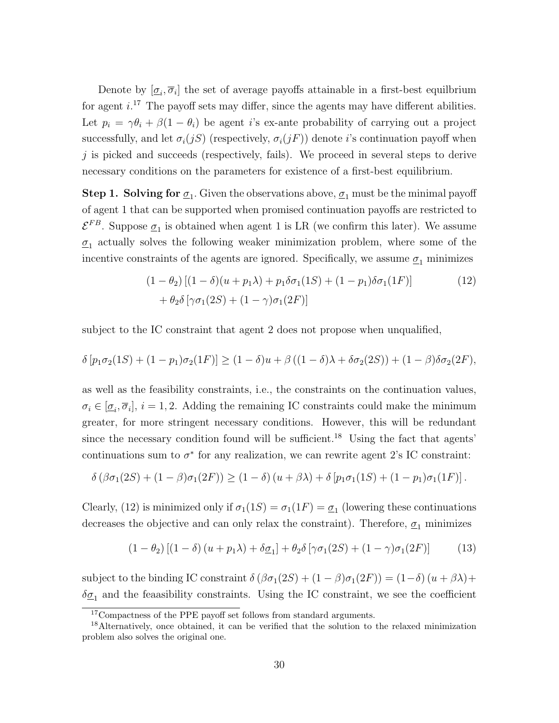Denote by  $[\underline{\sigma}_i, \overline{\sigma}_i]$  the set of average payoffs attainable in a first-best equilbrium for agent  $i^{17}$ . The payoff sets may differ, since the agents may have different abilities. Let  $p_i = \gamma \theta_i + \beta (1 - \theta_i)$  be agent is ex-ante probability of carrying out a project successfully, and let  $\sigma_i(jS)$  (respectively,  $\sigma_i(jF)$ ) denote *i*'s continuation payoff when  $j$  is picked and succeeds (respectively, fails). We proceed in several steps to derive necessary conditions on the parameters for existence of a first-best equilibrium.

**Step 1. Solving for**  $\underline{\sigma}_1$ . Given the observations above,  $\underline{\sigma}_1$  must be the minimal payoff of agent 1 that can be supported when promised continuation payoffs are restricted to  $\mathcal{E}^{FB}$ . Suppose  $\underline{\sigma}_1$  is obtained when agent 1 is LR (we confirm this later). We assume  $\sigma_1$  actually solves the following weaker minimization problem, where some of the incentive constraints of the agents are ignored. Specifically, we assume  $\underline{\sigma}_1$  minimizes

$$
(1 - \theta_2) [(1 - \delta)(u + p_1 \lambda) + p_1 \delta \sigma_1 (1S) + (1 - p_1) \delta \sigma_1 (1F)]
$$
  
+  $\theta_2 \delta [\gamma \sigma_1 (2S) + (1 - \gamma) \sigma_1 (2F)]$  (12)

subject to the IC constraint that agent 2 does not propose when unqualified,

$$
\delta\left[p_1\sigma_2(1S) + (1-p_1)\sigma_2(1F)\right] \ge (1-\delta)u + \beta((1-\delta)\lambda + \delta\sigma_2(2S)) + (1-\beta)\delta\sigma_2(2F),
$$

as well as the feasibility constraints, i.e., the constraints on the continuation values,  $\sigma_i \in [\underline{\sigma}_i, \overline{\sigma}_i], i = 1, 2$ . Adding the remaining IC constraints could make the minimum greater, for more stringent necessary conditions. However, this will be redundant since the necessary condition found will be sufficient.<sup>18</sup> Using the fact that agents' continuations sum to  $\sigma^*$  for any realization, we can rewrite agent 2's IC constraint:

$$
\delta \left( \beta \sigma_1(2S) + (1 - \beta) \sigma_1(2F) \right) \ge (1 - \delta) \left( u + \beta \lambda \right) + \delta \left[ p_1 \sigma_1(1S) + (1 - p_1) \sigma_1(1F) \right].
$$

Clearly, (12) is minimized only if  $\sigma_1(1S) = \sigma_1(1F) = \underline{\sigma}_1$  (lowering these continuations decreases the objective and can only relax the constraint). Therefore,  $\sigma_1$  minimizes

$$
(1 - \theta_2)[(1 - \delta)(u + p_1\lambda) + \delta \underline{\sigma}_1] + \theta_2 \delta [\gamma \sigma_1(2S) + (1 - \gamma)\sigma_1(2F)] \tag{13}
$$

subject to the binding IC constraint  $\delta (\beta \sigma_1(2S) + (1 - \beta) \sigma_1(2F)) = (1 - \delta) (u + \beta \lambda) +$  $\delta_{\mathcal{Q}_1}$  and the feaasibility constraints. Using the IC constraint, we see the coefficient

<sup>&</sup>lt;sup>17</sup>Compactness of the PPE payoff set follows from standard arguments.

<sup>&</sup>lt;sup>18</sup>Alternatively, once obtained, it can be verified that the solution to the relaxed minimization problem also solves the original one.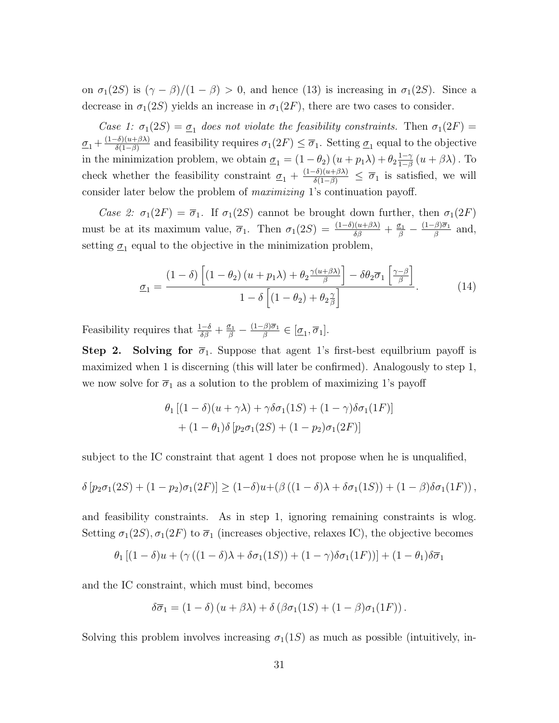on  $\sigma_1(2S)$  is  $(\gamma - \beta)/(1 - \beta) > 0$ , and hence (13) is increasing in  $\sigma_1(2S)$ . Since a decrease in  $\sigma_1(2S)$  yields an increase in  $\sigma_1(2F)$ , there are two cases to consider.

Case 1:  $\sigma_1(2S) = \sigma_1$  does not violate the feasibility constraints. Then  $\sigma_1(2F)$  $\underline{\sigma}_1 + \frac{(1-\delta)(u+\beta\lambda)}{\delta(1-\beta)}$  $\frac{\sigma_0(u+\beta\lambda)}{\delta(1-\beta)}$  and feasibility requires  $\sigma_1(2F) \leq \overline{\sigma}_1$ . Setting  $\underline{\sigma}_1$  equal to the objective in the minimization problem, we obtain  $\underline{\sigma}_1 = (1 - \theta_2)(u + p_1\lambda) + \theta_2 \frac{1 - \gamma_1}{1 - \beta_2}$  $\frac{1-\gamma}{1-\beta}\left(u+\beta\lambda\right)$  . To check whether the feasibility constraint  $\sigma_1 + \frac{(1-\delta)(u+\beta\lambda)}{\delta(1-\beta)} \leq \overline{\sigma}_1$  is satisfied, we will consider later below the problem of maximizing 1's continuation payoff.

Case 2:  $\sigma_1(2F) = \overline{\sigma}_1$ . If  $\sigma_1(2S)$  cannot be brought down further, then  $\sigma_1(2F)$ must be at its maximum value,  $\overline{\sigma}_1$ . Then  $\sigma_1(2S) = \frac{(1-\delta)(u+\beta\lambda)}{\delta\beta} + \frac{\sigma_1}{\beta} - \frac{(1-\beta)\overline{\sigma}_1}{\beta}$  $\frac{\beta}{\beta}$  and, setting  $\underline{\sigma}_1$  equal to the objective in the minimization problem,

$$
\underline{\sigma}_1 = \frac{(1-\delta)\left[ (1-\theta_2)\left( u + p_1 \lambda \right) + \theta_2 \frac{\gamma(u+\beta\lambda)}{\beta} \right] - \delta\theta_2 \overline{\sigma}_1 \left[ \frac{\gamma-\beta}{\beta} \right]}{1-\delta\left[ (1-\theta_2) + \theta_2 \frac{\gamma}{\beta} \right]}.
$$
(14)

Feasibility requires that  $\frac{1-\delta}{\delta\beta} + \frac{\sigma_1}{\beta} - \frac{(1-\beta)\overline{\sigma}_1}{\beta}$  $\frac{\beta}{\beta}$   $\in$   $[\underline{\sigma}_1, \overline{\sigma}_1].$ 

**Step 2. Solving for**  $\overline{\sigma}_1$ **.** Suppose that agent 1's first-best equilbrium payoff is maximized when 1 is discerning (this will later be confirmed). Analogously to step 1, we now solve for  $\overline{\sigma}_1$  as a solution to the problem of maximizing 1's payoff

$$
\theta_1 \left[ (1 - \delta)(u + \gamma \lambda) + \gamma \delta \sigma_1(1S) + (1 - \gamma) \delta \sigma_1(1F) \right]
$$

$$
+ (1 - \theta_1) \delta \left[ p_2 \sigma_1(2S) + (1 - p_2) \sigma_1(2F) \right]
$$

subject to the IC constraint that agent 1 does not propose when he is unqualified,

$$
\delta \left[ p_2 \sigma_1(2S) + (1-p_2) \sigma_1(2F) \right] \ge (1-\delta)u + \left( \beta \left( (1-\delta)\lambda + \delta \sigma_1(1S) \right) + (1-\beta) \delta \sigma_1(1F) \right),
$$

and feasibility constraints. As in step 1, ignoring remaining constraints is wlog. Setting  $\sigma_1(2S)$ ,  $\sigma_1(2F)$  to  $\overline{\sigma}_1$  (increases objective, relaxes IC), the objective becomes

$$
\theta_1\left[ (1-\delta)u + (\gamma((1-\delta)\lambda + \delta\sigma_1(1S)) + (1-\gamma)\delta\sigma_1(1F)) \right] + (1-\theta_1)\delta\overline{\sigma}_1
$$

and the IC constraint, which must bind, becomes

$$
\delta\overline{\sigma}_1 = (1 - \delta)(u + \beta\lambda) + \delta(\beta\sigma_1(1S) + (1 - \beta)\sigma_1(1F)).
$$

Solving this problem involves increasing  $\sigma_1(1S)$  as much as possible (intuitively, in-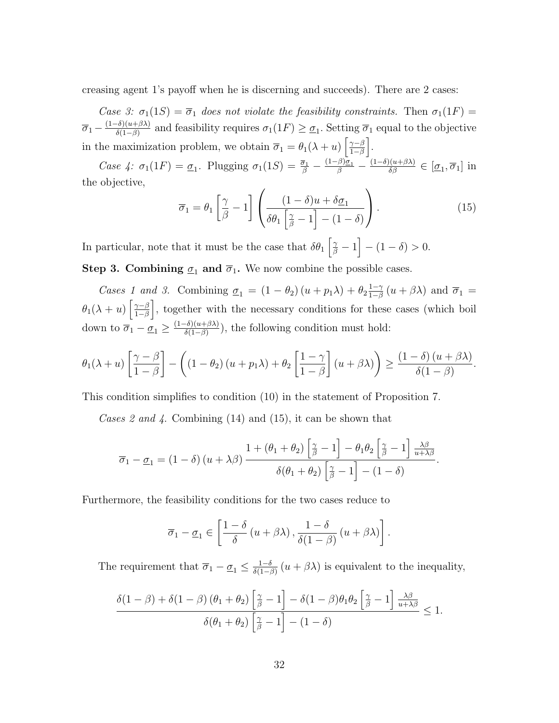creasing agent 1's payoff when he is discerning and succeeds). There are 2 cases:

Case 3:  $\sigma_1(1S) = \overline{\sigma}_1$  does not violate the feasibility constraints. Then  $\sigma_1(1F) =$  $\overline{\sigma}_1 - \frac{(1-\delta)(u+\beta\lambda)}{\delta(1-\beta)}$  $\frac{\sigma_0(u+\beta\lambda)}{\delta(1-\beta)}$  and feasibility requires  $\sigma_1(1F) \geq \underline{\sigma}_1$ . Setting  $\overline{\sigma}_1$  equal to the objective in the maximization problem, we obtain  $\overline{\sigma}_1 = \theta_1(\lambda + u) \left[ \frac{\gamma - \beta}{1 - \beta} \right]$  $\frac{\gamma-\beta}{1-\beta}$ .

Case 4:  $\sigma_1(1F) = \underline{\sigma}_1$ . Plugging  $\sigma_1(1S) = \frac{\overline{\sigma}_1}{\beta} - \frac{(1-\beta)\underline{\sigma}_1}{\beta} - \frac{(1-\delta)(u+\beta\lambda)}{\delta\beta} \in [\underline{\sigma}_1, \overline{\sigma}_1]$  in the objective,

$$
\overline{\sigma}_1 = \theta_1 \left[ \frac{\gamma}{\beta} - 1 \right] \left( \frac{(1 - \delta)u + \delta \underline{\sigma}_1}{\delta \theta_1 \left[ \frac{\gamma}{\beta} - 1 \right] - (1 - \delta)} \right). \tag{15}
$$

In particular, note that it must be the case that  $\delta\theta_1 \left[ \frac{\gamma}{\beta} - 1 \right] - (1 - \delta) > 0$ . **Step 3. Combining**  $\sigma_1$  **and**  $\overline{\sigma}_1$ **.** We now combine the possible cases.

Cases 1 and 3. Combining  $\underline{\sigma}_1 = (1 - \theta_2)(u + p_1\lambda) + \theta_2 \frac{1 - \gamma_1}{1 - \beta_2}$  $\frac{1-\gamma}{1-\beta}(u+\beta\lambda)$  and  $\overline{\sigma}_1=$  $\theta_1(\lambda+u)\left[\frac{\gamma-\beta}{1-\beta}\right]$  $\left[\frac{\gamma-\beta}{1-\beta}\right]$ , together with the necessary conditions for these cases (which boil down to  $\overline{\sigma}_1 - \underline{\sigma}_1 \geq \frac{(1-\delta)(u+\beta\lambda)}{\delta(1-\beta)}$  $\frac{\partial f(a+\beta)}{\partial (1-\beta)}$ , the following condition must hold:

$$
\theta_1(\lambda+u)\left[\frac{\gamma-\beta}{1-\beta}\right] - \left((1-\theta_2)(u+p_1\lambda)+\theta_2\left[\frac{1-\gamma}{1-\beta}\right](u+\beta\lambda)\right) \geq \frac{(1-\delta)(u+\beta\lambda)}{\delta(1-\beta)}.
$$

This condition simplifies to condition (10) in the statement of Proposition 7.

Cases 2 and 4. Combining  $(14)$  and  $(15)$ , it can be shown that

$$
\overline{\sigma}_1 - \underline{\sigma}_1 = (1 - \delta) (u + \lambda \beta) \frac{1 + (\theta_1 + \theta_2) \left[\frac{\gamma}{\beta} - 1\right] - \theta_1 \theta_2 \left[\frac{\gamma}{\beta} - 1\right] \frac{\lambda \beta}{u + \lambda \beta}}{\delta(\theta_1 + \theta_2) \left[\frac{\gamma}{\beta} - 1\right] - (1 - \delta)}.
$$

Furthermore, the feasibility conditions for the two cases reduce to

$$
\overline{\sigma}_1 - \underline{\sigma}_1 \in \left[\frac{1-\delta}{\delta}\left(u+\beta\lambda\right), \frac{1-\delta}{\delta(1-\beta)}\left(u+\beta\lambda\right)\right].
$$

The requirement that  $\overline{\sigma}_1 - \underline{\sigma}_1 \leq \frac{1-\delta}{\delta(1-\delta)}$  $\frac{1-\delta}{\delta(1-\beta)}(u+\beta\lambda)$  is equivalent to the inequality,

$$
\frac{\delta(1-\beta)+\delta(1-\beta)\left(\theta_1+\theta_2\right)\left[\frac{\gamma}{\beta}-1\right]-\delta(1-\beta)\theta_1\theta_2\left[\frac{\gamma}{\beta}-1\right]\frac{\lambda\beta}{u+\lambda\beta}}{\delta(\theta_1+\theta_2)\left[\frac{\gamma}{\beta}-1\right]-(1-\delta)} \leq 1.
$$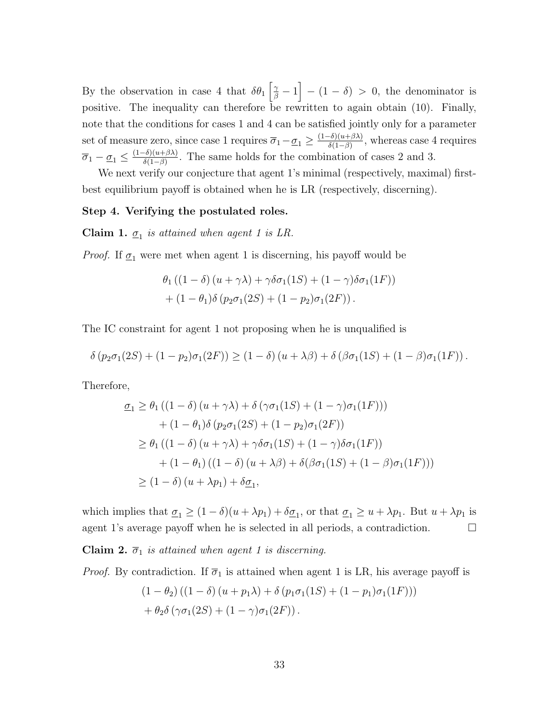By the observation in case 4 that  $\delta\theta_1 \left[ \frac{\gamma}{\beta} - 1 \right] - (1 - \delta) > 0$ , the denominator is positive. The inequality can therefore be rewritten to again obtain (10). Finally, note that the conditions for cases 1 and 4 can be satisfied jointly only for a parameter set of measure zero, since case 1 requires  $\overline{\sigma}_1 - \underline{\sigma}_1 \geq \frac{(1-\delta)(u+\beta\lambda)}{\delta(1-\beta)}$  $\frac{\partial f_0(a+\beta\lambda)}{\partial (1-\beta)}$ , whereas case 4 requires  $\overline{\sigma}_1 - \underline{\sigma}_1 \leq \frac{(1-\delta)(u+\beta\lambda)}{\delta(1-\beta)}$  $\frac{\partial f(u+\beta\lambda)}{\partial f(1-\beta)}$ . The same holds for the combination of cases 2 and 3.

We next verify our conjecture that agent 1's minimal (respectively, maximal) firstbest equilibrium payoff is obtained when he is LR (respectively, discerning).

#### Step 4. Verifying the postulated roles.

**Claim 1.**  $\underline{\sigma}_1$  is attained when agent 1 is LR.

*Proof.* If  $\underline{\sigma}_1$  were met when agent 1 is discerning, his payoff would be

$$
\theta_1 ((1 - \delta) (u + \gamma \lambda) + \gamma \delta \sigma_1 (1S) + (1 - \gamma) \delta \sigma_1 (1F))
$$

$$
+ (1 - \theta_1) \delta (p_2 \sigma_1 (2S) + (1 - p_2) \sigma_1 (2F)).
$$

The IC constraint for agent 1 not proposing when he is unqualified is

$$
\delta (p_2 \sigma_1(2S) + (1-p_2) \sigma_1(2F)) \ge (1-\delta) (u+\lambda \beta) + \delta (\beta \sigma_1(1S) + (1-\beta) \sigma_1(1F)).
$$

Therefore,

$$
\underline{\sigma}_1 \geq \theta_1 \left( (1 - \delta) (u + \gamma \lambda) + \delta (\gamma \sigma_1 (1S) + (1 - \gamma) \sigma_1 (1F)) \right)
$$
  
+ 
$$
(1 - \theta_1) \delta (p_2 \sigma_1 (2S) + (1 - p_2) \sigma_1 (2F))
$$
  

$$
\geq \theta_1 \left( (1 - \delta) (u + \gamma \lambda) + \gamma \delta \sigma_1 (1S) + (1 - \gamma) \delta \sigma_1 (1F) \right)
$$
  
+ 
$$
(1 - \theta_1) \left( (1 - \delta) (u + \lambda \beta) + \delta (\beta \sigma_1 (1S) + (1 - \beta) \sigma_1 (1F)) \right)
$$
  

$$
\geq (1 - \delta) (u + \lambda p_1) + \delta \underline{\sigma}_1,
$$

which implies that  $\underline{\sigma}_1 \geq (1 - \delta)(u + \lambda p_1) + \delta \underline{\sigma}_1$ , or that  $\underline{\sigma}_1 \geq u + \lambda p_1$ . But  $u + \lambda p_1$  is agent 1's average payoff when he is selected in all periods, a contradiction.  $\Box$ 

**Claim 2.**  $\overline{\sigma}_1$  is attained when agent 1 is discerning.

*Proof.* By contradiction. If  $\overline{\sigma}_1$  is attained when agent 1 is LR, his average payoff is

$$
(1 - \theta_2)((1 - \delta) (u + p_1 \lambda) + \delta (p_1 \sigma_1 (1S) + (1 - p_1) \sigma_1 (1F)))
$$

$$
+ \theta_2 \delta (\gamma \sigma_1 (2S) + (1 - \gamma) \sigma_1 (2F)).
$$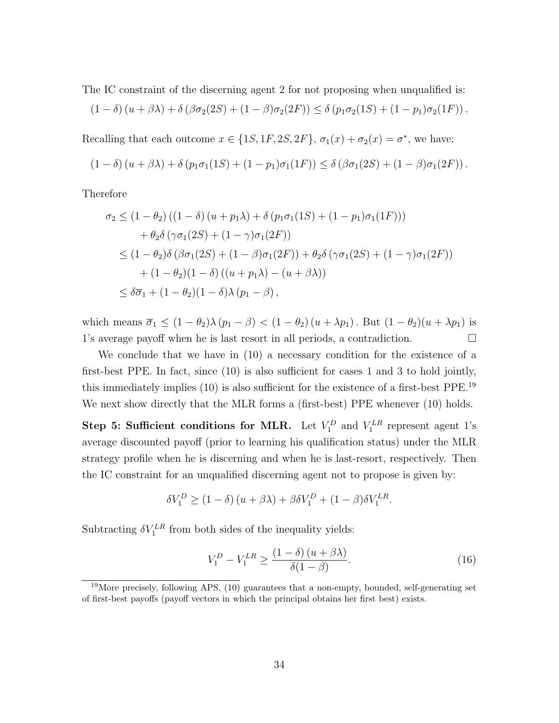The IC constraint of the discerning agent 2 for not proposing when unqualified is:

$$
(1 - \delta) (u + \beta \lambda) + \delta (\beta \sigma_2(2S) + (1 - \beta) \sigma_2(2F)) \leq \delta (p_1 \sigma_2(1S) + (1 - p_1) \sigma_2(1F)).
$$

Recalling that each outcome  $x \in \{1S, 1F, 2S, 2F\}$ ,  $\sigma_1(x) + \sigma_2(x) = \sigma^*$ , we have:

$$
(1 - \delta) (u + \beta \lambda) + \delta (p_1 \sigma_1(1S) + (1 - p_1) \sigma_1(1F)) \leq \delta (\beta \sigma_1(2S) + (1 - \beta) \sigma_1(2F)).
$$

Therefore

$$
\sigma_2 \le (1 - \theta_2) ((1 - \delta) (u + p_1 \lambda) + \delta (p_1 \sigma_1 (1S) + (1 - p_1) \sigma_1 (1F)))
$$
  
+ 
$$
\theta_2 \delta (\gamma \sigma_1 (2S) + (1 - \gamma) \sigma_1 (2F))
$$
  

$$
\le (1 - \theta_2) \delta (\beta \sigma_1 (2S) + (1 - \beta) \sigma_1 (2F)) + \theta_2 \delta (\gamma \sigma_1 (2S) + (1 - \gamma) \sigma_1 (2F))
$$
  
+ 
$$
(1 - \theta_2) (1 - \delta) ((u + p_1 \lambda) - (u + \beta \lambda))
$$
  

$$
\le \delta \overline{\sigma}_1 + (1 - \theta_2) (1 - \delta) \lambda (p_1 - \beta),
$$

which means  $\overline{\sigma}_1 \leq (1 - \theta_2)\lambda (p_1 - \beta) < (1 - \theta_2)(u + \lambda p_1)$ . But  $(1 - \theta_2)(u + \lambda p_1)$  is 1's average payoff when he is last resort in all periods, a contradiction.

We conclude that we have in (10) a necessary condition for the existence of a first-best PPE. In fact, since (10) is also sufficient for cases 1 and 3 to hold jointly, this immediately implies (10) is also sufficient for the existence of a first-best PPE.<sup>19</sup> We next show directly that the MLR forms a (first-best) PPE whenever (10) holds.

Step 5: Sufficient conditions for MLR. Let  $V_1^D$  and  $V_1^{LR}$  represent agent 1's average discounted payoff (prior to learning his qualification status) under the MLR strategy profile when he is discerning and when he is last-resort, respectively. Then the IC constraint for an unqualified discerning agent not to propose is given by:

$$
\delta V_1^D \ge (1 - \delta) (u + \beta \lambda) + \beta \delta V_1^D + (1 - \beta) \delta V_1^{LR}.
$$

Subtracting  $\delta V_1^{LR}$  from both sides of the inequality yields:

$$
V_1^D - V_1^{LR} \ge \frac{(1 - \delta)(u + \beta \lambda)}{\delta(1 - \beta)}.
$$
\n(16)

 $19$ More precisely, following APS, (10) guarantees that a non-empty, bounded, self-generating set of first-best payoffs (payoff vectors in which the principal obtains her first best) exists.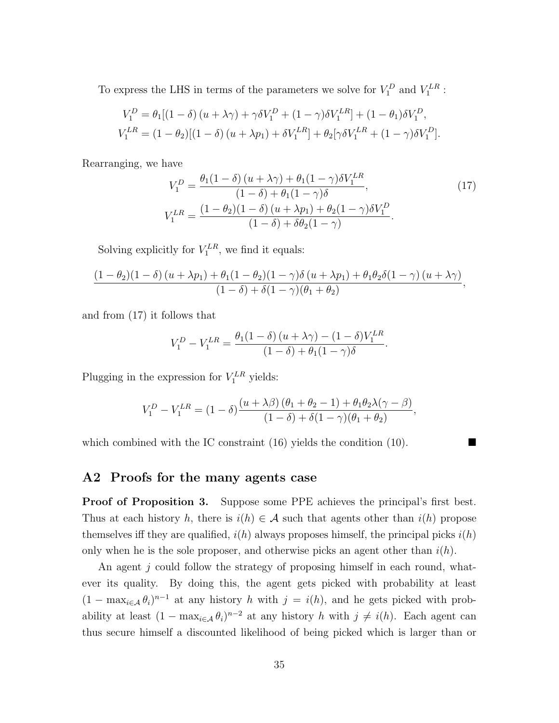To express the LHS in terms of the parameters we solve for  $V_1^D$  and  $V_1^{LR}$ :

$$
V_1^D = \theta_1 [(1 - \delta) (u + \lambda \gamma) + \gamma \delta V_1^D + (1 - \gamma) \delta V_1^{LR}] + (1 - \theta_1) \delta V_1^D,
$$
  

$$
V_1^{LR} = (1 - \theta_2) [(1 - \delta) (u + \lambda p_1) + \delta V_1^{LR}] + \theta_2 [\gamma \delta V_1^{LR} + (1 - \gamma) \delta V_1^D].
$$

Rearranging, we have

$$
V_1^D = \frac{\theta_1 (1 - \delta) (u + \lambda \gamma) + \theta_1 (1 - \gamma) \delta V_1^{LR}}{(1 - \delta) + \theta_1 (1 - \gamma) \delta},
$$
  
\n
$$
V_1^{LR} = \frac{(1 - \theta_2)(1 - \delta) (u + \lambda p_1) + \theta_2 (1 - \gamma) \delta V_1^D}{(1 - \delta) + \delta \theta_2 (1 - \gamma)}.
$$
\n(17)

Solving explicitly for  $V_1^{LR}$ , we find it equals:

$$
\frac{(1-\theta_2)(1-\delta)(u+\lambda p_1)+\theta_1(1-\theta_2)(1-\gamma)\delta(u+\lambda p_1)+\theta_1\theta_2\delta(1-\gamma)(u+\lambda\gamma)}{(1-\delta)+\delta(1-\gamma)(\theta_1+\theta_2)},
$$

and from (17) it follows that

$$
V_1^D - V_1^{LR} = \frac{\theta_1(1-\delta)(u+\lambda\gamma) - (1-\delta)V_1^{LR}}{(1-\delta) + \theta_1(1-\gamma)\delta}.
$$

Plugging in the expression for  $V_1^{LR}$  yields:

$$
V_1^D - V_1^{LR} = (1 - \delta) \frac{(u + \lambda \beta) (\theta_1 + \theta_2 - 1) + \theta_1 \theta_2 \lambda (\gamma - \beta)}{(1 - \delta) + \delta (1 - \gamma)(\theta_1 + \theta_2)},
$$

which combined with the IC constraint  $(16)$  yields the condition  $(10)$ .

#### A2 Proofs for the many agents case

**Proof of Proposition 3.** Suppose some PPE achieves the principal's first best. Thus at each history h, there is  $i(h) \in \mathcal{A}$  such that agents other than  $i(h)$  propose themselves iff they are qualified,  $i(h)$  always proposes himself, the principal picks  $i(h)$ only when he is the sole proposer, and otherwise picks an agent other than  $i(h)$ .

An agent  $j$  could follow the strategy of proposing himself in each round, whatever its quality. By doing this, the agent gets picked with probability at least  $(1 - \max_{i \in \mathcal{A}} \theta_i)^{n-1}$  at any history h with  $j = i(h)$ , and he gets picked with probability at least  $(1 - \max_{i \in \mathcal{A}} \theta_i)^{n-2}$  at any history h with  $j \neq i(h)$ . Each agent can thus secure himself a discounted likelihood of being picked which is larger than or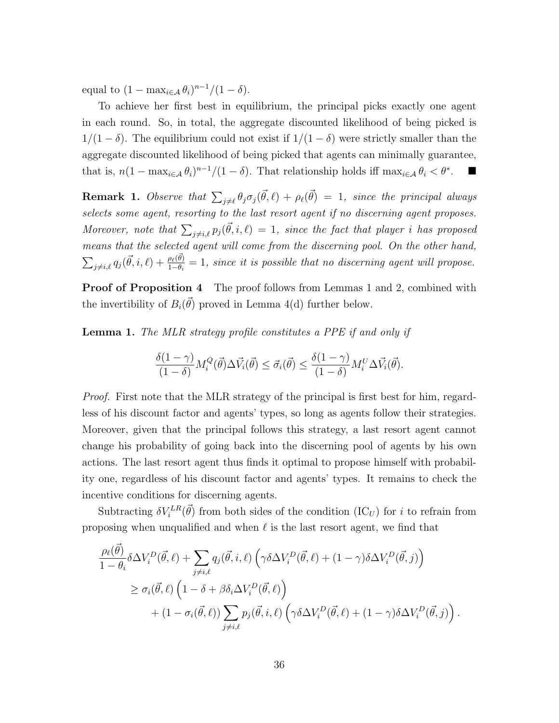equal to  $(1 - \max_{i \in \mathcal{A}} \theta_i)^{n-1}/(1 - \delta)$ .

To achieve her first best in equilibrium, the principal picks exactly one agent in each round. So, in total, the aggregate discounted likelihood of being picked is  $1/(1 - \delta)$ . The equilibrium could not exist if  $1/(1 - \delta)$  were strictly smaller than the aggregate discounted likelihood of being picked that agents can minimally guarantee, that is,  $n(1 - \max_{i \in \mathcal{A}} \theta_i)^{n-1}/(1 - \delta)$ . That relationship holds iff  $\max_{i \in \mathcal{A}} \theta_i < \theta^*$ .

**Remark 1.** Observe that  $\sum_{j\neq\ell} \theta_j \sigma_j(\vec{\theta}, \ell) + \rho_\ell(\vec{\theta}) = 1$ , since the principal always selects some agent, resorting to the last resort agent if no discerning agent proposes. Moreover, note that  $\sum_{j\neq i,\ell} p_j(\vec{\theta},i,\ell) = 1$ , since the fact that player i has proposed means that the selected agent will come from the discerning pool. On the other hand,  $\sum_{j\neq i,\ell} q_j(\vec{\theta},i,\ell) + \frac{\rho_\ell(\vec{\theta})}{1-\theta_i} = 1$ , since it is possible that no discerning agent will propose.

**Proof of Proposition 4** The proof follows from Lemmas 1 and 2, combined with the invertibility of  $B_i(\vec{\theta})$  proved in Lemma 4(d) further below.

**Lemma 1.** The MLR strategy profile constitutes a PPE if and only if

$$
\frac{\delta(1-\gamma)}{(1-\delta)}M_i^Q(\vec{\theta})\Delta \vec{V}_i(\vec{\theta}) \leq \vec{\sigma}_i(\vec{\theta}) \leq \frac{\delta(1-\gamma)}{(1-\delta)}M_i^U\Delta \vec{V}_i(\vec{\theta}).
$$

Proof. First note that the MLR strategy of the principal is first best for him, regardless of his discount factor and agents' types, so long as agents follow their strategies. Moreover, given that the principal follows this strategy, a last resort agent cannot change his probability of going back into the discerning pool of agents by his own actions. The last resort agent thus finds it optimal to propose himself with probability one, regardless of his discount factor and agents' types. It remains to check the incentive conditions for discerning agents.

Subtracting  $\delta V_i^{LR}(\vec{\theta})$  from both sides of the condition (IC<sub>U</sub>) for i to refrain from proposing when unqualified and when  $\ell$  is the last resort agent, we find that

$$
\frac{\rho_{\ell}(\vec{\theta})}{1-\theta_{i}} \delta \Delta V_{i}^{D}(\vec{\theta}, \ell) + \sum_{j \neq i, \ell} q_{j}(\vec{\theta}, i, \ell) \left( \gamma \delta \Delta V_{i}^{D}(\vec{\theta}, \ell) + (1-\gamma) \delta \Delta V_{i}^{D}(\vec{\theta}, j) \right) \n\geq \sigma_{i}(\vec{\theta}, \ell) \left( 1 - \delta + \beta \delta_{i} \Delta V_{i}^{D}(\vec{\theta}, \ell) \right) \n+ (1 - \sigma_{i}(\vec{\theta}, \ell)) \sum_{j \neq i, \ell} p_{j}(\vec{\theta}, i, \ell) \left( \gamma \delta \Delta V_{i}^{D}(\vec{\theta}, \ell) + (1-\gamma) \delta \Delta V_{i}^{D}(\vec{\theta}, j) \right).
$$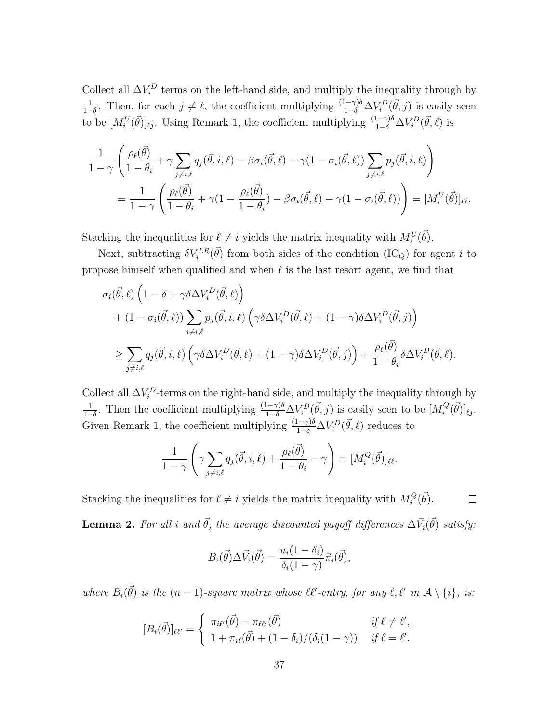Collect all  $\Delta V_i^D$  terms on the left-hand side, and multiply the inequality through by 1  $\frac{1}{1-\delta}$ . Then, for each  $j \neq \ell$ , the coefficient multiplying  $\frac{(1-\gamma)\delta}{1-\delta}\Delta V_i^D(\vec{\theta},j)$  is easily seen to be  $[M_i^U(\vec{\theta})]_{\ell j}$ . Using Remark 1, the coefficient multiplying  $\frac{(1-\gamma)\delta}{1-\delta}\Delta V_i^D(\vec{\theta},\ell)$  is

$$
\frac{1}{1-\gamma} \left( \frac{\rho_{\ell}(\vec{\theta})}{1-\theta_i} + \gamma \sum_{j \neq i,\ell} q_j(\vec{\theta}, i, \ell) - \beta \sigma_i(\vec{\theta}, \ell) - \gamma (1 - \sigma_i(\vec{\theta}, \ell)) \sum_{j \neq i,\ell} p_j(\vec{\theta}, i, \ell) \right) \n= \frac{1}{1-\gamma} \left( \frac{\rho_{\ell}(\vec{\theta})}{1-\theta_i} + \gamma (1 - \frac{\rho_{\ell}(\vec{\theta})}{1-\theta_i}) - \beta \sigma_i(\vec{\theta}, \ell) - \gamma (1 - \sigma_i(\vec{\theta}, \ell)) \right) = [M_i^U(\vec{\theta})]_{\ell\ell}.
$$

Stacking the inequalities for  $\ell \neq i$  yields the matrix inequality with  $M_i^U(\vec{\theta})$ .

Next, subtracting  $\delta V_i^{LR}(\vec{\theta})$  from both sides of the condition  $(\text{IC}_Q)$  for agent i to propose himself when qualified and when  $\ell$  is the last resort agent, we find that

$$
\sigma_i(\vec{\theta},\ell) \left(1 - \delta + \gamma \delta \Delta V_i^D(\vec{\theta},\ell)\right) + (1 - \sigma_i(\vec{\theta},\ell)) \sum_{j \neq i,\ell} p_j(\vec{\theta},i,\ell) \left(\gamma \delta \Delta V_i^D(\vec{\theta},\ell) + (1 - \gamma) \delta \Delta V_i^D(\vec{\theta},j)\right) \n\geq \sum_{j \neq i,\ell} q_j(\vec{\theta},i,\ell) \left(\gamma \delta \Delta V_i^D(\vec{\theta},\ell) + (1 - \gamma) \delta \Delta V_i^D(\vec{\theta},j)\right) + \frac{\rho_\ell(\vec{\theta})}{1 - \theta_i} \delta \Delta V_i^D(\vec{\theta},\ell).
$$

Collect all  $\Delta V_i^D$ -terms on the right-hand side, and multiply the inequality through by 1  $\frac{1}{1-\delta}$ . Then the coefficient multiplying  $\frac{(1-\gamma)\delta}{1-\delta}\Delta V_i^D(\vec{\theta},j)$  is easily seen to be  $[M_i^Q]$  ${}_{i}^{Q}(\vec{\theta})]_{\ell j}.$ Given Remark 1, the coefficient multiplying  $\frac{(1-\gamma)\delta}{1-\delta}\Delta V_i^D(\vec{\theta},\ell)$  reduces to

$$
\frac{1}{1-\gamma} \left( \gamma \sum_{j \neq i,\ell} q_j(\vec{\theta}, i, \ell) + \frac{\rho_\ell(\vec{\theta})}{1-\theta_i} - \gamma \right) = [M_i^Q(\vec{\theta})]_{\ell\ell}.
$$

Stacking the inequalities for  $\ell \neq i$  yields the matrix inequality with  $M_i^Q$  $R_i^Q(\vec{\theta})$ .  $\Box$ **Lemma 2.** For all i and  $\vec{\theta}$ , the average discounted payoff differences  $\Delta \vec{V}_i(\vec{\theta})$  satisfy:

$$
B_i(\vec{\theta})\Delta \vec{V}_i(\vec{\theta}) = \frac{u_i(1-\delta_i)}{\delta_i(1-\gamma)}\vec{\pi}_i(\vec{\theta}),
$$

where  $B_i(\vec{\theta})$  is the  $(n-1)$ -square matrix whose  $\ell\ell'$ -entry, for any  $\ell, \ell'$  in  $\mathcal{A} \setminus \{i\}$ , is:

$$
[B_i(\vec{\theta})]_{\ell\ell'} = \begin{cases} \pi_{i\ell'}(\vec{\theta}) - \pi_{\ell\ell'}(\vec{\theta}) & \text{if } \ell \neq \ell',\\ 1 + \pi_{i\ell}(\vec{\theta}) + (1 - \delta_i) / (\delta_i(1 - \gamma)) & \text{if } \ell = \ell'. \end{cases}
$$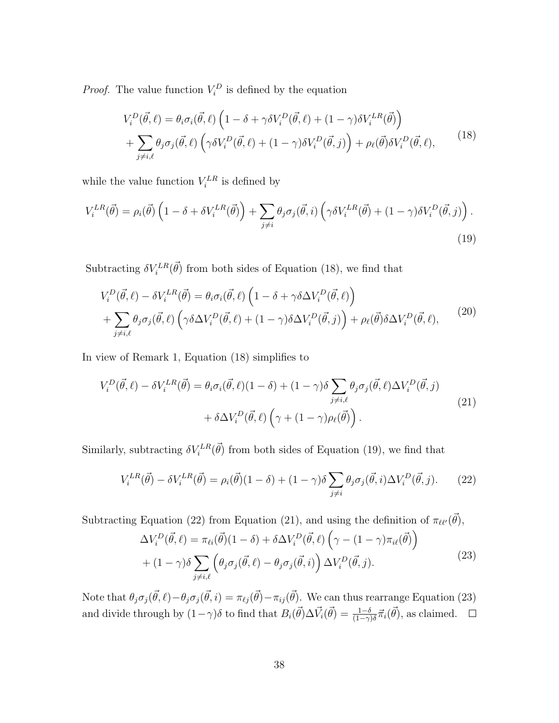*Proof.* The value function  $V_i^D$  is defined by the equation

$$
V_i^D(\vec{\theta}, \ell) = \theta_i \sigma_i(\vec{\theta}, \ell) \left( 1 - \delta + \gamma \delta V_i^D(\vec{\theta}, \ell) + (1 - \gamma) \delta V_i^{LR}(\vec{\theta}) \right) + \sum_{j \neq i, \ell} \theta_j \sigma_j(\vec{\theta}, \ell) \left( \gamma \delta V_i^D(\vec{\theta}, \ell) + (1 - \gamma) \delta V_i^D(\vec{\theta}, j) \right) + \rho_\ell(\vec{\theta}) \delta V_i^D(\vec{\theta}, \ell),
$$
(18)

while the value function  $V_i^{LR}$  is defined by

$$
V_i^{LR}(\vec{\theta}) = \rho_i(\vec{\theta}) \left( 1 - \delta + \delta V_i^{LR}(\vec{\theta}) \right) + \sum_{j \neq i} \theta_j \sigma_j(\vec{\theta}, i) \left( \gamma \delta V_i^{LR}(\vec{\theta}) + (1 - \gamma) \delta V_i^D(\vec{\theta}, j) \right).
$$
\n(19)

Subtracting  $\delta V_i^{LR}(\vec{\theta})$  from both sides of Equation (18), we find that

$$
V_i^D(\vec{\theta}, \ell) - \delta V_i^{LR}(\vec{\theta}) = \theta_i \sigma_i(\vec{\theta}, \ell) \left( 1 - \delta + \gamma \delta \Delta V_i^D(\vec{\theta}, \ell) \right)
$$
  
+ 
$$
\sum_{j \neq i, \ell} \theta_j \sigma_j(\vec{\theta}, \ell) \left( \gamma \delta \Delta V_i^D(\vec{\theta}, \ell) + (1 - \gamma) \delta \Delta V_i^D(\vec{\theta}, j) \right) + \rho_\ell(\vec{\theta}) \delta \Delta V_i^D(\vec{\theta}, \ell), \tag{20}
$$

In view of Remark 1, Equation (18) simplifies to

$$
V_i^D(\vec{\theta}, \ell) - \delta V_i^{LR}(\vec{\theta}) = \theta_i \sigma_i(\vec{\theta}, \ell)(1 - \delta) + (1 - \gamma)\delta \sum_{j \neq i, \ell} \theta_j \sigma_j(\vec{\theta}, \ell) \Delta V_i^D(\vec{\theta}, j) + \delta \Delta V_i^D(\vec{\theta}, \ell) \left(\gamma + (1 - \gamma)\rho_\ell(\vec{\theta})\right).
$$
(21)

Similarly, subtracting  $\delta V_i^{LR}(\vec{\theta})$  from both sides of Equation (19), we find that

$$
V_i^{LR}(\vec{\theta}) - \delta V_i^{LR}(\vec{\theta}) = \rho_i(\vec{\theta})(1-\delta) + (1-\gamma)\delta \sum_{j \neq i} \theta_j \sigma_j(\vec{\theta}, i) \Delta V_i^D(\vec{\theta}, j). \tag{22}
$$

Subtracting Equation (22) from Equation (21), and using the definition of  $\pi_{\ell\ell'}(\vec{\theta})$ ,

$$
\Delta V_i^D(\vec{\theta}, \ell) = \pi_{\ell i}(\vec{\theta})(1 - \delta) + \delta \Delta V_i^D(\vec{\theta}, \ell) \left(\gamma - (1 - \gamma)\pi_{i\ell}(\vec{\theta})\right) + (1 - \gamma)\delta \sum_{j \neq i,\ell} \left(\theta_j \sigma_j(\vec{\theta}, \ell) - \theta_j \sigma_j(\vec{\theta}, i)\right) \Delta V_i^D(\vec{\theta}, j).
$$
\n(23)

Note that  $\theta_j \sigma_j(\vec{\theta}, \ell) - \theta_j \sigma_j(\vec{\theta}, i) = \pi_{\ell j}(\vec{\theta}) - \pi_{ij}(\vec{\theta})$ . We can thus rearrange Equation (23) and divide through by  $(1-\gamma)\delta$  to find that  $B_i(\vec{\theta})\Delta \vec{V}_i(\vec{\theta}) = \frac{1-\delta}{(1-\gamma)\delta} \vec{\pi}_i(\vec{\theta})$ , as claimed.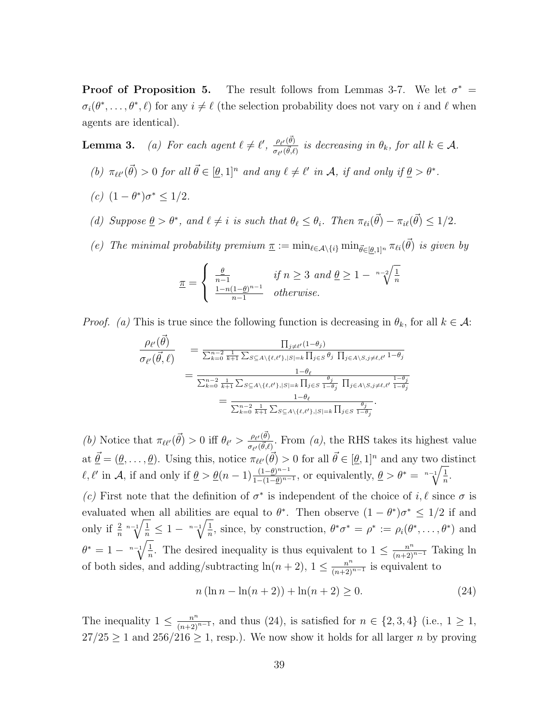**Proof of Proposition 5.** The result follows from Lemmas 3-7. We let  $\sigma^* =$  $\sigma_i(\theta^*,\ldots,\theta^*,\ell)$  for any  $i \neq \ell$  (the selection probability does not vary on i and  $\ell$  when agents are identical).

**Lemma 3.** (a) For each agent  $\ell \neq \ell'$ ,  $\frac{\rho_{\ell'}(\vec{\theta})}{\sqrt{\delta}}$  $\frac{\rho_{\ell'}(\theta)}{\sigma_{\ell'}(\vec{\theta},\ell)}$  is decreasing in  $\theta_k$ , for all  $k \in \mathcal{A}$ .

- (b)  $\pi_{\ell\ell'}(\vec{\theta}) > 0$  for all  $\vec{\theta} \in [\underline{\theta}, 1]^n$  and any  $\ell \neq \ell'$  in A, if and only if  $\underline{\theta} > \theta^*$ .
- (c)  $(1 \theta^*) \sigma^* \le 1/2$ .
- (d) Suppose  $\underline{\theta} > \theta^*$ , and  $\ell \neq i$  is such that  $\theta_{\ell} \leq \theta_i$ . Then  $\pi_{\ell i}(\vec{\theta}) \pi_{i\ell}(\vec{\theta}) \leq 1/2$ .
- (e) The minimal probability premium  $\underline{\pi} := \min_{\ell \in A \setminus \{i\}} \min_{\vec{\theta} \in [\underline{\theta},1]^n} \pi_{\ell i}(\vec{\theta})$  is given by

$$
\underline{\pi} = \begin{cases} \frac{\underline{\theta}}{n-1} & \text{if } n \ge 3 \text{ and } \underline{\theta} \ge 1 - \sqrt[n-2]{\frac{1}{n}}\\ \frac{1-n(1-\underline{\theta})^{n-1}}{n-1} & \text{otherwise.} \end{cases}
$$

*Proof.* (a) This is true since the following function is decreasing in  $\theta_k$ , for all  $k \in \mathcal{A}$ :

$$
\frac{\rho_{\ell'}(\vec{\theta})}{\sigma_{\ell'}(\vec{\theta},\ell)} = \frac{\prod_{j\neq \ell'} (1-\theta_j)}{\sum_{k=0}^{n-2} \frac{1}{k+1} \sum_{S \subseteq A \setminus \{\ell,\ell'\},|S|=k} \prod_{j\in S} \theta_j \prod_{j\in A \setminus S, j\neq \ell,\ell'} 1-\theta_j} \n= \frac{1-\theta_{\ell}}{\sum_{k=0}^{n-2} \frac{1}{k+1} \sum_{S \subseteq A \setminus \{\ell,\ell'\},|S|=k} \prod_{j\in S} \frac{\theta_j}{1-\theta_j} \prod_{j\in A \setminus S, j\neq \ell,\ell'} \frac{1-\theta_j}{1-\theta_j}} \n= \frac{1-\theta_{\ell}}{\sum_{k=0}^{n-2} \frac{1}{k+1} \sum_{S \subseteq A \setminus \{\ell,\ell'\},|S|=k} \prod_{j\in S} \frac{\theta_j}{1-\theta_j}}.
$$

(b) Notice that  $\pi_{\ell\ell'}(\vec{\theta}) > 0$  iff  $\theta_{\ell'} > \frac{\rho_{\ell'}(\vec{\theta})}{\pi_{\ell'}(\vec{\theta})}$  $\frac{\rho_{\ell'}(\theta)}{\sigma_{\ell'}(\vec{\theta},\ell)}$ . From (a), the RHS takes its highest value at  $\vec{\theta} = (\theta, \dots, \theta)$ . Using this, notice  $\pi_{\ell\ell'}(\vec{\theta}) > 0$  for all  $\vec{\theta} \in [\theta, 1]^n$  and any two distinct  $\ell, \ell'$  in A, if and only if  $\underline{\theta} > \underline{\theta}(n-1) \frac{(1-\underline{\theta})^{n-1}}{1-(1-\underline{\theta})^{n-1}}$  $\frac{(1-\underline{\theta})^{n-1}}{1-(1-\underline{\theta})^{n-1}}$ , or equivalently,  $\underline{\theta} > \theta^* = \sqrt[n-1]{\frac{1}{n}}$  $\frac{1}{n}$ .

(c) First note that the definition of  $\sigma^*$  is independent of the choice of i,  $\ell$  since  $\sigma$  is evaluated when all abilities are equal to  $\theta^*$ . Then observe  $(1 - \theta^*)\sigma^* \leq 1/2$  if and only if  $\frac{2}{n} \sqrt[n-1]{\frac{1}{n}} \leq 1 - \sqrt[n-1]{\frac{1}{n}}$  $\frac{1}{n}$ , since, by construction,  $\theta^* \sigma^* = \rho^* := \rho_i(\theta^*, \dots, \theta^*)$  and  $\theta^* = 1 - \sqrt[n-1]{\frac{1}{n}}$  $\frac{1}{n}$ . The desired inequality is thus equivalent to  $1 \leq \frac{n^n}{(n+2)^{n-1}}$  Taking ln of both sides, and adding/subtracting  $\ln(n+2)$ ,  $1 \leq \frac{n^n}{(n+2)^{n-1}}$  is equivalent to

$$
n(\ln n - \ln(n+2)) + \ln(n+2) \ge 0.
$$
 (24)

The inequality  $1 \leq \frac{n^n}{(n+2)^{n-1}}$ , and thus  $(24)$ , is satisfied for  $n \in \{2,3,4\}$  (i.e.,  $1 \geq 1$ ,  $27/25 \geq 1$  and  $256/216 \geq 1$ , resp.). We now show it holds for all larger *n* by proving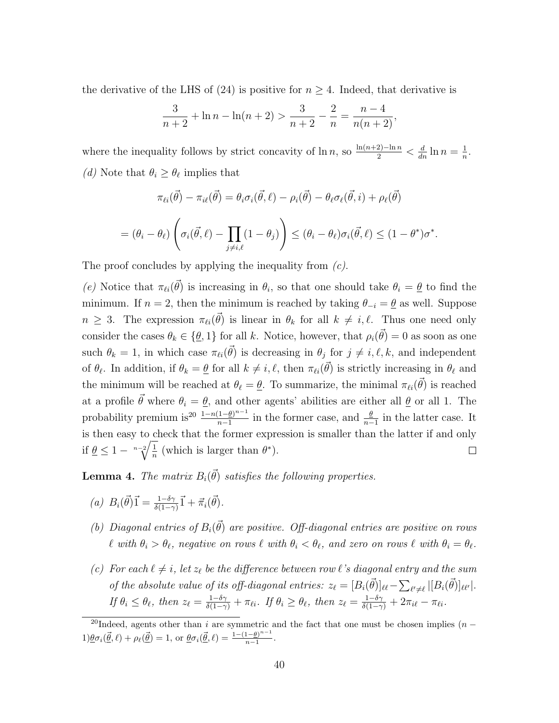the derivative of the LHS of (24) is positive for  $n \geq 4$ . Indeed, that derivative is

$$
\frac{3}{n+2} + \ln n - \ln(n+2) > \frac{3}{n+2} - \frac{2}{n} = \frac{n-4}{n(n+2)},
$$

where the inequality follows by strict concavity of  $\ln n$ , so  $\frac{\ln(n+2)-\ln n}{2} < \frac{d}{dn} \ln n = \frac{1}{n}$  $\frac{1}{n}$ . (*d*) Note that  $\theta_i \geq \theta_\ell$  implies that

$$
\pi_{\ell i}(\vec{\theta}) - \pi_{i\ell}(\vec{\theta}) = \theta_i \sigma_i(\vec{\theta}, \ell) - \rho_i(\vec{\theta}) - \theta_\ell \sigma_\ell(\vec{\theta}, i) + \rho_\ell(\vec{\theta})
$$

$$
= (\theta_i - \theta_\ell) \left( \sigma_i(\vec{\theta}, \ell) - \prod_{j \neq i, \ell} (1 - \theta_j) \right) \leq (\theta_i - \theta_\ell) \sigma_i(\vec{\theta}, \ell) \leq (1 - \theta^*) \sigma^*.
$$

The proof concludes by applying the inequality from  $(c)$ .

(e) Notice that  $\pi_{\ell i}(\vec{\theta})$  is increasing in  $\theta_i$ , so that one should take  $\theta_i = \underline{\theta}$  to find the minimum. If  $n = 2$ , then the minimum is reached by taking  $\theta_{-i} = \underline{\theta}$  as well. Suppose  $n \geq 3$ . The expression  $\pi_{\ell i}(\vec{\theta})$  is linear in  $\theta_k$  for all  $k \neq i, \ell$ . Thus one need only consider the cases  $\theta_k \in \{\underline{\theta},1\}$  for all k. Notice, however, that  $\rho_i(\vec{\theta}) = 0$  as soon as one such  $\theta_k = 1$ , in which case  $\pi_{\ell i}(\vec{\theta})$  is decreasing in  $\theta_j$  for  $j \neq i, \ell, k$ , and independent of  $\theta_{\ell}$ . In addition, if  $\theta_k = \underline{\theta}$  for all  $k \neq i, \ell$ , then  $\pi_{\ell i}(\vec{\theta})$  is strictly increasing in  $\theta_{\ell}$  and the minimum will be reached at  $\theta_\ell = \underline{\theta}$ . To summarize, the minimal  $\pi_{\ell i}(\vec{\theta})$  is reached at a profile  $\vec{\theta}$  where  $\theta_i = \theta$ , and other agents' abilities are either all  $\theta$  or all 1. The probability premium is<sup>20</sup>  $\frac{1-n(1-\underline{\theta})^{n-1}}{n-1}$  $\frac{(1-\underline{\theta})^{n-1}}{n-1}$  in the former case, and  $\frac{\underline{\theta}}{n-1}$  in the latter case. It is then easy to check that the former expression is smaller than the latter if and only if  $\theta \leq 1 - \sqrt[n-2]{\frac{1}{n}}$  $\frac{1}{n}$  (which is larger than  $\theta^*$ ).  $\Box$ 

**Lemma 4.** The matrix  $B_i(\vec{\theta})$  satisfies the following properties.

(a) 
$$
B_i(\vec{\theta})\vec{1} = \frac{1-\delta\gamma}{\delta(1-\gamma)}\vec{1} + \vec{\pi}_i(\vec{\theta}).
$$

- (b) Diagonal entries of  $B_i(\vec{\theta})$  are positive. Off-diagonal entries are positive on rows  $\ell$  with  $\theta_i > \theta_\ell$ , negative on rows  $\ell$  with  $\theta_i < \theta_\ell$ , and zero on rows  $\ell$  with  $\theta_i = \theta_\ell$ .
- (c) For each  $\ell \neq i$ , let  $z_{\ell}$  be the difference between row  $\ell$ 's diagonal entry and the sum of the absolute value of its off-diagonal entries:  $z_{\ell} = [B_i(\vec{\theta})]_{\ell \ell} - \sum_{\ell' \neq \ell} |[B_i(\vec{\theta})]_{\ell \ell'}|$ . If  $\theta_i \leq \theta_\ell$ , then  $z_\ell = \frac{1-\delta\gamma}{\delta(1-\gamma)} + \pi_{\ell i}$ . If  $\theta_i \geq \theta_\ell$ , then  $z_\ell = \frac{1-\delta\gamma}{\delta(1-\gamma)} + 2\pi_{i\ell} - \pi_{\ell i}$ .

<sup>&</sup>lt;sup>20</sup>Indeed, agents other than *i* are symmetric and the fact that one must be chosen implies (*n* −  $1) \underline{\theta} \sigma_i(\vec{\underline{\theta}}, \ell) + \rho_\ell(\vec{\underline{\theta}}) = 1$ , or  $\underline{\theta} \sigma_i(\vec{\underline{\theta}}, \ell) = \frac{1-(1-\underline{\theta})^{n-1}}{n-1}$  $\frac{1-\underline{\theta}}{n-1}$ .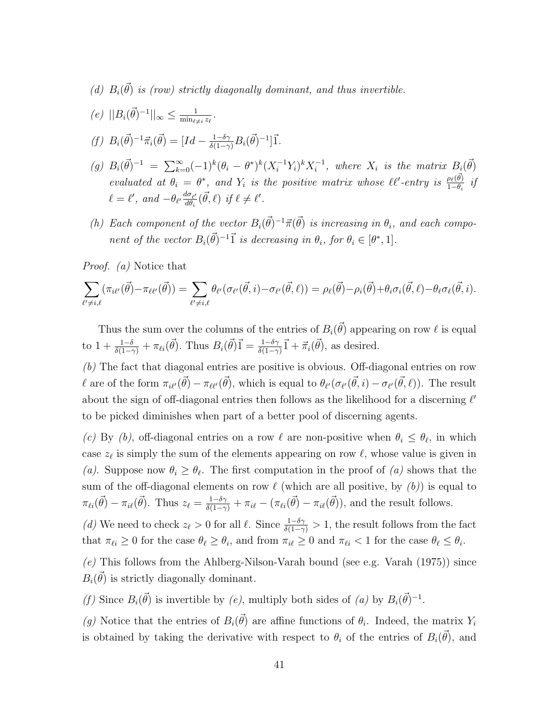- (d)  $B_i(\vec{\theta})$  is (row) strictly diagonally dominant, and thus invertible.
- (e)  $||B_i(\vec{\theta})^{-1}||_{\infty} \le \frac{1}{\min_{\theta_i}}$  $\frac{1}{\min_{\ell\neq i}z_\ell}$  .
- (f)  $B_i(\vec{\theta})^{-1} \vec{\pi}_i(\vec{\theta}) = [Id \frac{1-\delta\gamma}{\delta(1-\gamma)} B_i(\vec{\theta})^{-1}] \vec{1}.$
- (g)  $B_i(\vec{\theta})^{-1} = \sum_{k=0}^{\infty} (-1)^k (\theta_i \theta^*)^k (X_i^{-1} Y_i)^k X_i^{-1}$  $i_i^{-1}$ , where  $X_i$  is the matrix  $B_i(\vec{\theta})$ evaluated at  $\theta_i = \theta^*$ , and  $Y_i$  is the positive matrix whose  $\ell\ell'$ -entry is  $\frac{\rho_\ell(\vec{\theta})}{1-\theta_i}$  if  $\ell = \ell'$ , and  $-\theta_{\ell'} \frac{d\sigma_{\ell'}}{d\theta_i}$  $\frac{d\sigma_{\ell'}}{d\theta_i}(\vec{\theta},\ell)$  if  $\ell \neq \ell'.$
- (h) Each component of the vector  $B_i(\vec{\theta})^{-1} \vec{\pi}(\vec{\theta})$  is increasing in  $\theta_i$ , and each component of the vector  $B_i(\vec{\theta})^{-1} \vec{1}$  is decreasing in  $\theta_i$ , for  $\theta_i \in [\theta^*, 1]$ .

Proof. (a) Notice that

$$
\sum_{\ell'\neq i,\ell} (\pi_{i\ell'}(\vec{\theta}) - \pi_{\ell\ell'}(\vec{\theta})) = \sum_{\ell'\neq i,\ell} \theta_{\ell'}(\sigma_{\ell'}(\vec{\theta},i) - \sigma_{\ell'}(\vec{\theta},\ell)) = \rho_{\ell}(\vec{\theta}) - \rho_i(\vec{\theta}) + \theta_i \sigma_i(\vec{\theta},\ell) - \theta_\ell \sigma_\ell(\vec{\theta},i).
$$

Thus the sum over the columns of the entries of  $B_i(\vec{\theta})$  appearing on row  $\ell$  is equal to  $1 + \frac{1-\delta}{\delta(1-\gamma)} + \pi_{\ell i}(\vec{\theta})$ . Thus  $B_i(\vec{\theta})\vec{1} = \frac{1-\delta\gamma}{\delta(1-\gamma)}\vec{1} + \vec{\pi}_i(\vec{\theta})$ , as desired.

(b) The fact that diagonal entries are positive is obvious. Off-diagonal entries on row  $\ell$  are of the form  $\pi_{i\ell'}(\vec{\theta}) - \pi_{\ell\ell'}(\vec{\theta})$ , which is equal to  $\theta_{\ell'}(\sigma_{\ell'}(\vec{\theta},i) - \sigma_{\ell'}(\vec{\theta},\ell))$ . The result about the sign of off-diagonal entries then follows as the likelihood for a discerning  $\ell'$ to be picked diminishes when part of a better pool of discerning agents.

(c) By (b), off-diagonal entries on a row  $\ell$  are non-positive when  $\theta_i \leq \theta_\ell$ , in which case  $z_{\ell}$  is simply the sum of the elements appearing on row  $\ell$ , whose value is given in (a). Suppose now  $\theta_i \geq \theta_{\ell}$ . The first computation in the proof of (a) shows that the sum of the off-diagonal elements on row  $\ell$  (which are all positive, by  $(b)$ ) is equal to  $\pi_{\ell i}(\vec{\theta}) - \pi_{i\ell}(\vec{\theta})$ . Thus  $z_{\ell} = \frac{1-\delta\gamma}{\delta(1-\gamma)} + \pi_{i\ell} - (\pi_{\ell i}(\vec{\theta}) - \pi_{i\ell}(\vec{\theta}))$ , and the result follows.

(d) We need to check  $z_{\ell} > 0$  for all  $\ell$ . Since  $\frac{1-\delta\gamma}{\delta(1-\gamma)} > 1$ , the result follows from the fact that  $\pi_{\ell i} \geq 0$  for the case  $\theta_{\ell} \geq \theta_i$ , and from  $\pi_{i\ell} \geq 0$  and  $\pi_{\ell i} < 1$  for the case  $\theta_{\ell} \leq \theta_i$ .

 $(e)$  This follows from the Ahlberg-Nilson-Varah bound (see e.g. Varah  $(1975)$ ) since  $B_i(\vec{\theta})$  is strictly diagonally dominant.

(f) Since  $B_i(\vec{\theta})$  is invertible by (e), multiply both sides of (a) by  $B_i(\vec{\theta})^{-1}$ .

(g) Notice that the entries of  $B_i(\vec{\theta})$  are affine functions of  $\theta_i$ . Indeed, the matrix  $Y_i$ is obtained by taking the derivative with respect to  $\theta_i$  of the entries of  $B_i(\vec{\theta})$ , and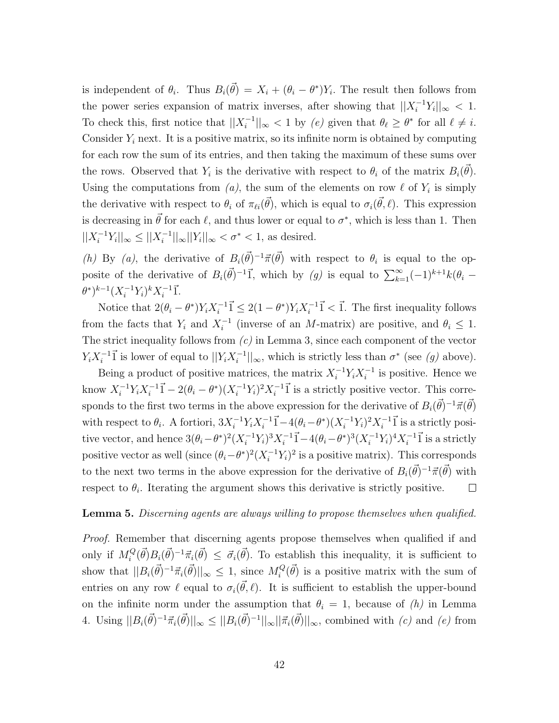is independent of  $\theta_i$ . Thus  $B_i(\vec{\theta}) = X_i + (\theta_i - \theta^*)Y_i$ . The result then follows from the power series expansion of matrix inverses, after showing that  $||X_i^{-1}Y_i||_{\infty} < 1$ . To check this, first notice that  $||X_i^{-1}||$  $||\mathbf{z}_i||_{\infty} < 1$  by  $(e)$  given that  $\theta_\ell \geq \theta^*$  for all  $\ell \neq i$ . Consider  $Y_i$  next. It is a positive matrix, so its infinite norm is obtained by computing for each row the sum of its entries, and then taking the maximum of these sums over the rows. Observed that  $Y_i$  is the derivative with respect to  $\theta_i$  of the matrix  $B_i(\vec{\theta})$ . Using the computations from  $(a)$ , the sum of the elements on row  $\ell$  of  $Y_i$  is simply the derivative with respect to  $\theta_i$  of  $\pi_{\ell i}(\vec{\theta})$ , which is equal to  $\sigma_i(\vec{\theta}, \ell)$ . This expression is decreasing in  $\vec{\theta}$  for each  $\ell$ , and thus lower or equal to  $\sigma^*$ , which is less than 1. Then  $||X_i^{-1}Y_i||_{\infty} \leq ||X_i^{-1}$  $\frac{1}{i}$ ll $_{\infty}$ ||Y<sub>i</sub>||<sub>∞</sub> <  $\sigma^*$  < 1, as desired.

(h) By (a), the derivative of  $B_i(\vec{\theta})^{-1}\vec{\pi}(\vec{\theta})$  with respect to  $\theta_i$  is equal to the opposite of the derivative of  $B_i(\vec{\theta})^{-1}\vec{1}$ , which by (g) is equal to  $\sum_{k=1}^{\infty}(-1)^{k+1}k(\theta_i-\vec{1})$  $(\theta^*)^{k-1} (X_i^{-1} Y_i)^k X_i^{-1}$  $i^{-1}$ <sup> $\vec{1}$ </sup>.

Notice that  $2(\theta_i - \theta^*)Y_i X_i^{-1}$  $i^{-1}\vec{1} \leq 2(1-\theta^*)Y_iX_i^{-1}$  $i^{-1}$  $\vec{1}$  <  $\vec{1}$ . The first inequality follows from the facts that  $Y_i$  and  $X_i^{-1}$  $i^{-1}$  (inverse of an *M*-matrix) are positive, and  $\theta_i \leq 1$ . The strict inequality follows from  $(c)$  in Lemma 3, since each component of the vector  $Y_i X_i^{-1}$  $i^{-1}$  is lower of equal to  $||Y_i X_i^{-1}$  $|\sigma_i^{-1}|_{\infty}$ , which is strictly less than  $\sigma^*$  (see  $(g)$  above).

Being a product of positive matrices, the matrix  $X_i^{-1} Y_i X_i^{-1}$  $i^{-1}$  is positive. Hence we know  $X_i^{-1}Y_iX_i^{-1}$  $i^{-1}\vec{1} - 2(\theta_i - \theta^*)(X_i^{-1}Y_i)^2X_i^{-1}$  $i^{-1}$  $\vec{1}$  is a strictly positive vector. This corresponds to the first two terms in the above expression for the derivative of  $B_i(\vec{\theta})^{-1} \vec{\pi}(\vec{\theta})$ with respect to  $\theta_i$ . A fortiori,  $3X_i^{-1}Y_iX_i^{-1}$  $i^{-1}\vec{1} - 4(\theta_i - \theta^*)(X_i^{-1}Y_i)^2 X_i^{-1}$  $i^{-1}$  $\vec{1}$  is a strictly positive vector, and hence  $3(\theta_i - \theta^*)^2 (X_i^{-1} Y_i)^3 X_i^{-1}$  $i^{-1}\vec{1} - 4(\theta_i - \theta^*)^3 (X_i^{-1}Y_i)^4 X_i^{-1}$  $i^{-1}$  $\vec{1}$  is a strictly positive vector as well (since  $(\theta_i - \theta^*)^2 (X_i^{-1} Y_i)^2$  is a positive matrix). This corresponds to the next two terms in the above expression for the derivative of  $B_i(\vec{\theta})^{-1} \vec{\pi}(\vec{\theta})$  with respect to  $\theta_i$ . Iterating the argument shows this derivative is strictly positive.  $\Box$ 

#### **Lemma 5.** Discerning agents are always willing to propose themselves when qualified.

Proof. Remember that discerning agents propose themselves when qualified if and only if  $M_i^Q$  $\vec{f}_i^Q(\vec{\theta})B_i(\vec{\theta})^{-1}\vec{\pi}_i(\vec{\theta}) \leq \vec{\sigma}_i(\vec{\theta})$ . To establish this inequality, it is sufficient to show that  $||B_i(\vec{\theta})^{-1} \vec{\pi}_i(\vec{\theta})||_{\infty} \leq 1$ , since  $M_i^Q$  $\mathcal{L}_{i}^{Q}(\vec{\theta})$  is a positive matrix with the sum of entries on any row  $\ell$  equal to  $\sigma_i(\vec{\theta}, \ell)$ . It is sufficient to establish the upper-bound on the infinite norm under the assumption that  $\theta_i = 1$ , because of  $(h)$  in Lemma 4. Using  $||B_i(\vec{\theta})^{-1} \vec{\pi}_i(\vec{\theta})||_{\infty} \leq ||B_i(\vec{\theta})^{-1}||_{\infty} ||\vec{\pi}_i(\vec{\theta})||_{\infty}$ , combined with  $(c)$  and  $(e)$  from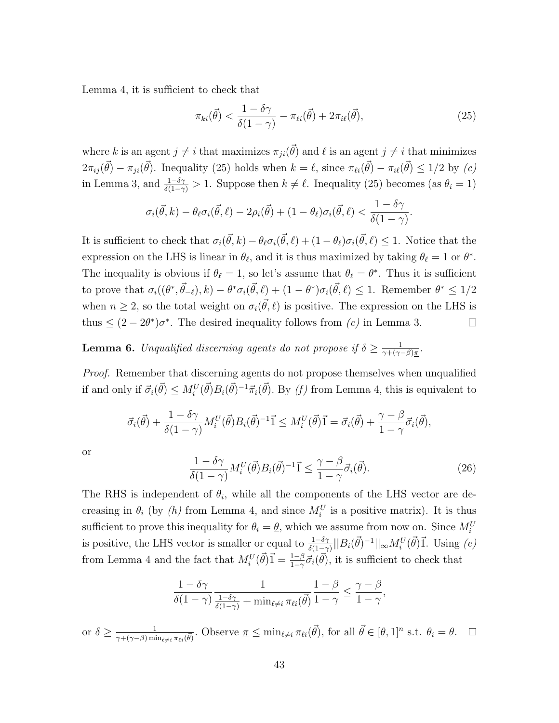Lemma 4, it is sufficient to check that

$$
\pi_{ki}(\vec{\theta}) < \frac{1 - \delta\gamma}{\delta(1 - \gamma)} - \pi_{\ell i}(\vec{\theta}) + 2\pi_{i\ell}(\vec{\theta}),\tag{25}
$$

where k is an agent  $j \neq i$  that maximizes  $\pi_{ji}(\vec{\theta})$  and  $\ell$  is an agent  $j \neq i$  that minimizes  $2\pi_{ij}(\vec{\theta}) - \pi_{ji}(\vec{\theta})$ . Inequality (25) holds when  $k = \ell$ , since  $\pi_{\ell i}(\vec{\theta}) - \pi_{i\ell}(\vec{\theta}) \leq 1/2$  by (c) in Lemma 3, and  $\frac{1-\delta\gamma}{\delta(1-\gamma)} > 1$ . Suppose then  $k \neq \ell$ . Inequality (25) becomes (as  $\theta_i = 1$ )

$$
\sigma_i(\vec{\theta},k) - \theta_\ell \sigma_i(\vec{\theta},\ell) - 2\rho_i(\vec{\theta}) + (1-\theta_\ell)\sigma_i(\vec{\theta},\ell) < \frac{1-\delta\gamma}{\delta(1-\gamma)}.
$$

It is sufficient to check that  $\sigma_i(\vec{\theta}, k) - \theta_\ell \sigma_i(\vec{\theta}, \ell) + (1 - \theta_\ell) \sigma_i(\vec{\theta}, \ell) \leq 1$ . Notice that the expression on the LHS is linear in  $\theta_{\ell}$ , and it is thus maximized by taking  $\theta_{\ell} = 1$  or  $\theta^*$ . The inequality is obvious if  $\theta_\ell = 1$ , so let's assume that  $\theta_\ell = \theta^*$ . Thus it is sufficient to prove that  $\sigma_i((\theta^*, \vec{\theta}_{-\ell}), k) - \theta^* \sigma_i(\vec{\theta}, \ell) + (1 - \theta^*) \sigma_i(\vec{\theta}, \ell) \leq 1$ . Remember  $\theta^* \leq 1/2$ when  $n \geq 2$ , so the total weight on  $\sigma_i(\vec{\theta}, \ell)$  is positive. The expression on the LHS is thus  $\leq (2 - 2\theta^*)\sigma^*$ . The desired inequality follows from  $(c)$  in Lemma 3.  $\Box$ 

**Lemma 6.** Unqualified discerning agents do not propose if  $\delta \geq \frac{1}{\gamma + (\gamma)}$  $\frac{1}{\gamma + (\gamma - \beta)\pi}$ .

*Proof.* Remember that discerning agents do not propose themselves when unqualified if and only if  $\vec{\sigma}_i(\vec{\theta}) \le M_i^U(\vec{\theta}) B_i(\vec{\theta})^{-1} \vec{\pi}_i(\vec{\theta})$ . By (f) from Lemma 4, this is equivalent to

$$
\vec{\sigma}_i(\vec{\theta}) + \frac{1 - \delta \gamma}{\delta(1 - \gamma)} M_i^U(\vec{\theta}) B_i(\vec{\theta})^{-1} \vec{1} \leq M_i^U(\vec{\theta}) \vec{1} = \vec{\sigma}_i(\vec{\theta}) + \frac{\gamma - \beta}{1 - \gamma} \vec{\sigma}_i(\vec{\theta}),
$$

or

$$
\frac{1 - \delta\gamma}{\delta(1 - \gamma)} M_i^U(\vec{\theta}) B_i(\vec{\theta})^{-1} \vec{1} \le \frac{\gamma - \beta}{1 - \gamma} \vec{\sigma}_i(\vec{\theta}). \tag{26}
$$

The RHS is independent of  $\theta_i$ , while all the components of the LHS vector are decreasing in  $\theta_i$  (by  $(h)$  from Lemma 4, and since  $M_i^U$  is a positive matrix). It is thus sufficient to prove this inequality for  $\theta_i = \underline{\theta}$ , which we assume from now on. Since  $M_i^U$ is positive, the LHS vector is smaller or equal to  $\frac{1-\delta\gamma}{\delta(1-\gamma)}||B_i(\vec{\theta})^{-1}||_{\infty}M_i^U(\vec{\theta})\vec{1}$ . Using  $(e)$ from Lemma 4 and the fact that  $M_i^U(\vec{\theta})\vec{1} = \frac{1-\beta}{1-\gamma}\vec{\sigma}_i(\vec{\theta})$ , it is sufficient to check that

$$
\frac{1-\delta\gamma}{\delta(1-\gamma)}\frac{1}{\frac{1-\delta\gamma}{\delta(1-\gamma)}+\min_{\ell\neq i}\pi_{\ell i}(\vec{\theta})}\frac{1-\beta}{1-\gamma} \leq \frac{\gamma-\beta}{1-\gamma},
$$

or  $\delta \geq \frac{1}{\sqrt{(\delta - \beta)^2}}$  $\frac{1}{\gamma + (\gamma - \beta) \min_{\ell \neq i} \pi_{\ell i}(\vec{\theta})}$ . Observe  $\underline{\pi} \leq \min_{\ell \neq i} \pi_{\ell i}(\vec{\theta})$ , for all  $\vec{\theta} \in [\underline{\theta}, 1]^n$  s.t.  $\theta_i = \underline{\theta}$ .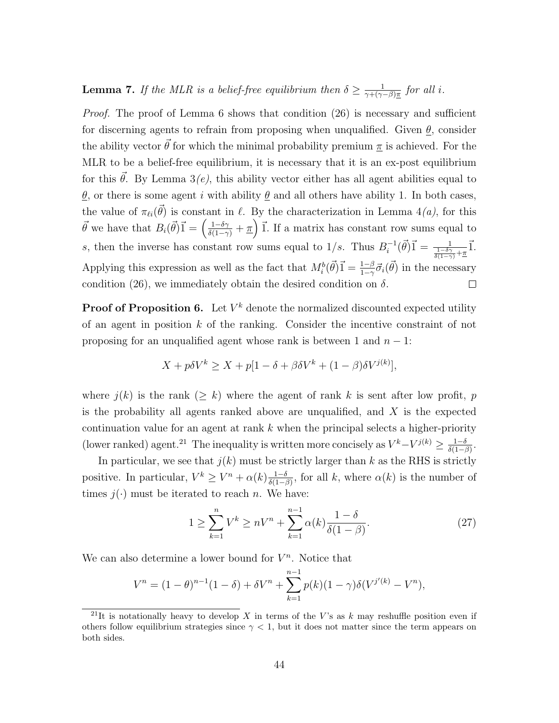**Lemma 7.** If the MLR is a belief-free equilibrium then  $\delta \geq \frac{1}{\gamma + 1/\gamma}$  $\frac{1}{\gamma + (\gamma - \beta)\pi}$  for all i.

*Proof.* The proof of Lemma 6 shows that condition  $(26)$  is necessary and sufficient for discerning agents to refrain from proposing when unqualified. Given  $\theta$ , consider the ability vector  $\vec{\theta}$  for which the minimal probability premium  $\pi$  is achieved. For the MLR to be a belief-free equilibrium, it is necessary that it is an ex-post equilibrium for this  $\vec{\theta}$ . By Lemma 3(e), this ability vector either has all agent abilities equal to  $θ$ , or there is some agent *i* with ability  $θ$  and all others have ability 1. In both cases, the value of  $\pi_{\ell i}(\vec{\theta})$  is constant in  $\ell$ . By the characterization in Lemma 4(*a*), for this  $\vec{\theta}$  we have that  $B_i(\vec{\theta})\vec{1} = \left(\frac{1-\delta\gamma}{\delta(1-\gamma)} + \pi\right)\vec{1}$ . If a matrix has constant row sums equal to  $\vec{i}^{-1}(\vec{\theta})\vec{1} = \frac{1}{\frac{1-\delta\gamma}{\delta(1-\gamma)}+\underline{\pi}}\vec{1}.$ s, then the inverse has constant row sums equal to  $1/s$ . Thus  $B_i^{-1}$ Applying this expression as well as the fact that  $M_i^b(\vec{\theta})\vec{1} = \frac{1-\beta}{1-\gamma}\vec{\sigma}_i(\vec{\theta})$  in the necessary condition (26), we immediately obtain the desired condition on  $\delta$ .  $\Box$ 

**Proof of Proposition 6.** Let  $V^k$  denote the normalized discounted expected utility of an agent in position  $k$  of the ranking. Consider the incentive constraint of not proposing for an unqualified agent whose rank is between 1 and  $n - 1$ :

$$
X + p\delta V^k \ge X + p[1 - \delta + \beta \delta V^k + (1 - \beta)\delta V^{j(k)}],
$$

where  $j(k)$  is the rank  $(\geq k)$  where the agent of rank k is sent after low profit, p is the probability all agents ranked above are unqualified, and  $X$  is the expected continuation value for an agent at rank  $k$  when the principal selects a higher-priority (lower ranked) agent.<sup>21</sup> The inequality is written more concisely as  $V^k - V^{j(k)} \ge \frac{1-\delta}{\delta(1-\delta)}$  $\frac{1-\delta}{\delta(1-\beta)}$ .

In particular, we see that  $j(k)$  must be strictly larger than k as the RHS is strictly positive. In particular,  $V^k \geq V^n + \alpha(k) \frac{1-\delta}{\delta(1-\delta)}$  $\frac{1-\delta}{\delta(1-\beta)}$ , for all k, where  $\alpha(k)$  is the number of times  $j(\cdot)$  must be iterated to reach n. We have:

$$
1 \ge \sum_{k=1}^{n} V^k \ge nV^n + \sum_{k=1}^{n-1} \alpha(k) \frac{1-\delta}{\delta(1-\beta)}.
$$
 (27)

We can also determine a lower bound for  $V^n$ . Notice that

$$
V^{n} = (1 - \theta)^{n-1} (1 - \delta) + \delta V^{n} + \sum_{k=1}^{n-1} p(k) (1 - \gamma) \delta(V^{j'(k)} - V^{n}),
$$

<sup>&</sup>lt;sup>21</sup>It is notationally heavy to develop X in terms of the V's as k may reshuffle position even if others follow equilibrium strategies since  $\gamma < 1$ , but it does not matter since the term appears on both sides.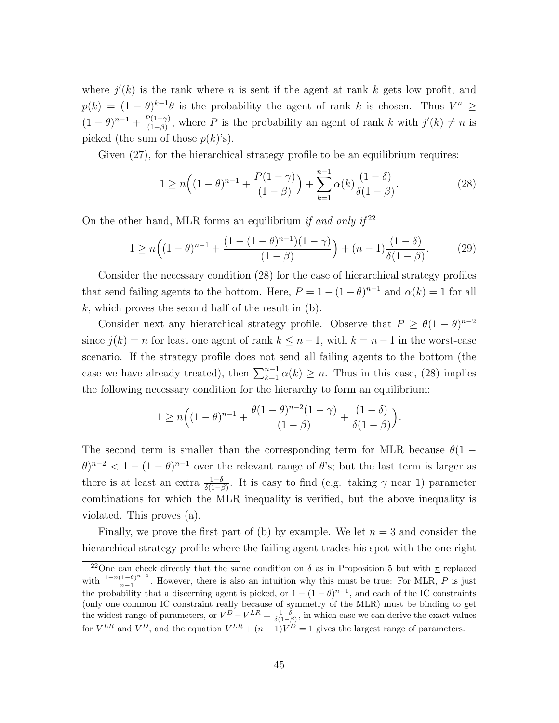where  $j'(k)$  is the rank where n is sent if the agent at rank k gets low profit, and  $p(k) = (1 - \theta)^{k-1}\theta$  is the probability the agent of rank k is chosen. Thus  $V^n \geq$  $(1-\theta)^{n-1} + \frac{P(1-\gamma)}{(1-\beta)}$  $\frac{\partial (1-\gamma)}{\partial (1-\beta)}$ , where P is the probability an agent of rank k with  $j'(k) \neq n$  is picked (the sum of those  $p(k)$ 's).

Given  $(27)$ , for the hierarchical strategy profile to be an equilibrium requires:

$$
1 \ge n\Big((1-\theta)^{n-1} + \frac{P(1-\gamma)}{(1-\beta)}\Big) + \sum_{k=1}^{n-1} \alpha(k) \frac{(1-\delta)}{\delta(1-\beta)}.
$$
 (28)

On the other hand, MLR forms an equilibrium if and only if  $2^2$ 

$$
1 \ge n\Big((1-\theta)^{n-1} + \frac{(1-(1-\theta)^{n-1})(1-\gamma)}{(1-\beta)}\Big) + (n-1)\frac{(1-\delta)}{\delta(1-\beta)}.\tag{29}
$$

Consider the necessary condition (28) for the case of hierarchical strategy profiles that send failing agents to the bottom. Here,  $P = 1 - (1 - \theta)^{n-1}$  and  $\alpha(k) = 1$  for all k, which proves the second half of the result in  $(b)$ .

Consider next any hierarchical strategy profile. Observe that  $P \geq \theta(1-\theta)^{n-2}$ since  $j(k) = n$  for least one agent of rank  $k \leq n-1$ , with  $k = n-1$  in the worst-case scenario. If the strategy profile does not send all failing agents to the bottom (the case we have already treated), then  $\sum_{k=1}^{n-1} \alpha(k) \geq n$ . Thus in this case, (28) implies the following necessary condition for the hierarchy to form an equilibrium:

$$
1 \ge n \Big( (1 - \theta)^{n-1} + \frac{\theta(1 - \theta)^{n-2}(1 - \gamma)}{(1 - \beta)} + \frac{(1 - \delta)}{\delta(1 - \beta)} \Big).
$$

The second term is smaller than the corresponding term for MLR because  $\theta(1 (\theta)^{n-2} < 1-(1-\theta)^{n-1}$  over the relevant range of  $\theta$ 's; but the last term is larger as there is at least an extra  $\frac{1-\delta}{\delta(1-\beta)}$ . It is easy to find (e.g. taking  $\gamma$  near 1) parameter combinations for which the MLR inequality is verified, but the above inequality is violated. This proves (a).

Finally, we prove the first part of (b) by example. We let  $n = 3$  and consider the hierarchical strategy profile where the failing agent trades his spot with the one right

<sup>&</sup>lt;sup>22</sup>One can check directly that the same condition on  $\delta$  as in Proposition 5 but with  $\pi$  replaced with  $\frac{1-n(1-\theta)^{n-1}}{n-1}$  $\frac{1-\theta}{n-1}$ . However, there is also an intuition why this must be true: For MLR, P is just the probability that a discerning agent is picked, or  $1 - (1 - \theta)^{n-1}$ , and each of the IC constraints (only one common IC constraint really because of symmetry of the MLR) must be binding to get the widest range of parameters, or  $V^D - V^{LR} = \frac{1-\delta}{\delta(1-\beta)}$ , in which case we can derive the exact values for  $V^{LR}$  and  $V^D$ , and the equation  $V^{LR} + (n-1)V^D = 1$  gives the largest range of parameters.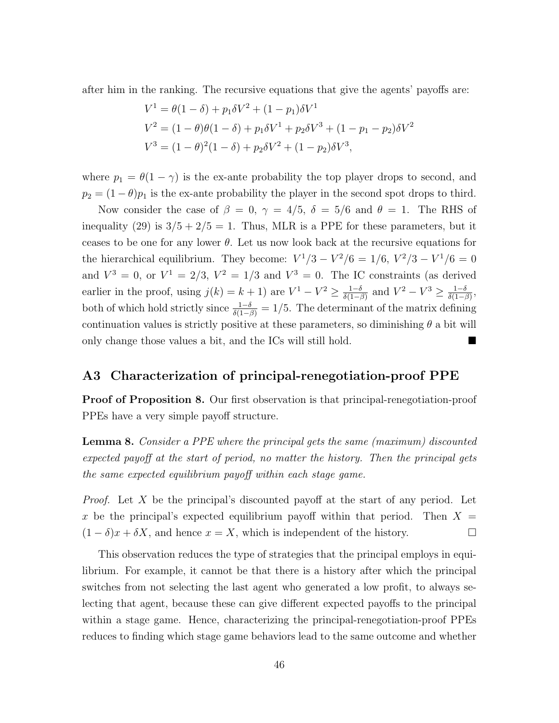after him in the ranking. The recursive equations that give the agents' payoffs are:

$$
V^{1} = \theta(1 - \delta) + p_{1}\delta V^{2} + (1 - p_{1})\delta V^{1}
$$
  
\n
$$
V^{2} = (1 - \theta)\theta(1 - \delta) + p_{1}\delta V^{1} + p_{2}\delta V^{3} + (1 - p_{1} - p_{2})\delta V^{2}
$$
  
\n
$$
V^{3} = (1 - \theta)^{2}(1 - \delta) + p_{2}\delta V^{2} + (1 - p_{2})\delta V^{3},
$$

where  $p_1 = \theta(1 - \gamma)$  is the ex-ante probability the top player drops to second, and  $p_2 = (1 - \theta)p_1$  is the ex-ante probability the player in the second spot drops to third.

Now consider the case of  $\beta = 0$ ,  $\gamma = 4/5$ ,  $\delta = 5/6$  and  $\theta = 1$ . The RHS of inequality (29) is  $3/5 + 2/5 = 1$ . Thus, MLR is a PPE for these parameters, but it ceases to be one for any lower  $\theta$ . Let us now look back at the recursive equations for the hierarchical equilibrium. They become:  $V^1/3 - V^2/6 = 1/6$ ,  $V^2/3 - V^1/6 = 0$ and  $V^3 = 0$ , or  $V^1 = 2/3$ ,  $V^2 = 1/3$  and  $V^3 = 0$ . The IC constraints (as derived earlier in the proof, using  $j(k) = k+1$  are  $V^1 - V^2 \ge \frac{1-\delta}{\delta(1-\delta)}$  $\frac{1-\delta}{\delta(1-\beta)}$  and  $V^2 - V^3 \ge \frac{1-\delta}{\delta(1-\beta)}$  $\frac{1-\delta}{\delta(1-\beta)},$ both of which hold strictly since  $\frac{1-\delta}{\delta(1-\beta)} = 1/5$ . The determinant of the matrix defining continuation values is strictly positive at these parameters, so diminishing  $\theta$  a bit will only change those values a bit, and the ICs will still hold.

### A3 Characterization of principal-renegotiation-proof PPE

Proof of Proposition 8. Our first observation is that principal-renegotiation-proof PPEs have a very simple payoff structure.

Lemma 8. Consider a PPE where the principal gets the same (maximum) discounted expected payoff at the start of period, no matter the history. Then the principal gets the same expected equilibrium payoff within each stage game.

*Proof.* Let X be the principal's discounted payoff at the start of any period. Let x be the principal's expected equilibrium payoff within that period. Then  $X =$  $(1 - \delta)x + \delta X$ , and hence  $x = X$ , which is independent of the history.

This observation reduces the type of strategies that the principal employs in equilibrium. For example, it cannot be that there is a history after which the principal switches from not selecting the last agent who generated a low profit, to always selecting that agent, because these can give different expected payoffs to the principal within a stage game. Hence, characterizing the principal-renegotiation-proof PPEs reduces to finding which stage game behaviors lead to the same outcome and whether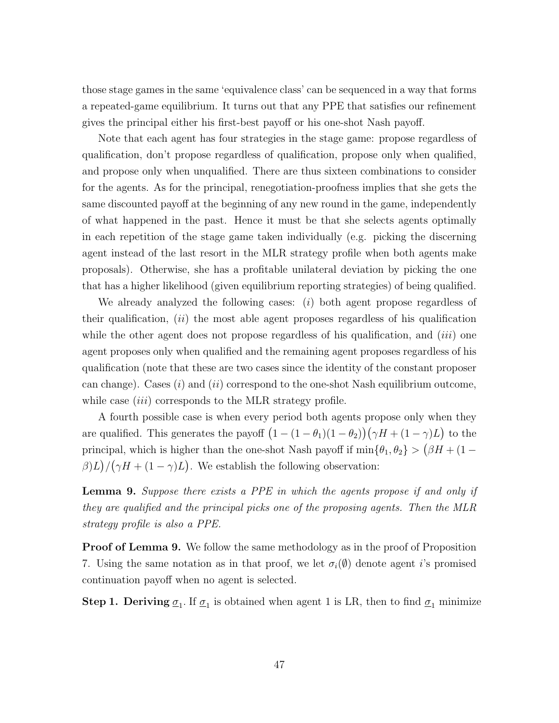those stage games in the same 'equivalence class' can be sequenced in a way that forms a repeated-game equilibrium. It turns out that any PPE that satisfies our refinement gives the principal either his first-best payoff or his one-shot Nash payoff.

Note that each agent has four strategies in the stage game: propose regardless of qualification, don't propose regardless of qualification, propose only when qualified, and propose only when unqualified. There are thus sixteen combinations to consider for the agents. As for the principal, renegotiation-proofness implies that she gets the same discounted payoff at the beginning of any new round in the game, independently of what happened in the past. Hence it must be that she selects agents optimally in each repetition of the stage game taken individually (e.g. picking the discerning agent instead of the last resort in the MLR strategy profile when both agents make proposals). Otherwise, she has a profitable unilateral deviation by picking the one that has a higher likelihood (given equilibrium reporting strategies) of being qualified.

We already analyzed the following cases:  $(i)$  both agent propose regardless of their qualification,  $(ii)$  the most able agent proposes regardless of his qualification while the other agent does not propose regardless of his qualification, and  $(iii)$  one agent proposes only when qualified and the remaining agent proposes regardless of his qualification (note that these are two cases since the identity of the constant proposer can change). Cases  $(i)$  and  $(ii)$  correspond to the one-shot Nash equilibrium outcome, while case *(iii)* corresponds to the MLR strategy profile.

A fourth possible case is when every period both agents propose only when they are qualified. This generates the payoff  $(1 - (1 - \theta_1)(1 - \theta_2))(\gamma H + (1 - \gamma)L)$  to the principal, which is higher than the one-shot Nash payoff if  $\min\{\theta_1, \theta_2\} > (\beta H + (1 \beta$ )L $)/(\gamma H + (1 - \gamma)L)$ . We establish the following observation:

**Lemma 9.** Suppose there exists a PPE in which the agents propose if and only if they are qualified and the principal picks one of the proposing agents. Then the MLR strategy profile is also a PPE.

**Proof of Lemma 9.** We follow the same methodology as in the proof of Proposition 7. Using the same notation as in that proof, we let  $\sigma_i(\emptyset)$  denote agent *i*'s promised continuation payoff when no agent is selected.

**Step 1. Deriving**  $\underline{\sigma}_1$ . If  $\underline{\sigma}_1$  is obtained when agent 1 is LR, then to find  $\underline{\sigma}_1$  minimize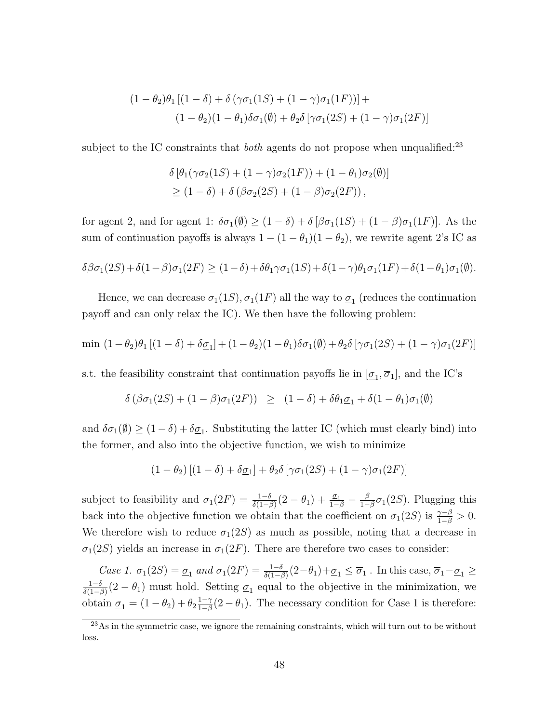$$
(1 - \theta_2)\theta_1 [(1 - \delta) + \delta (\gamma \sigma_1 (1S) + (1 - \gamma) \sigma_1 (1F))] +
$$
  

$$
(1 - \theta_2)(1 - \theta_1)\delta \sigma_1(\emptyset) + \theta_2 \delta [\gamma \sigma_1 (2S) + (1 - \gamma) \sigma_1 (2F)]
$$

subject to the IC constraints that *both* agents do not propose when unqualified:<sup>23</sup>

$$
\delta \left[ \theta_1(\gamma \sigma_2(1S) + (1 - \gamma)\sigma_2(1F)) + (1 - \theta_1)\sigma_2(\emptyset) \right]
$$
  
\n
$$
\geq (1 - \delta) + \delta \left( \beta \sigma_2(2S) + (1 - \beta)\sigma_2(2F) \right),
$$

for agent 2, and for agent 1:  $\delta\sigma_1(\emptyset) \geq (1-\delta) + \delta [\beta\sigma_1(1S) + (1-\beta)\sigma_1(1F)]$ . As the sum of continuation payoffs is always  $1 - (1 - \theta_1)(1 - \theta_2)$ , we rewrite agent 2's IC as

$$
\delta\beta\sigma_1(2S) + \delta(1-\beta)\sigma_1(2F) \ge (1-\delta) + \delta\theta_1\gamma\sigma_1(1S) + \delta(1-\gamma)\theta_1\sigma_1(1F) + \delta(1-\theta_1)\sigma_1(\emptyset).
$$

Hence, we can decrease  $\sigma_1(1S)$ ,  $\sigma_1(1F)$  all the way to  $\underline{\sigma}_1$  (reduces the continuation payoff and can only relax the IC). We then have the following problem:

$$
\min (1-\theta_2)\theta_1 [(1-\delta)+\delta \underline{\sigma}_1] + (1-\theta_2)(1-\theta_1)\delta \sigma_1(\emptyset) + \theta_2 \delta [\gamma \sigma_1(2S) + (1-\gamma)\sigma_1(2F)]
$$

s.t. the feasibility constraint that continuation payoffs lie in  $[\underline{\sigma}_1, \overline{\sigma}_1]$ , and the IC's

$$
\delta\left(\beta\sigma_1(2S) + (1-\beta)\sigma_1(2F)\right) \geq (1-\delta) + \delta\theta_1\underline{\sigma}_1 + \delta(1-\theta_1)\sigma_1(\emptyset)
$$

and  $\delta\sigma_1(\emptyset) \ge (1-\delta) + \delta\underline{\sigma}_1$ . Substituting the latter IC (which must clearly bind) into the former, and also into the objective function, we wish to minimize

$$
(1 - \theta_2) [(1 - \delta) + \delta \underline{\sigma}_1] + \theta_2 \delta [\gamma \sigma_1(2S) + (1 - \gamma) \sigma_1(2F)]
$$

subject to feasibility and  $\sigma_1(2F) = \frac{1-\delta}{\delta(1-\beta)}(2-\theta_1) + \frac{\sigma_1}{1-\beta} - \frac{\beta}{1-\beta}$  $\frac{\beta}{1-\beta}\sigma_1(2S)$ . Plugging this back into the objective function we obtain that the coefficient on  $\sigma_1(2S)$  is  $\frac{\gamma-\beta}{1-\beta} > 0$ . We therefore wish to reduce  $\sigma_1(2S)$  as much as possible, noting that a decrease in  $\sigma_1(2S)$  yields an increase in  $\sigma_1(2F)$ . There are therefore two cases to consider:

Case 1.  $\sigma_1(2S) = \underline{\sigma}_1$  and  $\sigma_1(2F) = \frac{1-\delta}{\delta(1-\beta)}(2-\theta_1) + \underline{\sigma}_1 \leq \overline{\sigma}_1$ . In this case,  $\overline{\sigma}_1 - \underline{\sigma}_1 \geq$  $1-\delta$  $\frac{1-\delta}{\delta(1-\beta)}(2-\theta_1)$  must hold. Setting  $\underline{\sigma}_1$  equal to the objective in the minimization, we obtain  $\underline{\sigma}_1 = (1 - \theta_2) + \theta_2 \frac{1 - \gamma}{1 - \beta}$  $\frac{1-\gamma}{1-\beta}(2-\theta_1)$ . The necessary condition for Case 1 is therefore:

<sup>&</sup>lt;sup>23</sup>As in the symmetric case, we ignore the remaining constraints, which will turn out to be without loss.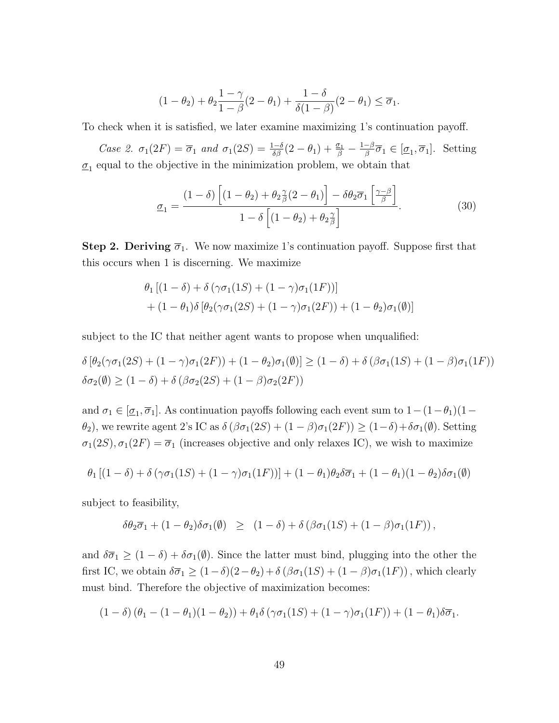$$
(1-\theta_2)+\theta_2\frac{1-\gamma}{1-\beta}(2-\theta_1)+\frac{1-\delta}{\delta(1-\beta)}(2-\theta_1)\leq \overline{\sigma}_1.
$$

To check when it is satisfied, we later examine maximizing 1's continuation payoff.

Case 2.  $\sigma_1(2F) = \overline{\sigma}_1$  and  $\sigma_1(2S) = \frac{1-\delta}{\delta\beta}(2-\theta_1) + \frac{\sigma_1}{\beta} - \frac{1-\beta}{\beta}$  $\overline{\sigma}_1 \in [\underline{\sigma}_1, \overline{\sigma}_1]$ . Setting  $\underline{\sigma}_1$  equal to the objective in the minimization problem, we obtain that

$$
\underline{\sigma}_1 = \frac{(1-\delta)\left[ (1-\theta_2) + \theta_2 \frac{\gamma}{\beta} (2-\theta_1) \right] - \delta \theta_2 \overline{\sigma}_1 \left[ \frac{\gamma-\beta}{\beta} \right]}{1-\delta \left[ (1-\theta_2) + \theta_2 \frac{\gamma}{\beta} \right]}.
$$
(30)

**Step 2. Deriving**  $\overline{\sigma}_1$ . We now maximize 1's continuation payoff. Suppose first that this occurs when 1 is discerning. We maximize

$$
\theta_1 [(1 - \delta) + \delta (\gamma \sigma_1 (1S) + (1 - \gamma) \sigma_1 (1F))]
$$
  
+ (1 -  $\theta_1$ ) $\delta$  [ $\theta_2$ ( $\gamma \sigma_1 (2S)$  + (1 -  $\gamma$ ) $\sigma_1 (2F)$  ) + (1 -  $\theta_2$ ) $\sigma_1$ ( $\emptyset$ )]

subject to the IC that neither agent wants to propose when unqualified:

$$
\delta [\theta_2(\gamma \sigma_1(2S) + (1 - \gamma)\sigma_1(2F)) + (1 - \theta_2)\sigma_1(\emptyset)] \ge (1 - \delta) + \delta (\beta \sigma_1(1S) + (1 - \beta)\sigma_1(1F))
$$
  

$$
\delta \sigma_2(\emptyset) \ge (1 - \delta) + \delta (\beta \sigma_2(2S) + (1 - \beta)\sigma_2(2F))
$$

and  $\sigma_1 \in [\underline{\sigma}_1, \overline{\sigma}_1]$ . As continuation payoffs following each event sum to  $1-(1-\theta_1)(1-\theta_1)$  $θ_2$ , we rewrite agent 2's IC as  $δ(βσ₁(2S) + (1 − β)σ₁(2F)) ≥ (1 − δ) + δσ₁(θ)$ . Setting  $\sigma_1(2S), \sigma_1(2F) = \overline{\sigma}_1$  (increases objective and only relaxes IC), we wish to maximize

$$
\theta_1 \left[ (1-\delta) + \delta \left( \gamma \sigma_1(1S) + (1-\gamma) \sigma_1(1F) \right) \right] + (1-\theta_1)\theta_2 \delta \overline{\sigma}_1 + (1-\theta_1)(1-\theta_2)\delta \sigma_1(\emptyset)
$$

subject to feasibility,

$$
\delta\theta_2\overline{\sigma}_1 + (1-\theta_2)\delta\sigma_1(\emptyset) \geq (1-\delta) + \delta(\beta\sigma_1(1S) + (1-\beta)\sigma_1(1F)),
$$

and  $\delta\overline{\sigma}_1 \geq (1-\delta) + \delta\sigma_1(\emptyset)$ . Since the latter must bind, plugging into the other the first IC, we obtain  $\delta\overline{\sigma}_1 \geq (1-\delta)(2-\theta_2)+\delta(\beta\sigma_1(1S) + (1-\beta)\sigma_1(1F))$ , which clearly must bind. Therefore the objective of maximization becomes:

$$
(1 - \delta) (\theta_1 - (1 - \theta_1)(1 - \theta_2)) + \theta_1 \delta (\gamma \sigma_1 (1S) + (1 - \gamma) \sigma_1 (1F)) + (1 - \theta_1) \delta \overline{\sigma}_1.
$$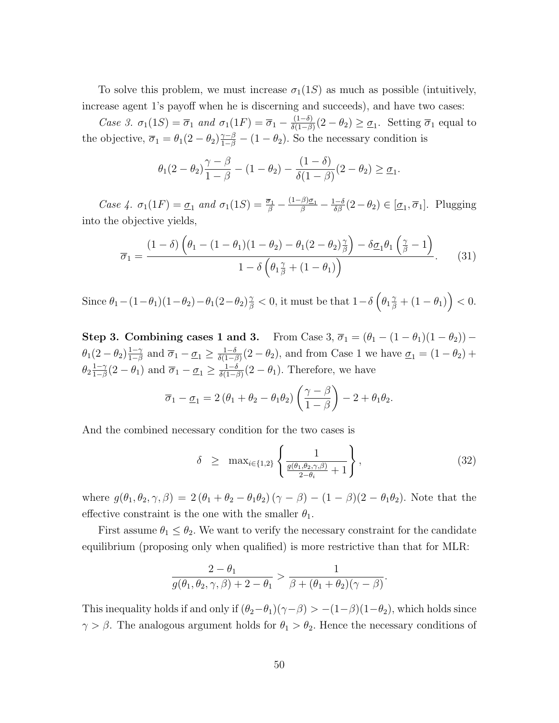To solve this problem, we must increase  $\sigma_1(1S)$  as much as possible (intuitively, increase agent 1's payoff when he is discerning and succeeds), and have two cases:

Case 3.  $\sigma_1(1S) = \overline{\sigma}_1$  and  $\sigma_1(1F) = \overline{\sigma}_1 - \frac{(1-\delta)}{\delta(1-\beta)}$  $\frac{(1-\delta)}{\delta(1-\beta)}(2-\theta_2) \geq \underline{\sigma}_1$ . Setting  $\overline{\sigma}_1$  equal to the objective,  $\overline{\sigma}_1 = \theta_1(2-\theta_2)\frac{\gamma-\beta}{1-\beta} - (1-\theta_2)$ . So the necessary condition is

$$
\theta_1(2-\theta_2)\frac{\gamma-\beta}{1-\beta}-(1-\theta_2)-\frac{(1-\delta)}{\delta(1-\beta)}(2-\theta_2)\geq \underline{\sigma}_1.
$$

Case 4.  $\sigma_1(1F) = \underline{\sigma}_1$  and  $\sigma_1(1S) = \frac{\overline{\sigma}_1}{\beta} - \frac{(1-\beta)\underline{\sigma}_1}{\beta} - \frac{1-\delta}{\delta\beta}(2-\theta_2) \in [\underline{\sigma}_1, \overline{\sigma}_1]$ . Plugging into the objective yields,

$$
\overline{\sigma}_1 = \frac{(1-\delta)\left(\theta_1 - (1-\theta_1)(1-\theta_2) - \theta_1(2-\theta_2)\frac{\gamma}{\beta}\right) - \delta\underline{\sigma}_1\theta_1\left(\frac{\gamma}{\beta} - 1\right)}{1 - \delta\left(\theta_1\frac{\gamma}{\beta} + (1-\theta_1)\right)}.
$$
(31)

 $\text{Since } \theta_1 - (1 - \theta_1)(1 - \theta_2) - \theta_1(2 - \theta_2)\frac{\gamma}{\beta} < 0 \text{, it must be that } 1 - \delta \left(\theta_1 \frac{\gamma}{\beta} + (1 - \theta_1)\right) < 0.$ 

Step 3. Combining cases 1 and 3. From Case 3,  $\overline{\sigma}_1 = (\theta_1 - (1 - \theta_1)(1 - \theta_2))$  –  $\theta_1(2-\theta_2)\frac{1-\gamma}{1-\beta}$  $\frac{1-\gamma}{1-\beta}$  and  $\overline{\sigma}_1 - \underline{\sigma}_1 \ge \frac{1-\delta}{\delta(1-\beta)}$  $\frac{1-\delta}{\delta(1-\beta)}(2-\theta_2)$ , and from Case 1 we have  $\underline{\sigma}_1 = (1-\theta_2) +$  $\theta_2 \frac{1-\gamma}{1-\beta}$  $\frac{1-\gamma}{1-\beta}(2-\theta_1)$  and  $\overline{\sigma}_1 - \underline{\sigma}_1 \ge \frac{1-\delta}{\delta(1-\beta)}$  $\frac{1-\delta}{\delta(1-\beta)}(2-\theta_1)$ . Therefore, we have

$$
\overline{\sigma}_1 - \underline{\sigma}_1 = 2 (\theta_1 + \theta_2 - \theta_1 \theta_2) \left( \frac{\gamma - \beta}{1 - \beta} \right) - 2 + \theta_1 \theta_2.
$$

And the combined necessary condition for the two cases is

$$
\delta \geq \max_{i \in \{1,2\}} \left\{ \frac{1}{\frac{g(\theta_1, \theta_2, \gamma, \beta)}{2 - \theta_i} + 1} \right\},\tag{32}
$$

where  $g(\theta_1, \theta_2, \gamma, \beta) = 2(\theta_1 + \theta_2 - \theta_1\theta_2)(\gamma - \beta) - (1 - \beta)(2 - \theta_1\theta_2)$ . Note that the effective constraint is the one with the smaller  $\theta_1.$ 

First assume  $\theta_1 \leq \theta_2$ . We want to verify the necessary constraint for the candidate equilibrium (proposing only when qualified) is more restrictive than that for MLR:

$$
\frac{2-\theta_1}{g(\theta_1,\theta_2,\gamma,\beta)+2-\theta_1} > \frac{1}{\beta+(\theta_1+\theta_2)(\gamma-\beta)}.
$$

This inequality holds if and only if  $(\theta_2-\theta_1)(\gamma-\beta) > -(1-\beta)(1-\theta_2)$ , which holds since  $\gamma > \beta$ . The analogous argument holds for  $\theta_1 > \theta_2$ . Hence the necessary conditions of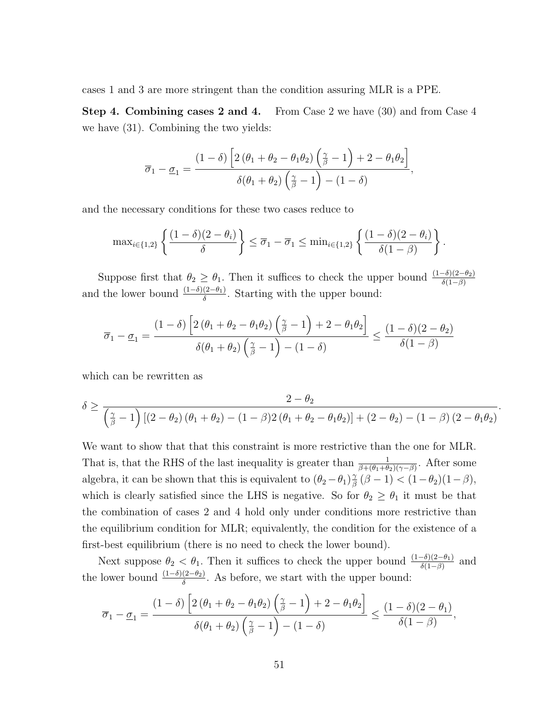cases 1 and 3 are more stringent than the condition assuring MLR is a PPE.

Step 4. Combining cases 2 and 4. From Case 2 we have (30) and from Case 4 we have (31). Combining the two yields:

$$
\overline{\sigma}_1 - \underline{\sigma}_1 = \frac{(1-\delta) \left[ 2 (\theta_1 + \theta_2 - \theta_1 \theta_2) \left( \frac{\gamma}{\beta} - 1 \right) + 2 - \theta_1 \theta_2 \right]}{\delta(\theta_1 + \theta_2) \left( \frac{\gamma}{\beta} - 1 \right) - (1 - \delta)},
$$

and the necessary conditions for these two cases reduce to

$$
\max_{i\in\{1,2\}}\left\{\frac{(1-\delta)(2-\theta_i)}{\delta}\right\}\leq \overline{\sigma}_1-\overline{\sigma}_1\leq \min_{i\in\{1,2\}}\left\{\frac{(1-\delta)(2-\theta_i)}{\delta(1-\beta)}\right\}.
$$

Suppose first that  $\theta_2 \geq \theta_1$ . Then it suffices to check the upper bound  $\frac{(1-\delta)(2-\theta_2)}{\delta(1-\beta)}$ and the lower bound  $\frac{(1-\delta)(2-\theta_1)}{\delta}$ . Starting with the upper bound:

$$
\overline{\sigma}_1 - \underline{\sigma}_1 = \frac{(1-\delta) \left[ 2 (\theta_1 + \theta_2 - \theta_1 \theta_2) \left( \frac{\gamma}{\beta} - 1 \right) + 2 - \theta_1 \theta_2 \right]}{\delta(\theta_1 + \theta_2) \left( \frac{\gamma}{\beta} - 1 \right) - (1-\delta)} \le \frac{(1-\delta)(2-\theta_2)}{\delta(1-\beta)}
$$

which can be rewritten as

$$
\delta \ge \frac{2-\theta_2}{\left(\frac{\gamma}{\beta}-1\right)\left[(2-\theta_2)(\theta_1+\theta_2)-(1-\beta)2(\theta_1+\theta_2-\theta_1\theta_2)\right] + (2-\theta_2)-(1-\beta)(2-\theta_1\theta_2)}.
$$

We want to show that that this constraint is more restrictive than the one for MLR. That is, that the RHS of the last inequality is greater than  $\frac{1}{\beta+(\theta_1+\theta_2)(\gamma-\beta)}$ . After some algebra, it can be shown that this is equivalent to  $(\theta_2 - \theta_1)_\beta^{\gamma}$  $\frac{\gamma}{\beta}(\beta - 1) < (1 - \theta_2)(1 - \beta),$ which is clearly satisfied since the LHS is negative. So for  $\theta_2 \ge \theta_1$  it must be that the combination of cases 2 and 4 hold only under conditions more restrictive than the equilibrium condition for MLR; equivalently, the condition for the existence of a first-best equilibrium (there is no need to check the lower bound).

Next suppose  $\theta_2 < \theta_1$ . Then it suffices to check the upper bound  $\frac{(1-\delta)(2-\theta_1)}{\delta(1-\beta)}$  and the lower bound  $\frac{(1-\delta)(2-\theta_2)}{\delta}$ . As before, we start with the upper bound:

$$
\overline{\sigma}_1 - \underline{\sigma}_1 = \frac{(1-\delta)\left[2(\theta_1 + \theta_2 - \theta_1\theta_2)\left(\frac{\gamma}{\beta} - 1\right) + 2 - \theta_1\theta_2\right]}{\delta(\theta_1 + \theta_2)\left(\frac{\gamma}{\beta} - 1\right) - (1-\delta)} \le \frac{(1-\delta)(2-\theta_1)}{\delta(1-\beta)},
$$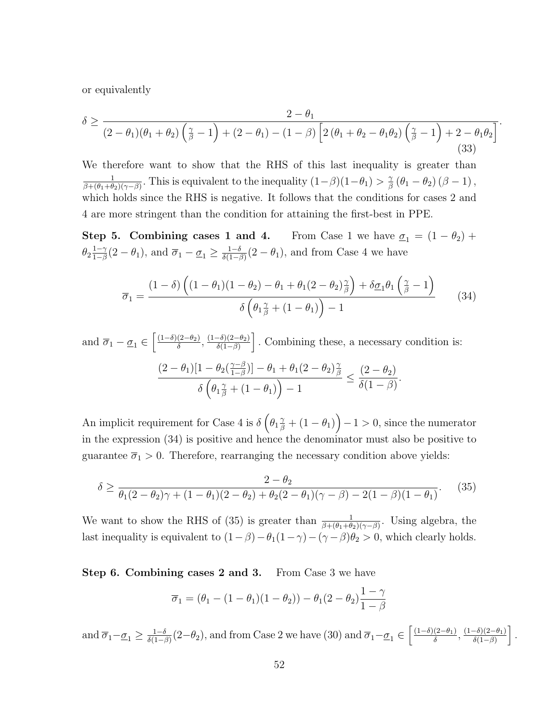or equivalently

$$
\delta \ge \frac{2-\theta_1}{(2-\theta_1)(\theta_1+\theta_2)\left(\frac{\gamma}{\beta}-1\right)+(2-\theta_1)-(1-\beta)\left[2\left(\theta_1+\theta_2-\theta_1\theta_2\right)\left(\frac{\gamma}{\beta}-1\right)+2-\theta_1\theta_2\right]}.
$$
\n(33)

We therefore want to show that the RHS of this last inequality is greater than 1  $\frac{1}{\beta+(\theta_1+\theta_2)(\gamma-\beta)}$ . This is equivalent to the inequality  $(1-\beta)(1-\theta_1) > \frac{\gamma}{\beta}$  $\frac{\gamma}{\beta}\left(\theta_{1}-\theta_{2}\right)\left(\beta-1\right),$ which holds since the RHS is negative. It follows that the conditions for cases 2 and 4 are more stringent than the condition for attaining the first-best in PPE.

Step 5. Combining cases 1 and 4. From Case 1 we have  $\underline{\sigma}_1 = (1 - \theta_2) +$  $\theta_2 \frac{1-\gamma}{1-\beta}$  $\frac{1-\gamma}{1-\beta}(2-\theta_1)$ , and  $\overline{\sigma}_1 - \underline{\sigma}_1 \ge \frac{1-\delta}{\delta(1-\beta)}$  $\frac{1-\delta}{\delta(1-\beta)}(2-\theta_1)$ , and from Case 4 we have

$$
\overline{\sigma}_1 = \frac{(1-\delta)\left((1-\theta_1)(1-\theta_2) - \theta_1 + \theta_1(2-\theta_2)\frac{\gamma}{\beta}\right) + \delta\underline{\sigma}_1\theta_1\left(\frac{\gamma}{\beta} - 1\right)}{\delta\left(\theta_1\frac{\gamma}{\beta} + (1-\theta_1)\right) - 1} \tag{34}
$$

and  $\overline{\sigma}_1 - \underline{\sigma}_1 \in \left[\frac{(1-\delta)(2-\theta_2)}{\delta}\right]$  $\frac{(2-\theta_2)}{\delta}, \frac{(1-\delta)(2-\theta_2)}{\delta(1-\beta)}$  $\frac{-\delta(2-\theta_2)}{\delta(1-\beta)}$ . Combining these, a necessary condition is:  $(2 - \theta_1)[1 - \theta_2(\frac{\gamma - \beta}{1 - \beta})]$  $\frac{\gamma-\beta}{1-\beta})] - \theta_1 + \theta_1(2-\theta_2)\frac{\gamma}{\beta}$ β  $\delta\left(\theta_{1}\frac{\gamma}{\beta}+\left(1-\theta_{1}\right)\right)-1$  $\leq \frac{(2-\theta_2)}{\varsigma(1-\theta)}$  $\delta(1-\beta)$ .

An implicit requirement for Case 4 is  $\delta\left(\theta_1\frac{\gamma}{\beta} + (1-\theta_1)\right) - 1 > 0$ , since the numerator in the expression (34) is positive and hence the denominator must also be positive to guarantee  $\overline{\sigma}_1 > 0$ . Therefore, rearranging the necessary condition above yields:

$$
\delta \ge \frac{2 - \theta_2}{\theta_1 (2 - \theta_2)\gamma + (1 - \theta_1)(2 - \theta_2) + \theta_2 (2 - \theta_1)(\gamma - \beta) - 2(1 - \beta)(1 - \theta_1)}.
$$
(35)

We want to show the RHS of (35) is greater than  $\frac{1}{\beta+(\theta_1+\theta_2)(\gamma-\beta)}$ . Using algebra, the last inequality is equivalent to  $(1-\beta)-\theta_1(1-\gamma)-(\gamma-\beta)\theta_2>0$ , which clearly holds.

Step 6. Combining cases 2 and 3. From Case 3 we have

$$
\overline{\sigma}_1 = (\theta_1 - (1 - \theta_1)(1 - \theta_2)) - \theta_1(2 - \theta_2)\frac{1 - \gamma}{1 - \beta}
$$

and  $\overline{\sigma}_1 - \underline{\sigma}_1 \ge \frac{1-\delta}{\delta(1-\delta)}$  $\frac{1-\delta}{\delta(1-\beta)}(2-\theta_2)$ , and from Case 2 we have (30) and  $\overline{\sigma}_1-\underline{\sigma}_1 \in \left[\frac{(1-\delta)(2-\theta_1)}{\delta}\right]$  $\frac{(2-\theta_1)}{\delta}, \frac{(1-\delta)(2-\theta_1)}{\delta(1-\beta)}$  $\frac{-\delta(2-\theta_1)}{\delta(1-\beta)}$ .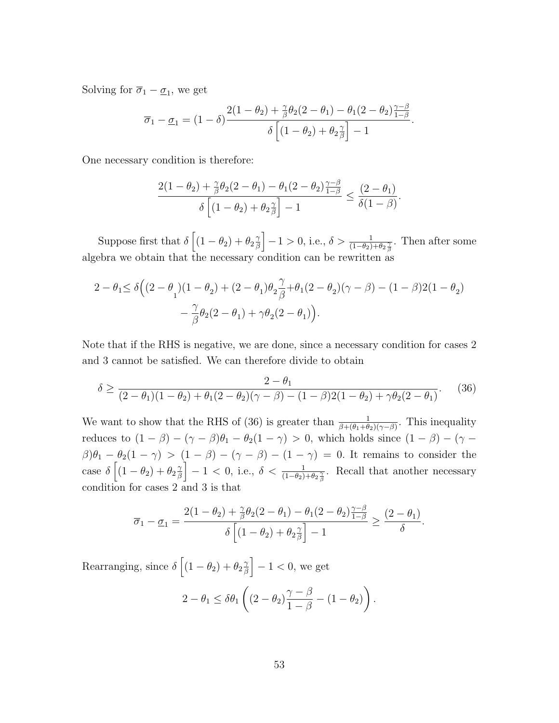Solving for  $\overline{\sigma}_1 - \underline{\sigma}_1$ , we get

$$
\overline{\sigma}_1 - \underline{\sigma}_1 = (1 - \delta) \frac{2(1 - \theta_2) + \frac{\gamma}{\beta} \theta_2 (2 - \theta_1) - \theta_1 (2 - \theta_2) \frac{\gamma - \beta}{1 - \beta}}{\delta \left[ (1 - \theta_2) + \theta_2 \frac{\gamma}{\beta} \right] - 1}.
$$

One necessary condition is therefore:

$$
\frac{2(1-\theta_2)+\frac{\gamma}{\beta}\theta_2(2-\theta_1)-\theta_1(2-\theta_2)\frac{\gamma-\beta}{1-\beta}}{\delta\left[(1-\theta_2)+\theta_2\frac{\gamma}{\beta}\right]-1}\leq \frac{(2-\theta_1)}{\delta(1-\beta)}.
$$

Suppose first that  $\delta \left[ (1 - \theta_2) + \theta_2 \frac{\gamma}{\beta} \right]$  $\left[\frac{\gamma}{\beta}\right] - 1 > 0$ , i.e.,  $\delta > \frac{1}{(1-\theta_2)+\theta_2\frac{\gamma}{\beta}}$ . Then after some algebra we obtain that the necessary condition can be rewritten as

$$
\begin{aligned} 2-\theta_1 &\leq \delta \Big((2-\theta_1)(1-\theta_2)+(2-\theta_1)\theta_2\frac{\gamma}{\beta}+\theta_1(2-\theta_2)(\gamma-\beta)-(1-\beta)2(1-\theta_2)\\ &\quad -\frac{\gamma}{\beta}\theta_2(2-\theta_1)+\gamma\theta_2(2-\theta_1)\Big). \end{aligned}
$$

Note that if the RHS is negative, we are done, since a necessary condition for cases 2 and 3 cannot be satisfied. We can therefore divide to obtain

$$
\delta \ge \frac{2 - \theta_1}{(2 - \theta_1)(1 - \theta_2) + \theta_1(2 - \theta_2)(\gamma - \beta) - (1 - \beta)2(1 - \theta_2) + \gamma \theta_2(2 - \theta_1)}.
$$
(36)

We want to show that the RHS of (36) is greater than  $\frac{1}{\beta+(\theta_1+\theta_2)(\gamma-\beta)}$ . This inequality reduces to  $(1 - \beta) - (\gamma - \beta)\theta_1 - \theta_2(1 - \gamma) > 0$ , which holds since  $(1 - \beta) - (\gamma - \beta)\theta_1 - \theta_2(1 - \gamma) > 0$  $\beta$ ) $\theta_1 - \theta_2(1 - \gamma) > (1 - \beta) - (\gamma - \beta) - (1 - \gamma) = 0$ . It remains to consider the case  $\delta \left[ (1 - \theta_2) + \theta_2 \frac{\gamma}{\beta} \right]$  $\left[\frac{\gamma}{\beta}\right] - 1 < 0$ , i.e.,  $\delta < \frac{1}{(1-\theta_2)+\theta_2\frac{\gamma}{\beta}}$ . Recall that another necessary condition for cases 2 and 3 is that

$$
\overline{\sigma}_1 - \underline{\sigma}_1 = \frac{2(1-\theta_2) + \frac{\gamma}{\beta}\theta_2(2-\theta_1) - \theta_1(2-\theta_2)\frac{\gamma-\beta}{1-\beta}}{\delta\left[(1-\theta_2) + \theta_2\frac{\gamma}{\beta}\right] - 1} \ge \frac{(2-\theta_1)}{\delta}.
$$

Rearranging, since  $\delta \left[ (1 - \theta_2) + \theta_2 \frac{2}{\beta} \right]$  $\left[\frac{\gamma}{\beta}\right] - 1 < 0$ , we get

$$
2 - \theta_1 \leq \delta \theta_1 \left( (2 - \theta_2) \frac{\gamma - \beta}{1 - \beta} - (1 - \theta_2) \right).
$$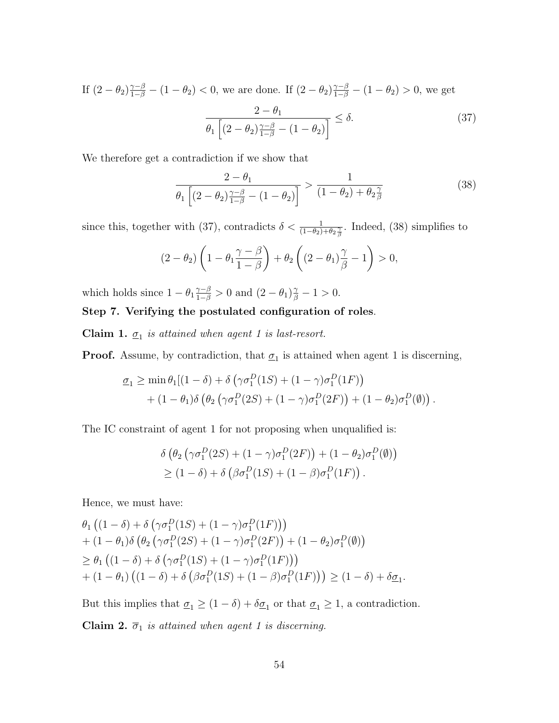If  $(2 - \theta_2)^{\frac{\gamma - \beta}{1 - \beta}} - (1 - \theta_2) < 0$ , we are done. If  $(2 - \theta_2)^{\frac{\gamma - \beta}{1 - \beta}} - (1 - \theta_2) > 0$ , we get  $2 - \theta_1$  $\frac{2}{\theta_1 \left[ (2 - \theta_2) \frac{\gamma - \beta}{1 - \beta} - (1 - \theta_2) \right]} \le \delta.$  (37)

We therefore get a contradiction if we show that

$$
\frac{2 - \theta_1}{\theta_1 \left[ (2 - \theta_2) \frac{\gamma - \beta}{1 - \beta} - (1 - \theta_2) \right]} > \frac{1}{(1 - \theta_2) + \theta_2 \frac{\gamma}{\beta}}
$$
(38)

since this, together with (37), contradicts  $\delta < \frac{1}{(1-\theta_2)+\theta_2\frac{\gamma}{\beta}}$ . Indeed, (38) simplifies to

$$
(2 - \theta_2) \left(1 - \theta_1 \frac{\gamma - \beta}{1 - \beta}\right) + \theta_2 \left((2 - \theta_1)\frac{\gamma}{\beta} - 1\right) > 0,
$$

which holds since  $1 - \theta_1 \frac{\gamma - \beta}{1 - \beta} > 0$  and  $(2 - \theta_1) \frac{\gamma}{\beta} - 1 > 0$ .

#### Step 7. Verifying the postulated configuration of roles.

**Claim 1.**  $\underline{\sigma}_1$  is attained when agent 1 is last-resort.

**Proof.** Assume, by contradiction, that  $\underline{\sigma}_1$  is attained when agent 1 is discerning,

$$
\underline{\sigma}_1 \ge \min \theta_1 [(1 - \delta) + \delta (\gamma \sigma_1^D (1S) + (1 - \gamma) \sigma_1^D (1F))
$$
  
+ 
$$
(1 - \theta_1) \delta (\theta_2 (\gamma \sigma_1^D (2S) + (1 - \gamma) \sigma_1^D (2F)) + (1 - \theta_2) \sigma_1^D (\emptyset)).
$$

The IC constraint of agent 1 for not proposing when unqualified is:

$$
\delta \left( \theta_2 \left( \gamma \sigma_1^D(2S) + (1 - \gamma) \sigma_1^D(2F) \right) + (1 - \theta_2) \sigma_1^D(\emptyset) \right) \geq (1 - \delta) + \delta \left( \beta \sigma_1^D(1S) + (1 - \beta) \sigma_1^D(1F) \right).
$$

Hence, we must have:

$$
\theta_1 \left( (1 - \delta) + \delta \left( \gamma \sigma_1^D (1S) + (1 - \gamma) \sigma_1^D (1F) \right) \right) \n+ (1 - \theta_1) \delta \left( \theta_2 \left( \gamma \sigma_1^D (2S) + (1 - \gamma) \sigma_1^D (2F) \right) + (1 - \theta_2) \sigma_1^D (\emptyset) \right) \n\geq \theta_1 \left( (1 - \delta) + \delta \left( \gamma \sigma_1^D (1S) + (1 - \gamma) \sigma_1^D (1F) \right) \right) \n+ (1 - \theta_1) \left( (1 - \delta) + \delta \left( \beta \sigma_1^D (1S) + (1 - \beta) \sigma_1^D (1F) \right) \right) \geq (1 - \delta) + \delta \underline{\sigma}_1
$$

But this implies that  $\underline{\sigma}_1 \geq (1 - \delta) + \delta \underline{\sigma}_1$  or that  $\underline{\sigma}_1 \geq 1$ , a contradiction.

Claim 2.  $\overline{\sigma}_1$  is attained when agent 1 is discerning.

.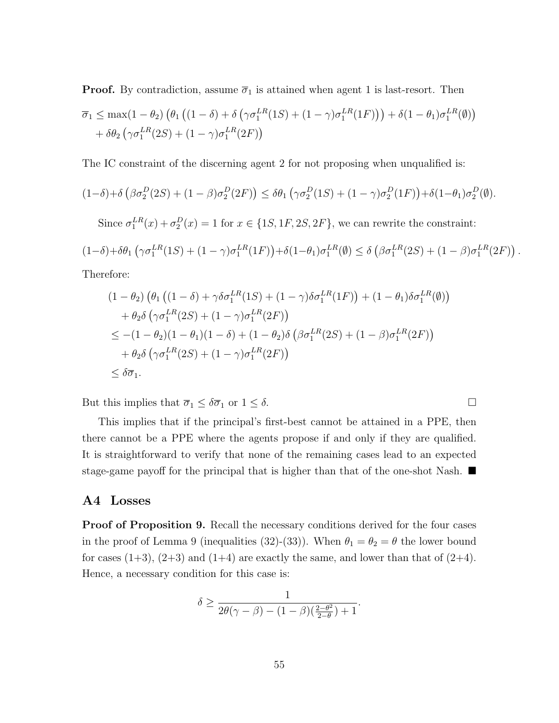**Proof.** By contradiction, assume  $\overline{\sigma}_1$  is attained when agent 1 is last-resort. Then

$$
\overline{\sigma}_1 \le \max(1-\theta_2) \left( \theta_1 \left( (1-\delta) + \delta \left( \gamma \sigma_1^{LR}(1S) + (1-\gamma) \sigma_1^{LR}(1F) \right) \right) + \delta (1-\theta_1) \sigma_1^{LR}(\emptyset) \right) + \delta \theta_2 \left( \gamma \sigma_1^{LR}(2S) + (1-\gamma) \sigma_1^{LR}(2F) \right)
$$

The IC constraint of the discerning agent 2 for not proposing when unqualified is:

$$
(1-\delta) + \delta \left(\beta \sigma_2^D(2S) + (1-\beta) \sigma_2^D(2F)\right) \le \delta \theta_1 \left(\gamma \sigma_2^D(1S) + (1-\gamma) \sigma_2^D(1F)\right) + \delta (1-\theta_1) \sigma_2^D(\emptyset).
$$
  
Since  $\sigma_1^{LR}(x) + \sigma_2^D(x) = 1$  for  $x \in \{1S, 1F, 2S, 2F\}$ , we can rewrite the constraint:

$$
(1-\delta)+\delta\theta_1\left(\gamma\sigma_1^{LR}(1S)+(1-\gamma)\sigma_1^{LR}(1F)\right)+\delta(1-\theta_1)\sigma_1^{LR}(\emptyset)\leq \delta\left(\beta\sigma_1^{LR}(2S)+(1-\beta)\sigma_1^{LR}(2F)\right).
$$

Therefore:

$$
(1 - \theta_2) \left( \theta_1 \left( (1 - \delta) + \gamma \delta \sigma_1^{LR}(1S) + (1 - \gamma) \delta \sigma_1^{LR}(1F) \right) + (1 - \theta_1) \delta \sigma_1^{LR}(\emptyset) \right)
$$
  
+ 
$$
\theta_2 \delta \left( \gamma \sigma_1^{LR}(2S) + (1 - \gamma) \sigma_1^{LR}(2F) \right)
$$
  

$$
\leq -(1 - \theta_2)(1 - \theta_1)(1 - \delta) + (1 - \theta_2) \delta \left( \beta \sigma_1^{LR}(2S) + (1 - \beta) \sigma_1^{LR}(2F) \right)
$$
  
+ 
$$
\theta_2 \delta \left( \gamma \sigma_1^{LR}(2S) + (1 - \gamma) \sigma_1^{LR}(2F) \right)
$$
  

$$
\leq \delta \overline{\sigma}_1.
$$

But this implies that  $\overline{\sigma}_1 \leq \delta \overline{\sigma}_1$  or  $1 \leq \delta$ .

This implies that if the principal's first-best cannot be attained in a PPE, then there cannot be a PPE where the agents propose if and only if they are qualified. It is straightforward to verify that none of the remaining cases lead to an expected stage-game payoff for the principal that is higher than that of the one-shot Nash.

#### A4 Losses

**Proof of Proposition 9.** Recall the necessary conditions derived for the four cases in the proof of Lemma 9 (inequalities (32)-(33)). When  $\theta_1 = \theta_2 = \theta$  the lower bound for cases  $(1+3)$ ,  $(2+3)$  and  $(1+4)$  are exactly the same, and lower than that of  $(2+4)$ . Hence, a necessary condition for this case is:

$$
\delta \ge \frac{1}{2\theta(\gamma-\beta)-(1-\beta)\left(\frac{2-\theta^2}{2-\theta}\right)+1}.
$$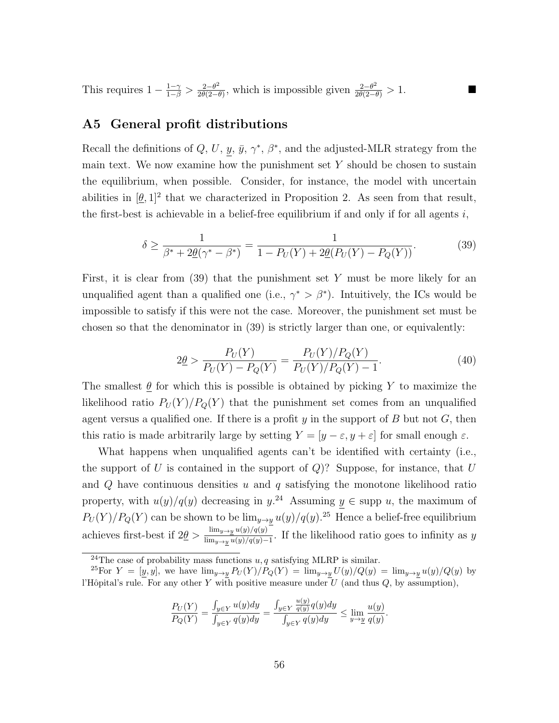This requires  $1 - \frac{1-\gamma}{1-\beta} > \frac{2-\theta^2}{2\theta(2-\theta)}$  $\frac{2-\theta^2}{2\theta(2-\theta)}$ , which is impossible given  $\frac{2-\theta^2}{2\theta(2-\theta)} > 1$ .

### A5 General profit distributions

Recall the definitions of Q, U, y,  $\bar{y}$ ,  $\gamma^*$ ,  $\beta^*$ , and the adjusted-MLR strategy from the main text. We now examine how the punishment set  $Y$  should be chosen to sustain the equilibrium, when possible. Consider, for instance, the model with uncertain abilities in  $[\underline{\theta}, 1]^2$  that we characterized in Proposition 2. As seen from that result, the first-best is achievable in a belief-free equilibrium if and only if for all agents  $i$ ,

$$
\delta \ge \frac{1}{\beta^* + 2\underline{\theta}(\gamma^* - \beta^*)} = \frac{1}{1 - P_U(Y) + 2\underline{\theta}(P_U(Y) - P_Q(Y))}.
$$
\n(39)

First, it is clear from  $(39)$  that the punishment set Y must be more likely for an unqualified agent than a qualified one (i.e.,  $\gamma^* > \beta^*$ ). Intuitively, the ICs would be impossible to satisfy if this were not the case. Moreover, the punishment set must be chosen so that the denominator in (39) is strictly larger than one, or equivalently:

$$
2\underline{\theta} > \frac{P_U(Y)}{P_U(Y) - P_Q(Y)} = \frac{P_U(Y)/P_Q(Y)}{P_U(Y)/P_Q(Y) - 1}.
$$
\n(40)

The smallest  $\theta$  for which this is possible is obtained by picking Y to maximize the likelihood ratio  $P_U(Y)/P_Q(Y)$  that the punishment set comes from an unqualified agent versus a qualified one. If there is a profit y in the support of B but not  $G$ , then this ratio is made arbitrarily large by setting  $Y = [y - \varepsilon, y + \varepsilon]$  for small enough  $\varepsilon$ .

What happens when unqualified agents can't be identified with certainty (i.e., the support of U is contained in the support of  $Q$ ? Suppose, for instance, that U and  $Q$  have continuous densities  $u$  and  $q$  satisfying the monotone likelihood ratio property, with  $u(y)/q(y)$  decreasing in  $y^{24}$  Assuming  $y \in \text{supp } u$ , the maximum of  $P_U(Y)/P_Q(Y)$  can be shown to be  $\lim_{y\to \underline{y}}u(y)/q(y).^{25}$  Hence a belief-free equilibrium achieves first-best if  $2\theta > \frac{\lim_{y\to y} u(y)/q(y)}{\lim_{y\to y} u(y)/q(y)}$  $\frac{\text{lim}_y \rightarrow y \ a(y)/q(y)}{\text{lim}_{y \rightarrow y \ a(y)/q(y)-1}}$ . If the likelihood ratio goes to infinity as y

$$
\frac{P_U(Y)}{P_Q(Y)} = \frac{\int_{y \in Y} u(y) dy}{\int_{y \in Y} q(y) dy} = \frac{\int_{y \in Y} \frac{u(y)}{q(y)} q(y) dy}{\int_{y \in Y} q(y) dy} \le \lim_{y \to \underline{y}} \frac{u(y)}{q(y)}.
$$

<sup>&</sup>lt;sup>24</sup>The case of probability mass functions  $u, q$  satisfying MLRP is similar.

<sup>&</sup>lt;sup>25</sup>For  $Y = [y, y]$ , we have  $\lim_{y\to y} P_U(Y)/P_Q(Y) = \lim_{y\to y} U(y)/Q(y) = \lim_{y\to y} u(y)/Q(y)$  by l'Hôpital's rule. For any other Y with positive measure under  $U$  (and thus  $Q$ , by assumption),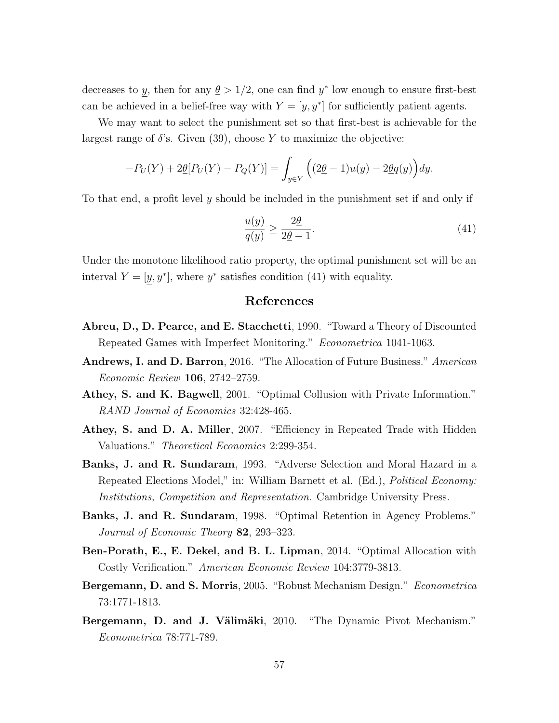decreases to y, then for any  $\theta > 1/2$ , one can find y<sup>\*</sup> low enough to ensure first-best can be achieved in a belief-free way with  $Y = [y, y^*]$  for sufficiently patient agents.

We may want to select the punishment set so that first-best is achievable for the largest range of  $\delta$ 's. Given (39), choose Y to maximize the objective:

$$
-P_U(Y) + 2\underline{\theta}[P_U(Y) - P_Q(Y)] = \int_{y \in Y} \left( (2\underline{\theta} - 1)u(y) - 2\underline{\theta}q(y) \right) dy.
$$

To that end, a profit level y should be included in the punishment set if and only if

$$
\frac{u(y)}{q(y)} \ge \frac{2\underline{\theta}}{2\underline{\theta} - 1}.\tag{41}
$$

Under the monotone likelihood ratio property, the optimal punishment set will be an interval  $Y = [y, y^*]$ , where  $y^*$  satisfies condition (41) with equality.

#### References

- Abreu, D., D. Pearce, and E. Stacchetti, 1990. "Toward a Theory of Discounted Repeated Games with Imperfect Monitoring." Econometrica 1041-1063.
- Andrews, I. and D. Barron, 2016. "The Allocation of Future Business." American Economic Review 106, 2742–2759.
- Athey, S. and K. Bagwell, 2001. "Optimal Collusion with Private Information." RAND Journal of Economics 32:428-465.
- Athey, S. and D. A. Miller, 2007. "Efficiency in Repeated Trade with Hidden Valuations." Theoretical Economics 2:299-354.
- Banks, J. and R. Sundaram, 1993. "Adverse Selection and Moral Hazard in a Repeated Elections Model," in: William Barnett et al. (Ed.), Political Economy: Institutions, Competition and Representation. Cambridge University Press.
- Banks, J. and R. Sundaram, 1998. "Optimal Retention in Agency Problems." Journal of Economic Theory 82, 293–323.
- Ben-Porath, E., E. Dekel, and B. L. Lipman, 2014. "Optimal Allocation with Costly Verification." American Economic Review 104:3779-3813.
- Bergemann, D. and S. Morris, 2005. "Robust Mechanism Design." Econometrica 73:1771-1813.
- Bergemann, D. and J. Välimäki, 2010. "The Dynamic Pivot Mechanism." Econometrica 78:771-789.